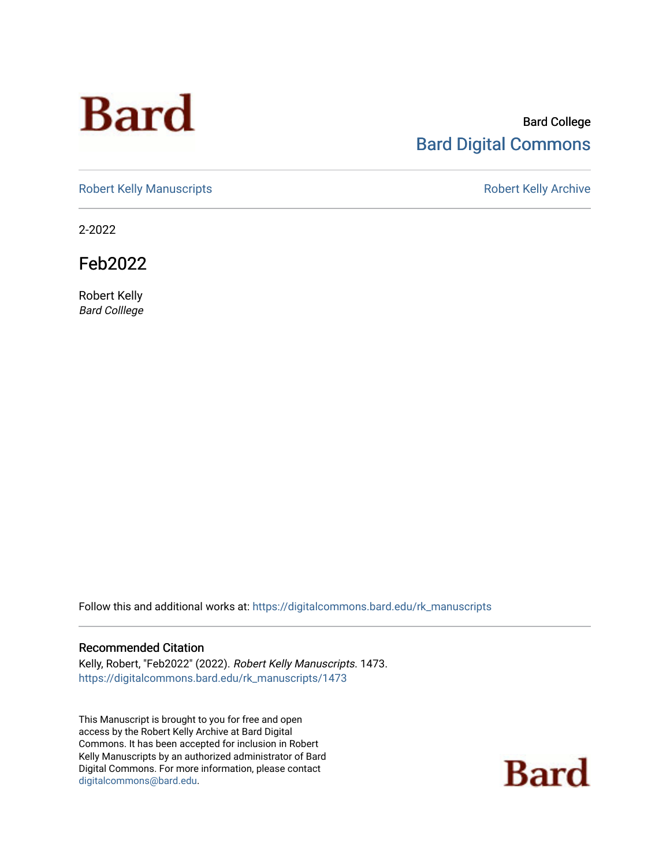# **Bard**

#### Bard College [Bard Digital Commons](https://digitalcommons.bard.edu/)

[Robert Kelly Manuscripts](https://digitalcommons.bard.edu/rk_manuscripts) **Robert Kelly Archive** 

2-2022

Feb2022

Robert Kelly Bard Colllege

Follow this and additional works at: [https://digitalcommons.bard.edu/rk\\_manuscripts](https://digitalcommons.bard.edu/rk_manuscripts?utm_source=digitalcommons.bard.edu%2Frk_manuscripts%2F1473&utm_medium=PDF&utm_campaign=PDFCoverPages) 

#### Recommended Citation

Kelly, Robert, "Feb2022" (2022). Robert Kelly Manuscripts. 1473. [https://digitalcommons.bard.edu/rk\\_manuscripts/1473](https://digitalcommons.bard.edu/rk_manuscripts/1473?utm_source=digitalcommons.bard.edu%2Frk_manuscripts%2F1473&utm_medium=PDF&utm_campaign=PDFCoverPages)

This Manuscript is brought to you for free and open access by the Robert Kelly Archive at Bard Digital Commons. It has been accepted for inclusion in Robert Kelly Manuscripts by an authorized administrator of Bard Digital Commons. For more information, please contact [digitalcommons@bard.edu](mailto:digitalcommons@bard.edu).

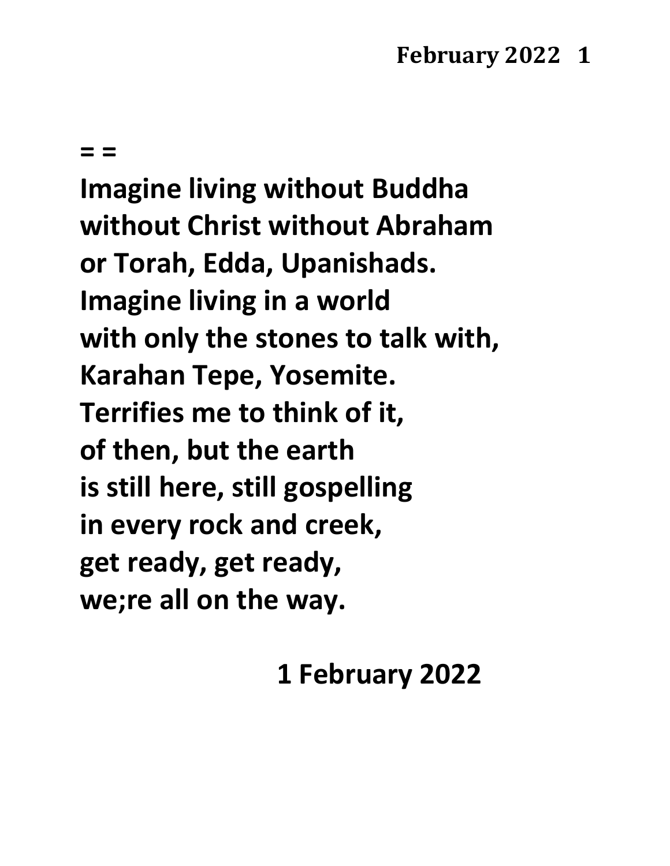**= =**

**Imagine living without Buddha without Christ without Abraham or Torah, Edda, Upanishads. Imagine living in a world with only the stones to talk with, Karahan Tepe, Yosemite. Terrifies me to think of it, of then, but the earth is still here, still gospelling in every rock and creek, get ready, get ready, we;re all on the way.**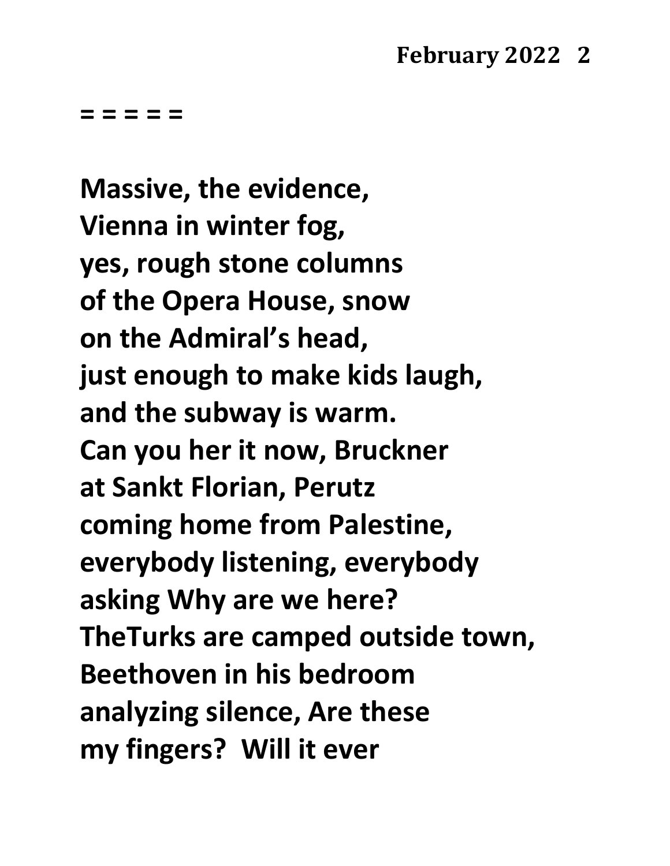**Massive, the evidence, Vienna in winter fog, yes, rough stone columns of the Opera House, snow on the Admiral's head, just enough to make kids laugh, and the subway is warm. Can you her it now, Bruckner at Sankt Florian, Perutz coming home from Palestine, everybody listening, everybody asking Why are we here? TheTurks are camped outside town, Beethoven in his bedroom analyzing silence, Are these my fingers? Will it ever**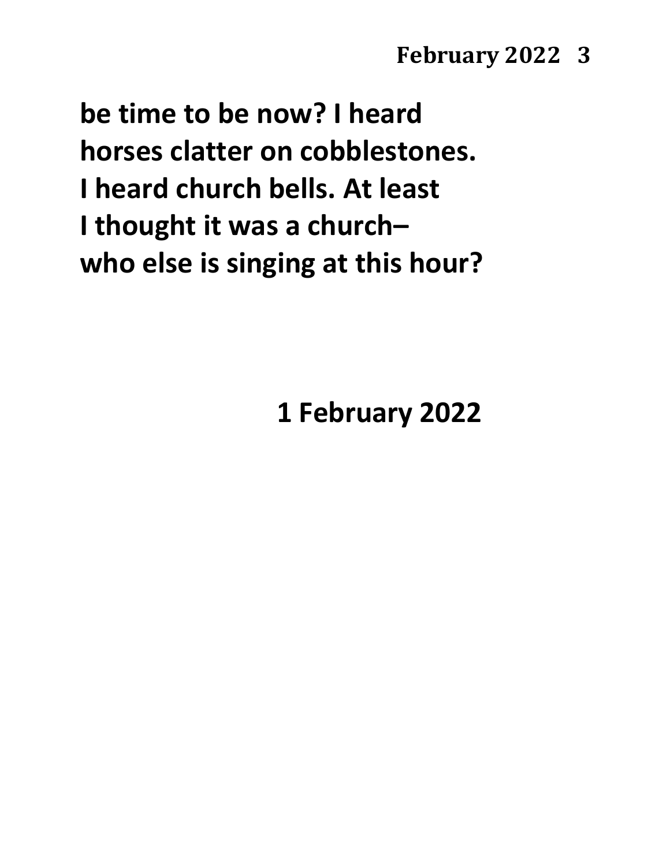**be time to be now? I heard horses clatter on cobblestones. I heard church bells. At least I thought it was a church– who else is singing at this hour?**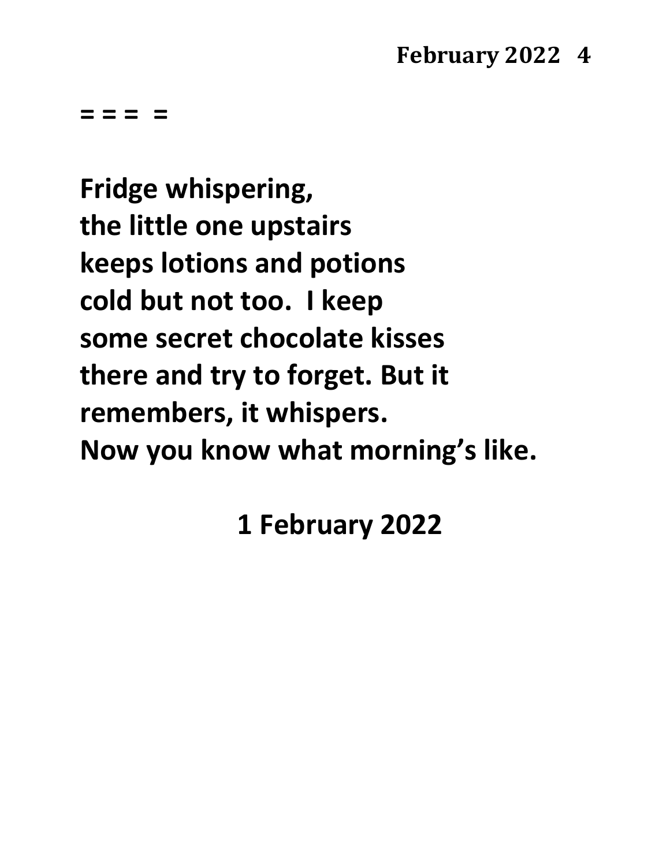**= = = =**

**Fridge whispering, the little one upstairs keeps lotions and potions cold but not too. I keep some secret chocolate kisses there and try to forget. But it remembers, it whispers. Now you know what morning's like.**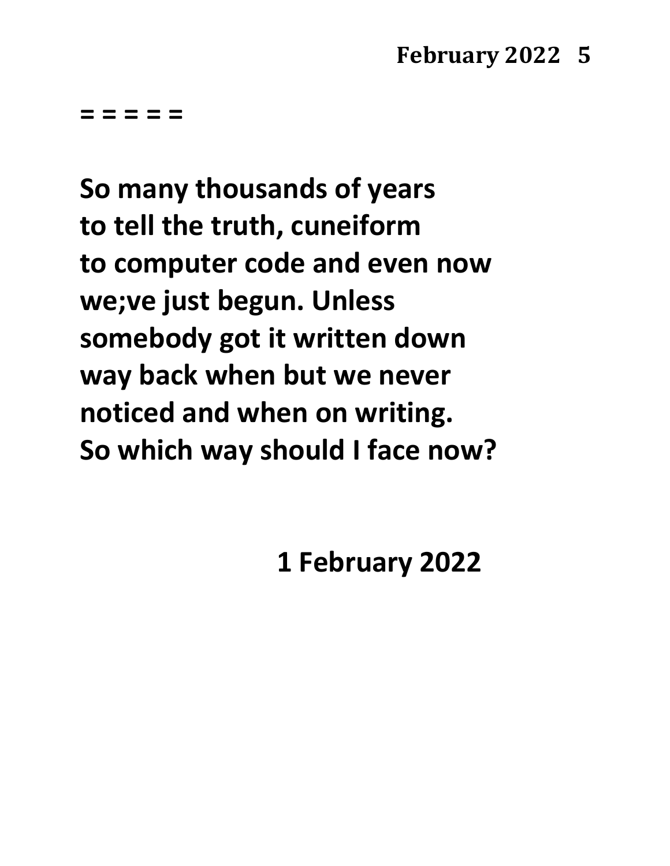**So many thousands of years to tell the truth, cuneiform to computer code and even now we;ve just begun. Unless somebody got it written down way back when but we never noticed and when on writing. So which way should I face now?**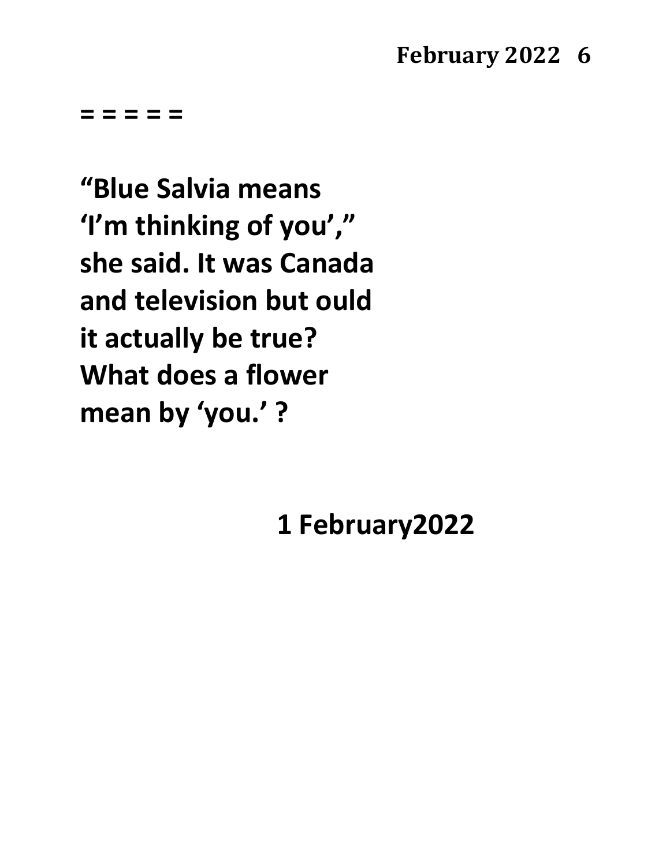**= = = = =**

**"Blue Salvia means 'I'm thinking of you'," she said. It was Canada and television but ould it actually be true? What does a flower mean by 'you.' ?**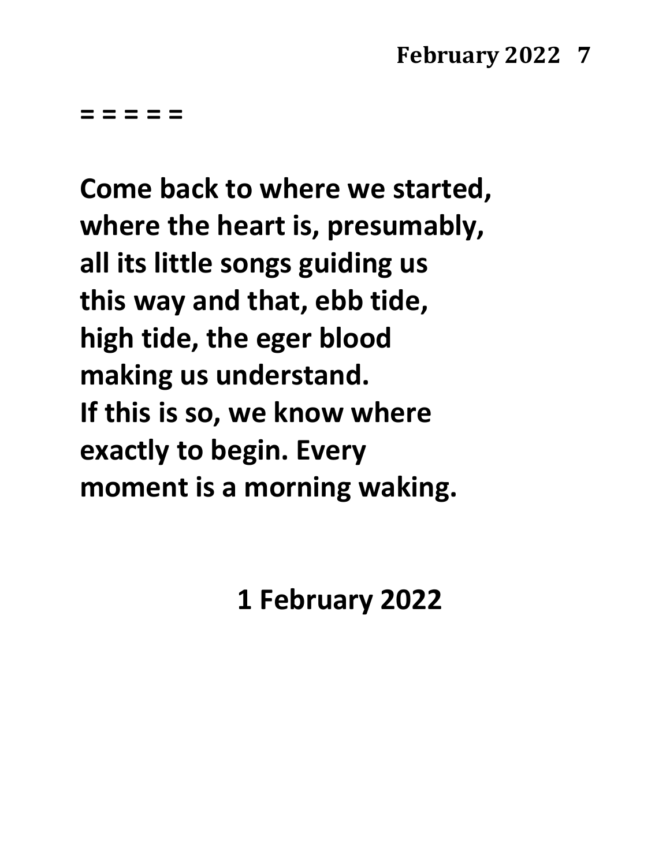**Come back to where we started, where the heart is, presumably, all its little songs guiding us this way and that, ebb tide, high tide, the eger blood making us understand. If this is so, we know where exactly to begin. Every moment is a morning waking.**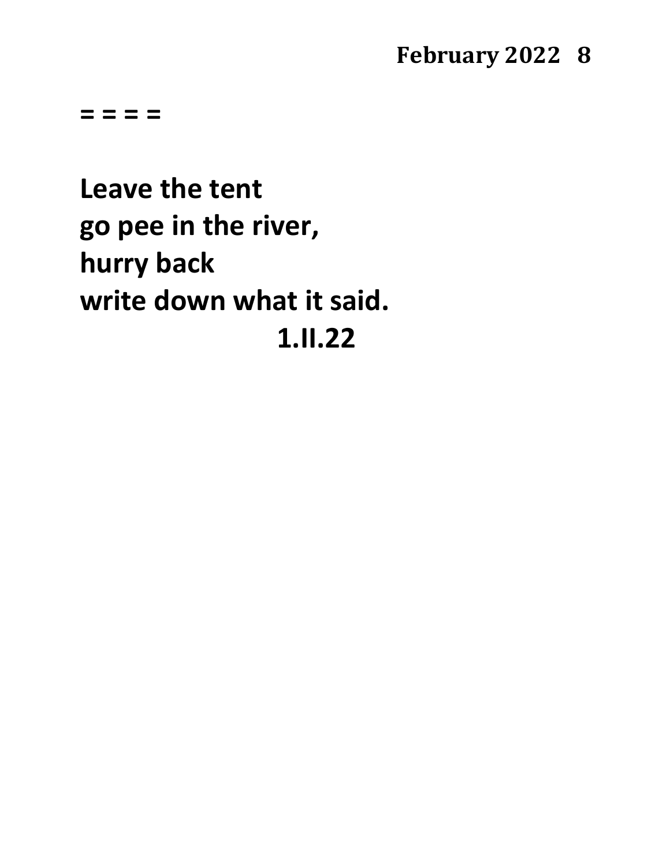**= = = =**

**Leave the tent go pee in the river, hurry back write down what it said. 1.II.22**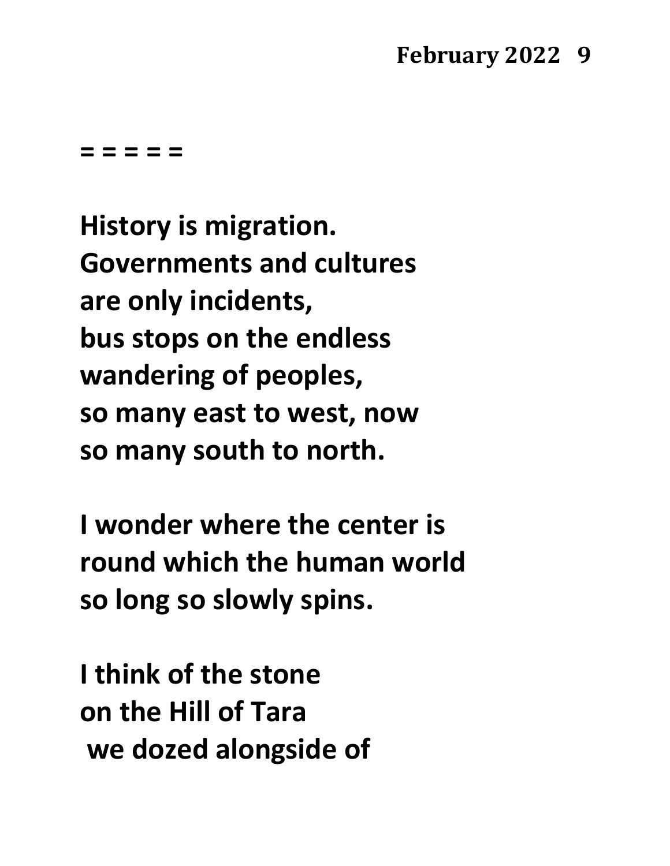**= = = = =**

**History is migration. Governments and cultures are only incidents, bus stops on the endless wandering of peoples, so many east to west, now so many south to north.**

**I wonder where the center is round which the human world so long so slowly spins.**

**I think of the stone on the Hill of Tara we dozed alongside of**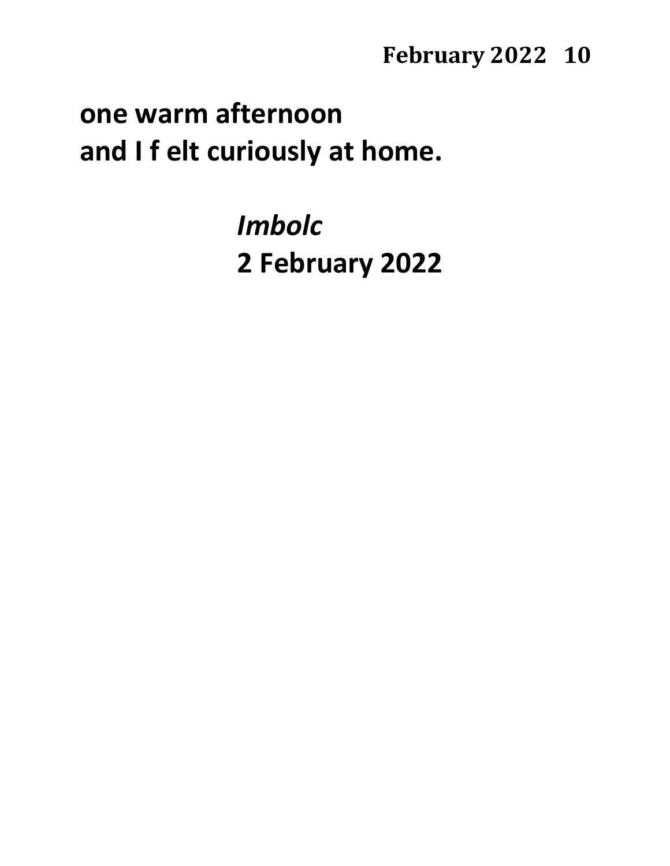# **one warm afternoon and I f elt curiously at home.**

*Imbolc* **2 February 2022**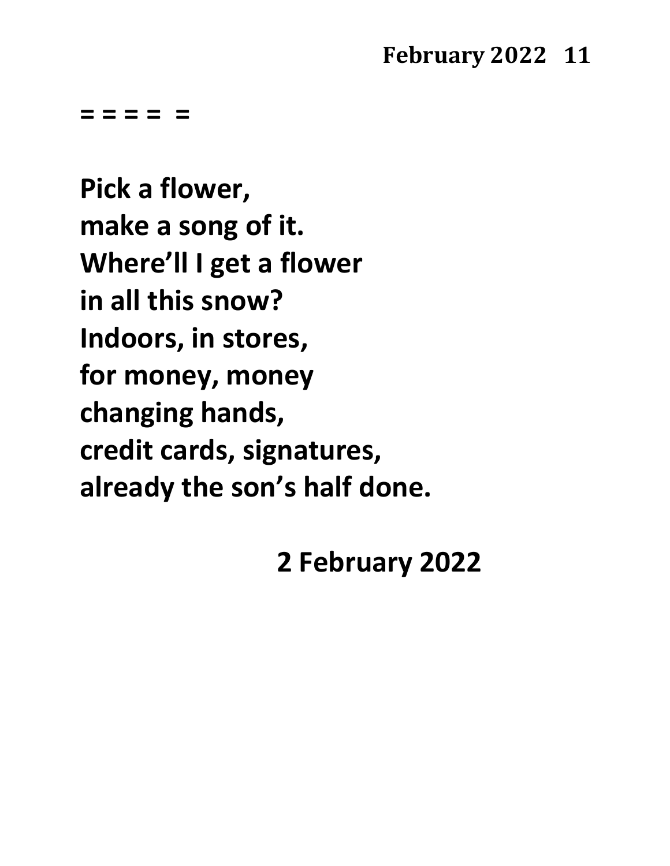**= = = = =**

**Pick a flower, make a song of it. Where'll I get a flower in all this snow? Indoors, in stores, for money, money changing hands, credit cards, signatures, already the son's half done.**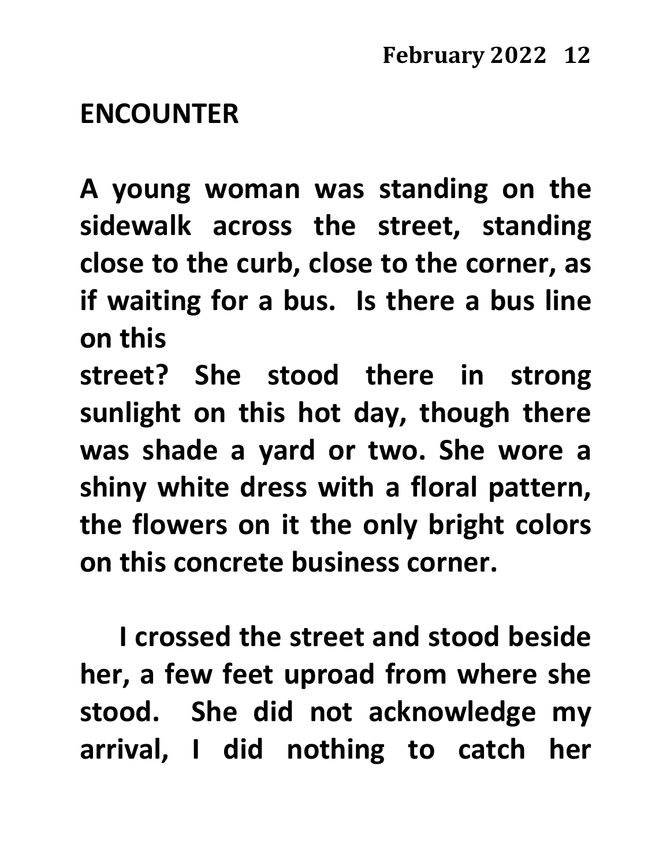# **ENCOUNTER**

**A young woman was standing on the sidewalk across the street, standing close to the curb, close to the corner, as if waiting for a bus. Is there a bus line on this**

**street? She stood there in strong sunlight on this hot day, though there was shade a yard or two. She wore a shiny white dress with a floral pattern, the flowers on it the only bright colors on this concrete business corner.**

**I crossed the street and stood beside her, a few feet uproad from where she stood. She did not acknowledge my arrival, I did nothing to catch her**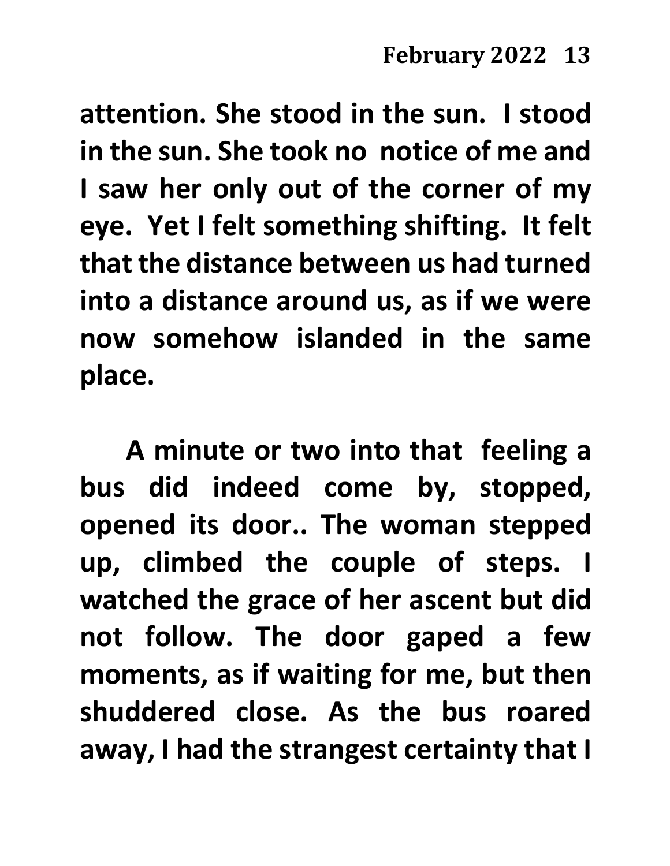**attention. She stood in the sun. I stood in the sun. She took no notice of me and I saw her only out of the corner of my eye. Yet I felt something shifting. It felt that the distance between us had turned into a distance around us, as if we were now somehow islanded in the same place.** 

**A minute or two into that feeling a bus did indeed come by, stopped, opened its door.. The woman stepped up, climbed the couple of steps. I watched the grace of her ascent but did not follow. The door gaped a few moments, as if waiting for me, but then shuddered close. As the bus roared away, I had the strangest certainty that I**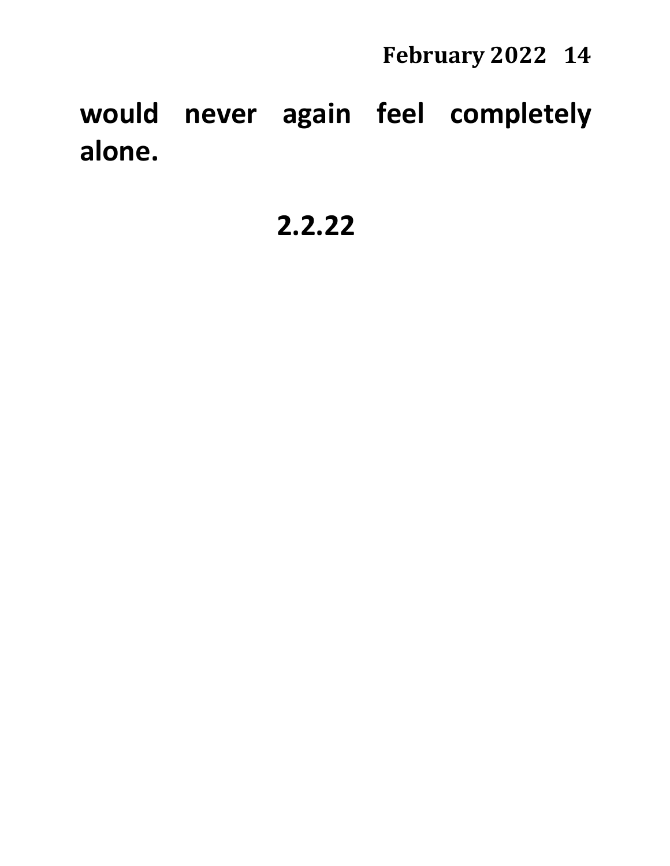**would never again feel completely alone.**

**2.2.22**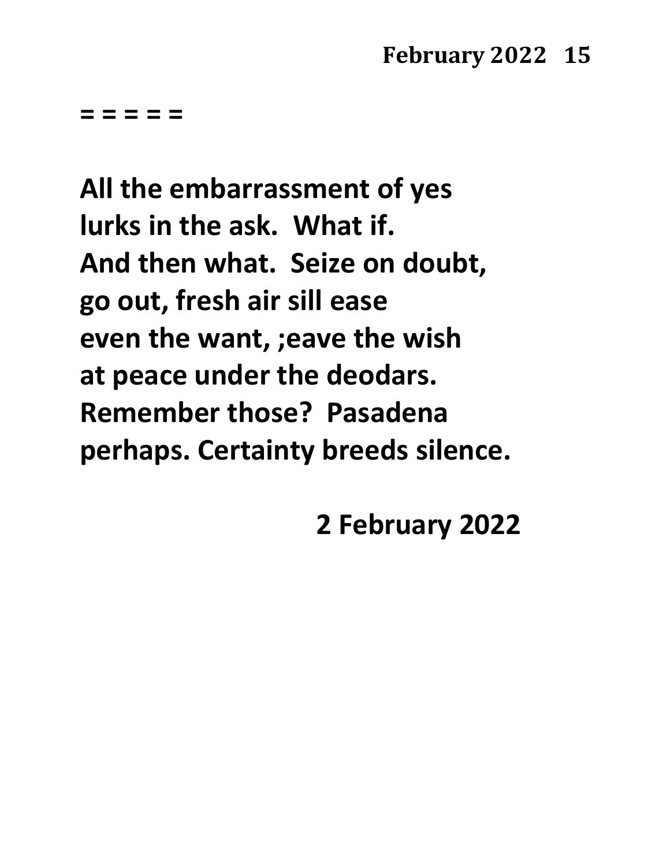**All the embarrassment of yes lurks in the ask. What if. And then what. Seize on doubt, go out, fresh air sill ease even the want, ;eave the wish at peace under the deodars. Remember those? Pasadena perhaps. Certainty breeds silence.**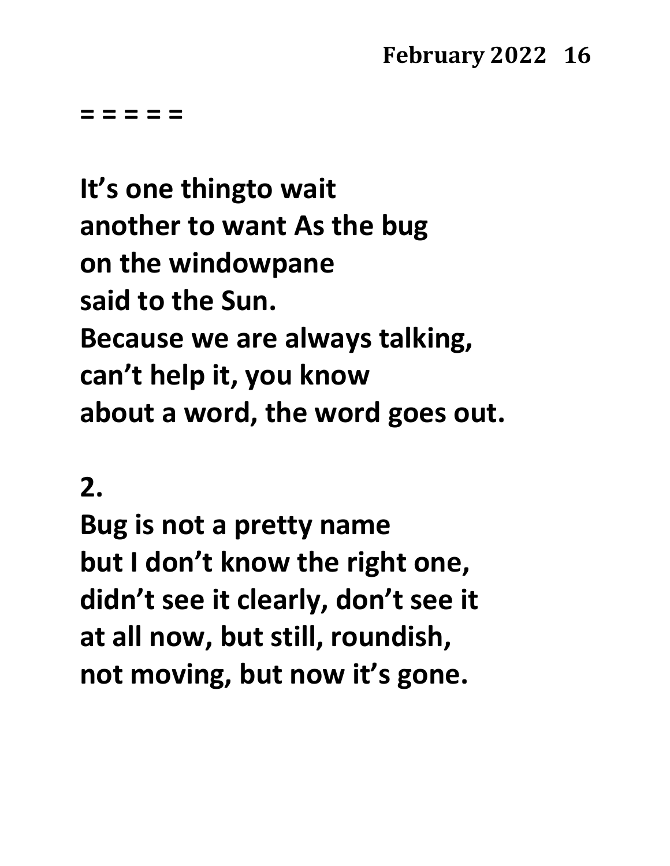**= = = = =**

**It's one thingto wait another to want As the bug on the windowpane said to the Sun. Because we are always talking, can't help it, you know about a word, the word goes out.**

**2.**

**Bug is not a pretty name but I don't know the right one, didn't see it clearly, don't see it at all now, but still, roundish, not moving, but now it's gone.**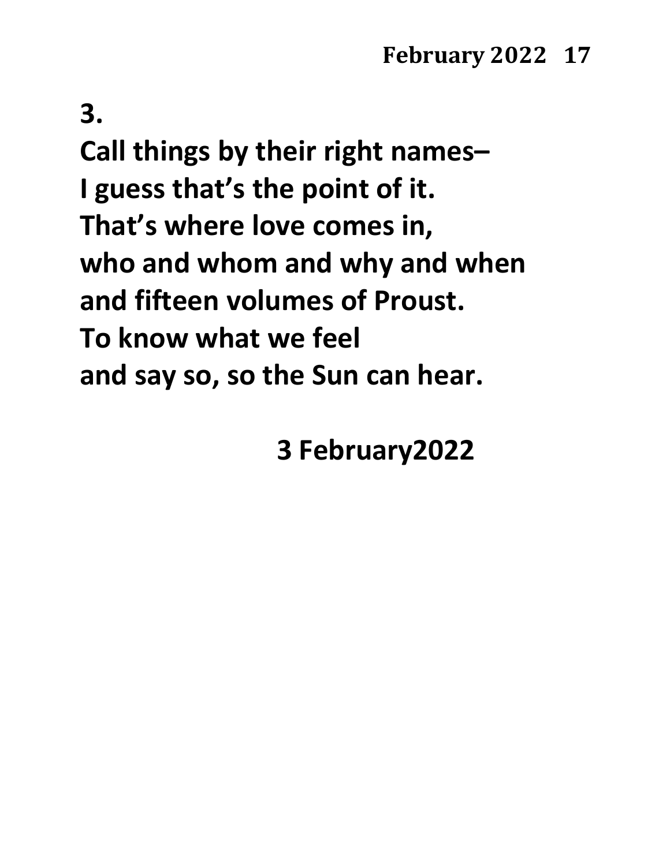**3.**

**Call things by their right names– I guess that's the point of it. That's where love comes in, who and whom and why and when and fifteen volumes of Proust. To know what we feel and say so, so the Sun can hear.**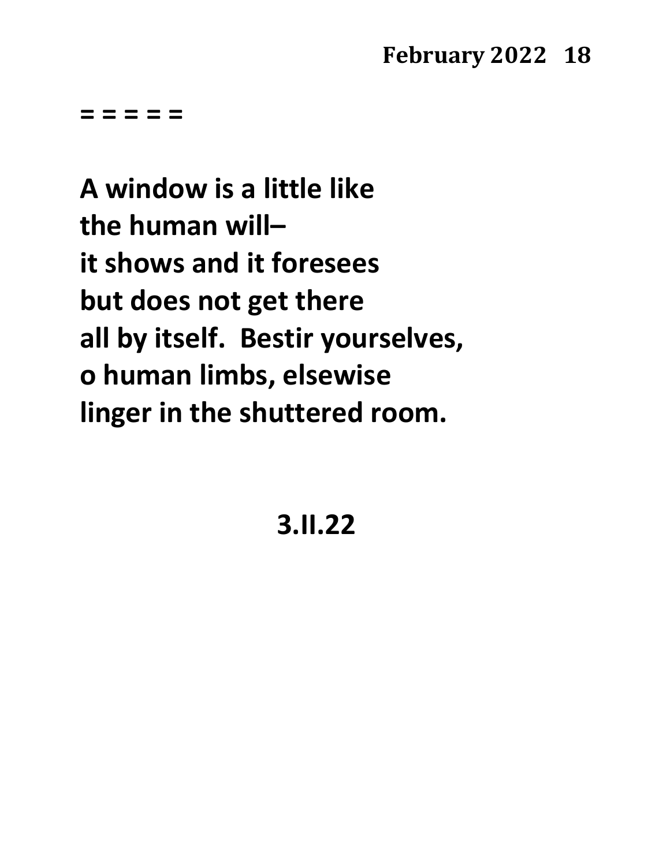**= = = = =**

**A window is a little like the human will– it shows and it foresees but does not get there all by itself. Bestir yourselves, o human limbs, elsewise linger in the shuttered room.**

**3.II.22**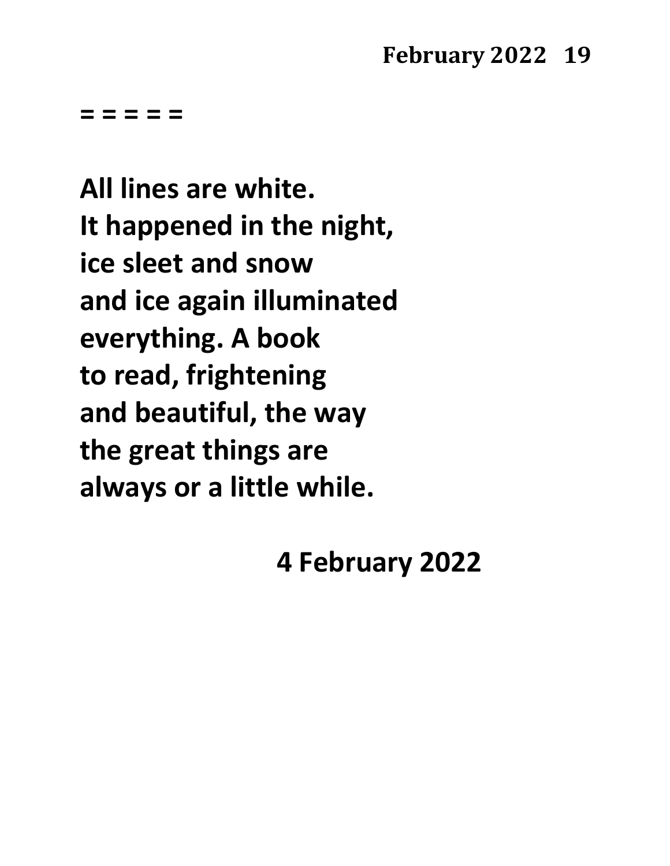**All lines are white. It happened in the night, ice sleet and snow and ice again illuminated everything. A book to read, frightening and beautiful, the way the great things are always or a little while.**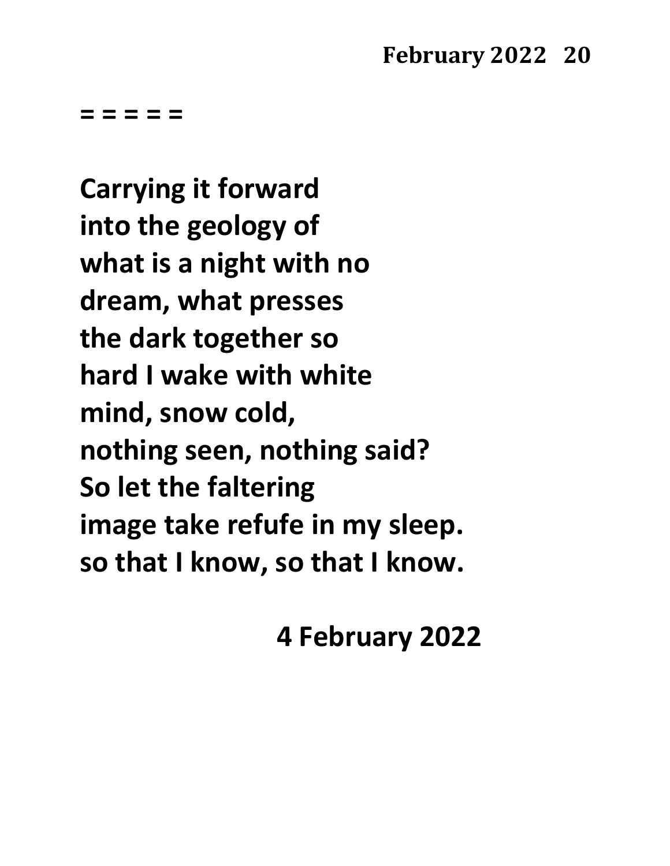**Carrying it forward into the geology of what is a night with no dream, what presses the dark together so hard I wake with white mind, snow cold, nothing seen, nothing said? So let the faltering image take refufe in my sleep. so that I know, so that I know.**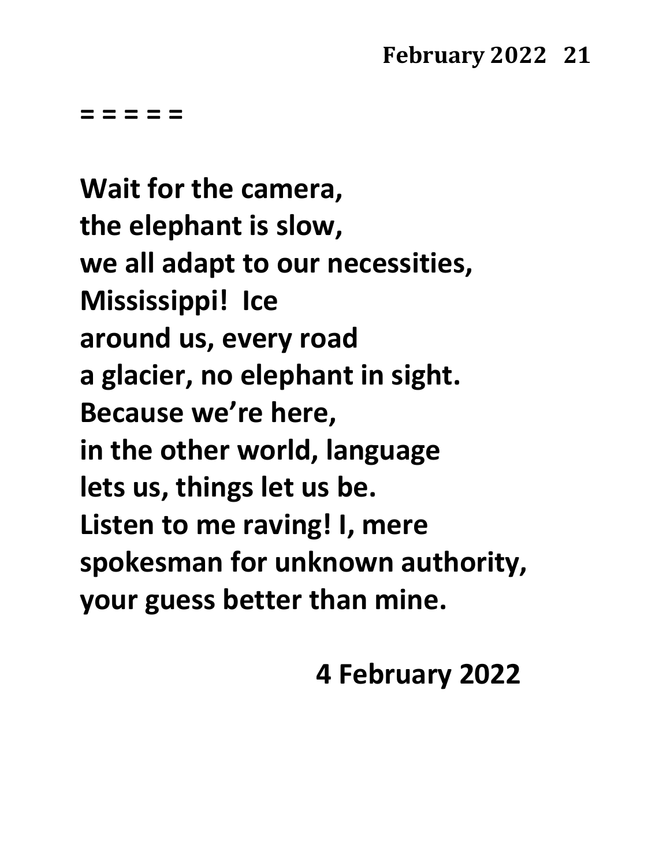**Wait for the camera, the elephant is slow, we all adapt to our necessities, Mississippi! Ice around us, every road a glacier, no elephant in sight. Because we're here, in the other world, language lets us, things let us be. Listen to me raving! I, mere spokesman for unknown authority, your guess better than mine.**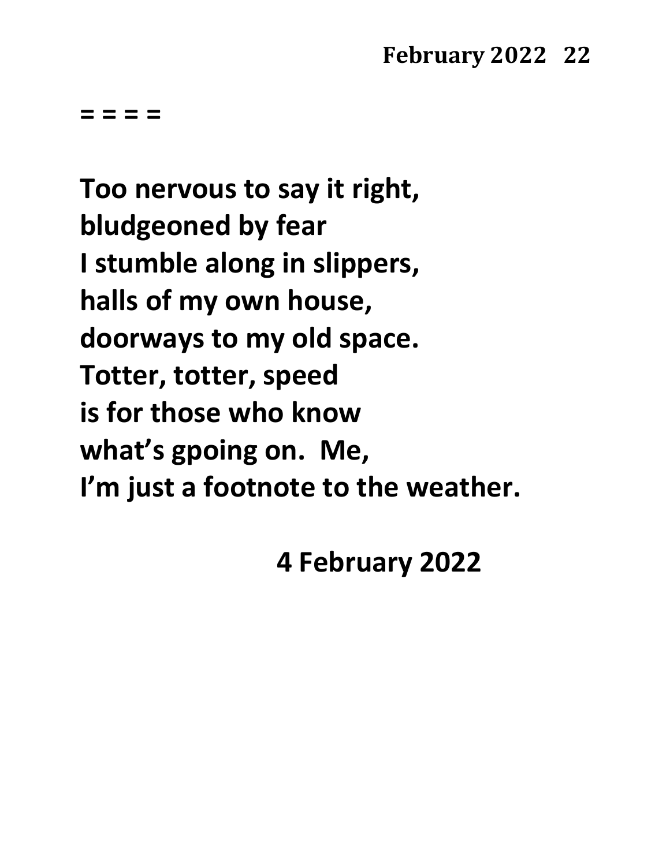**= = = =** 

**Too nervous to say it right, bludgeoned by fear I stumble along in slippers, halls of my own house, doorways to my old space. Totter, totter, speed is for those who know what's gpoing on. Me, I'm just a footnote to the weather.**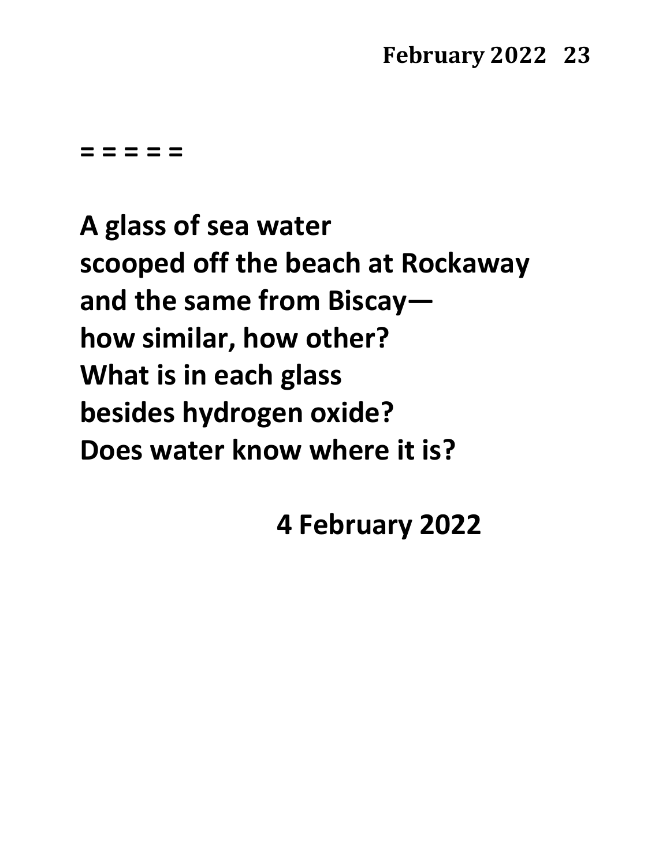**= = = = =**

**A glass of sea water scooped off the beach at Rockaway and the same from Biscay how similar, how other? What is in each glass besides hydrogen oxide? Does water know where it is?**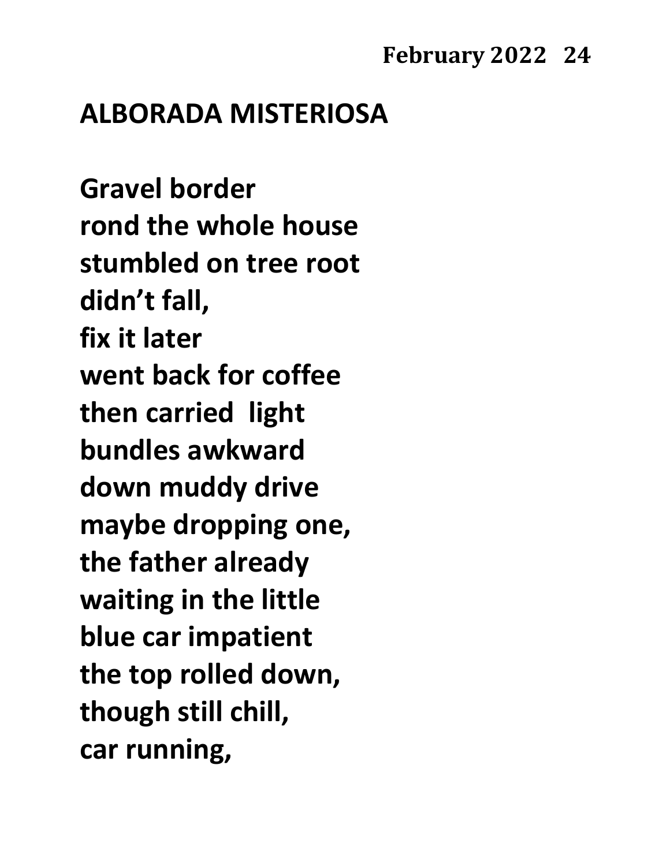# **ALBORADA MISTERIOSA**

**Gravel border rond the whole house stumbled on tree root didn't fall, fix it later went back for coffee then carried light bundles awkward down muddy drive maybe dropping one, the father already waiting in the little blue car impatient the top rolled down, though still chill, car running,**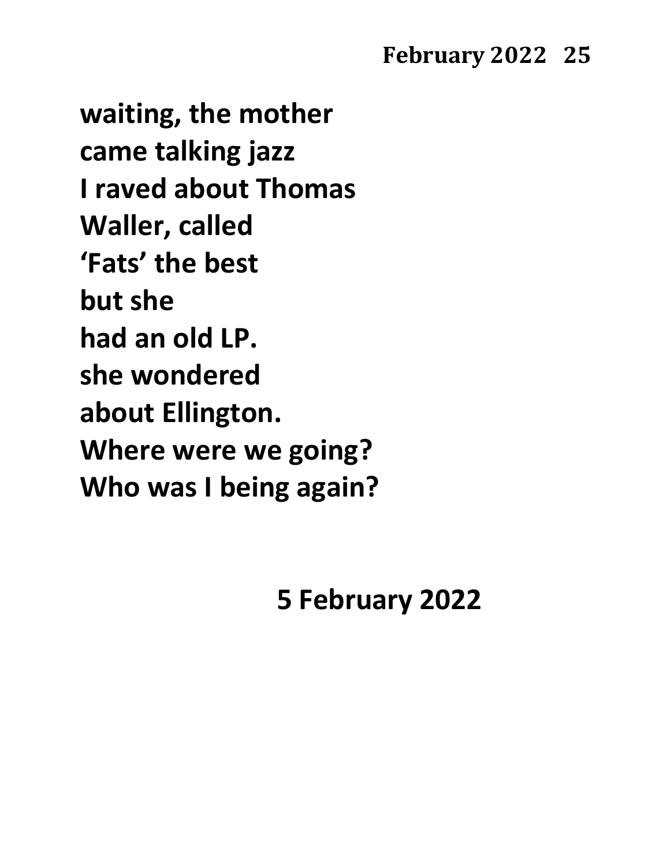**waiting, the mother came talking jazz I raved about Thomas Waller, called 'Fats' the best but she had an old LP. she wondered about Ellington. Where were we going? Who was I being again?**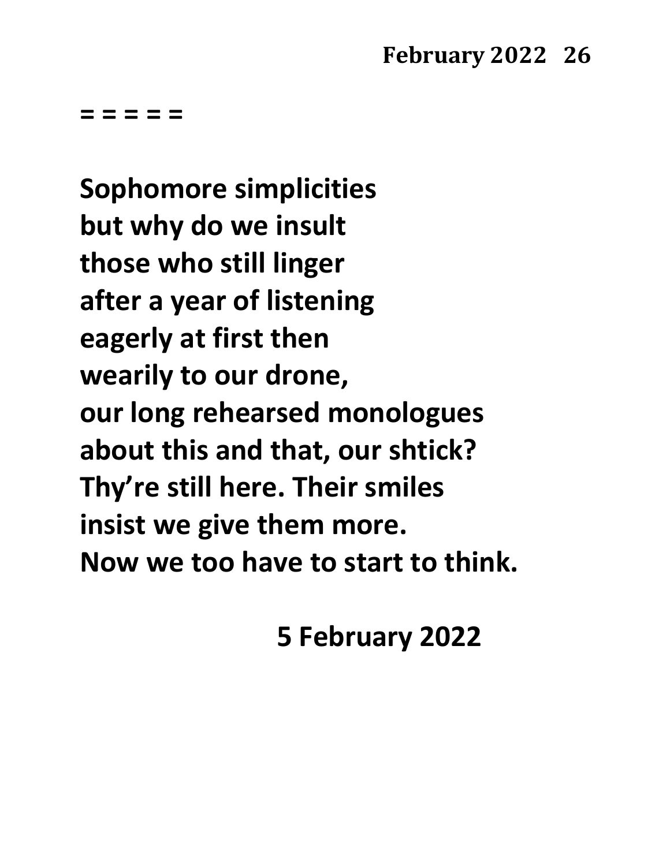**Sophomore simplicities but why do we insult those who still linger after a year of listening eagerly at first then wearily to our drone, our long rehearsed monologues about this and that, our shtick? Thy're still here. Their smiles insist we give them more. Now we too have to start to think.**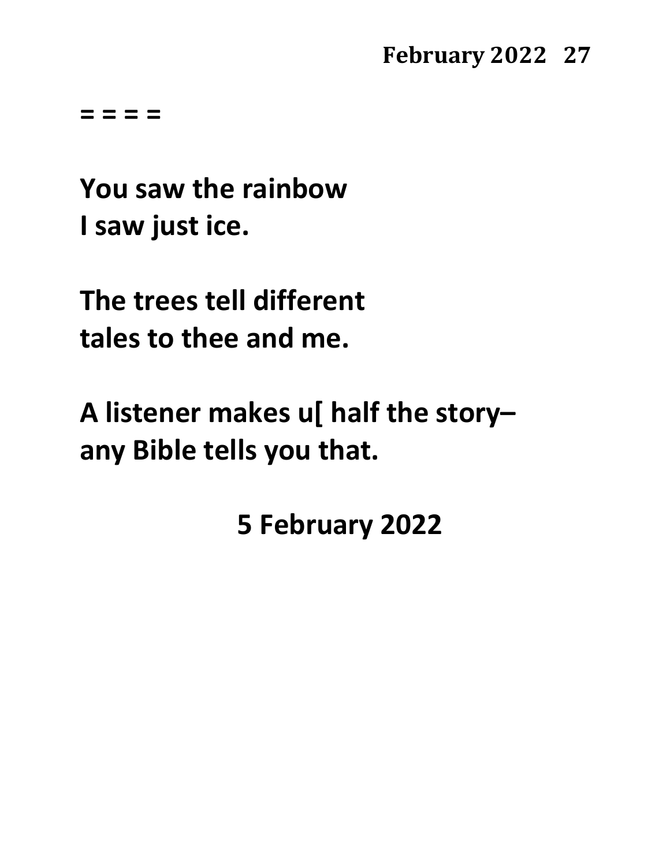**= = = =**

**You saw the rainbow I saw just ice.**

**The trees tell different tales to thee and me.**

**A listener makes u[ half the story– any Bible tells you that.**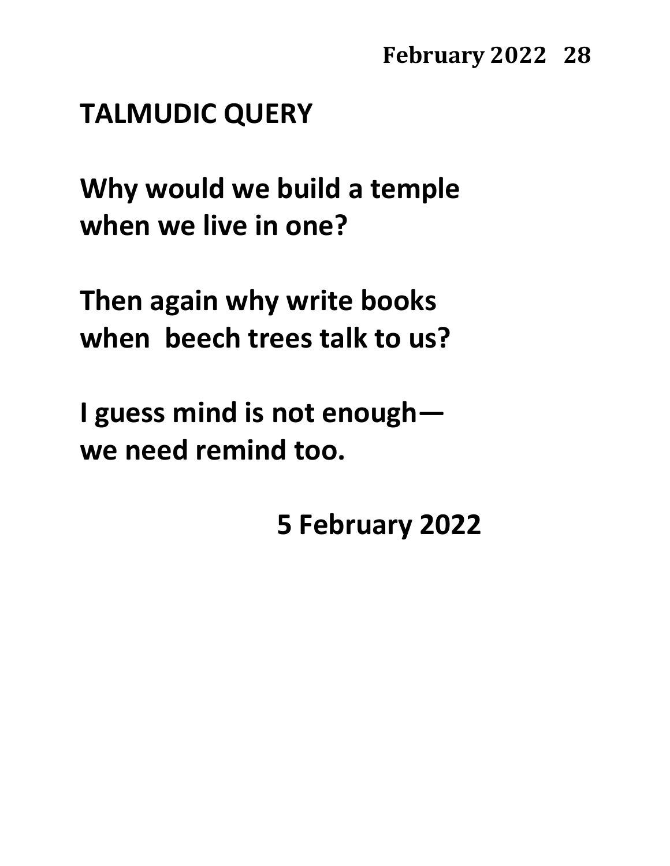# **TALMUDIC QUERY**

**Why would we build a temple when we live in one?**

**Then again why write books when beech trees talk to us?**

**I guess mind is not enough we need remind too.**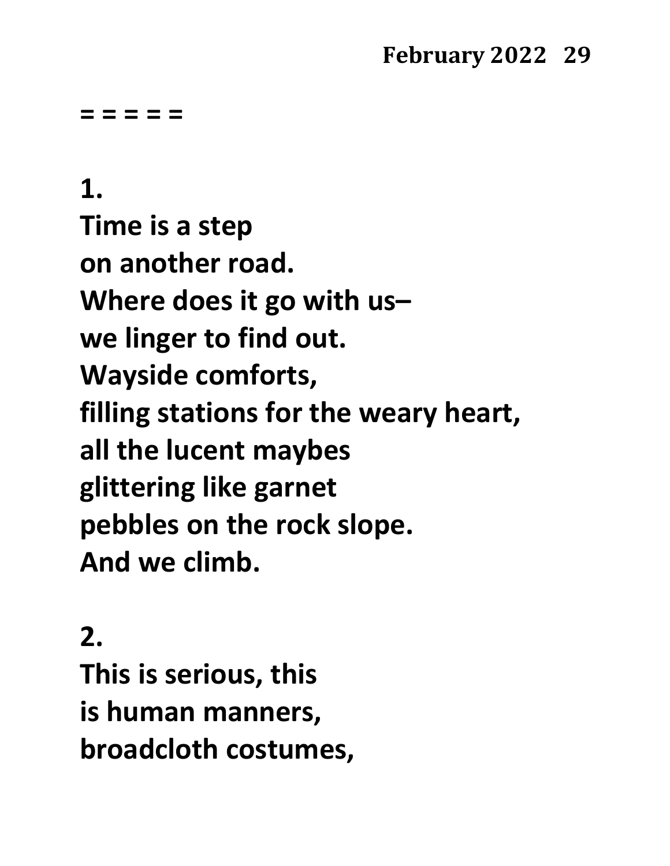**= = = = =**

**1. Time is a step on another road. Where does it go with us– we linger to find out. Wayside comforts, filling stations for the weary heart, all the lucent maybes glittering like garnet pebbles on the rock slope. And we climb.**

**2.**

**This is serious, this is human manners, broadcloth costumes,**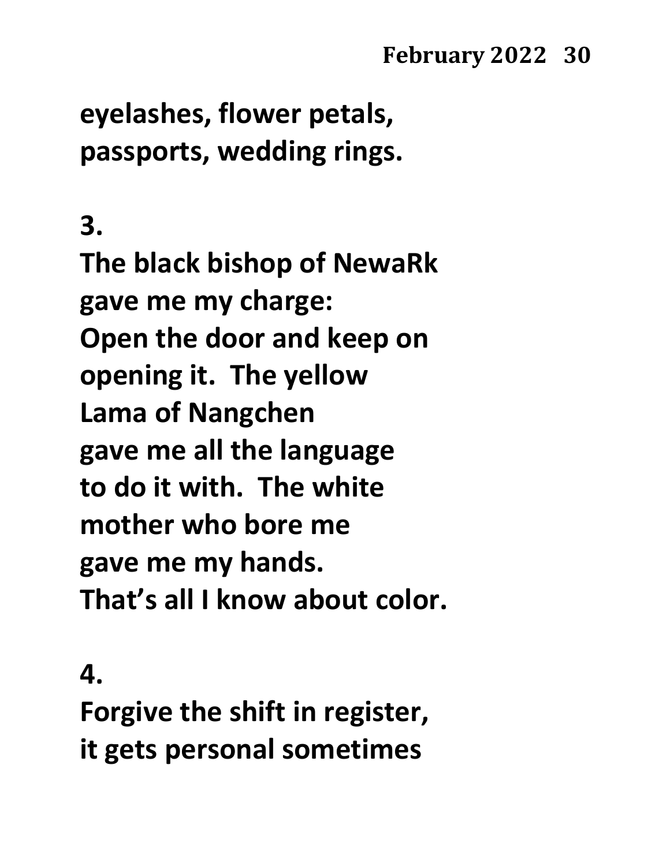**eyelashes, flower petals, passports, wedding rings.**

**3.**

**The black bishop of NewaRk gave me my charge: Open the door and keep on opening it. The yellow Lama of Nangchen gave me all the language to do it with. The white mother who bore me gave me my hands. That's all I know about color.**

**4.**

**Forgive the shift in register, it gets personal sometimes**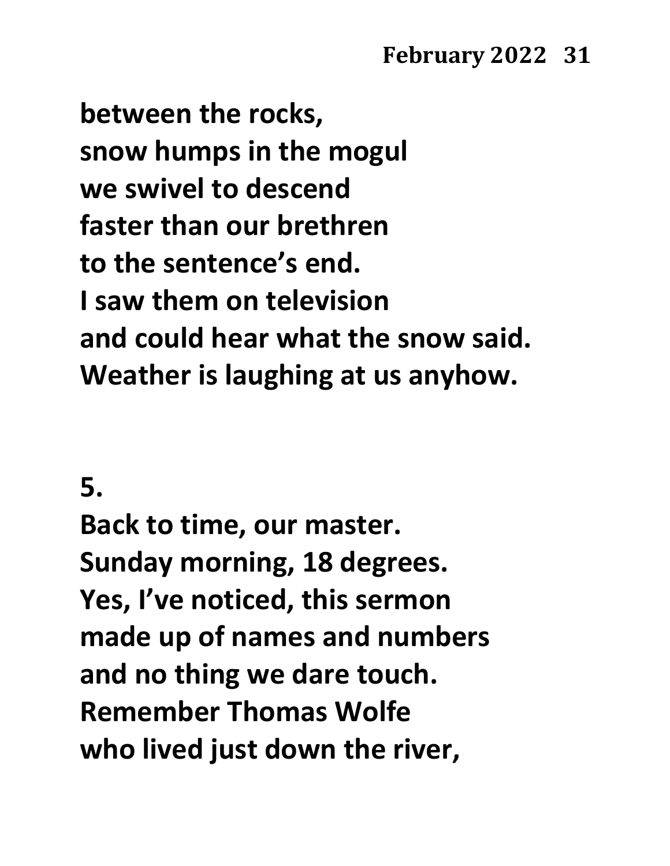**between the rocks, snow humps in the mogul we swivel to descend faster than our brethren to the sentence's end. I saw them on television and could hear what the snow said. Weather is laughing at us anyhow.**

# **5.**

**Back to time, our master. Sunday morning, 18 degrees. Yes, I've noticed, this sermon made up of names and numbers and no thing we dare touch. Remember Thomas Wolfe who lived just down the river,**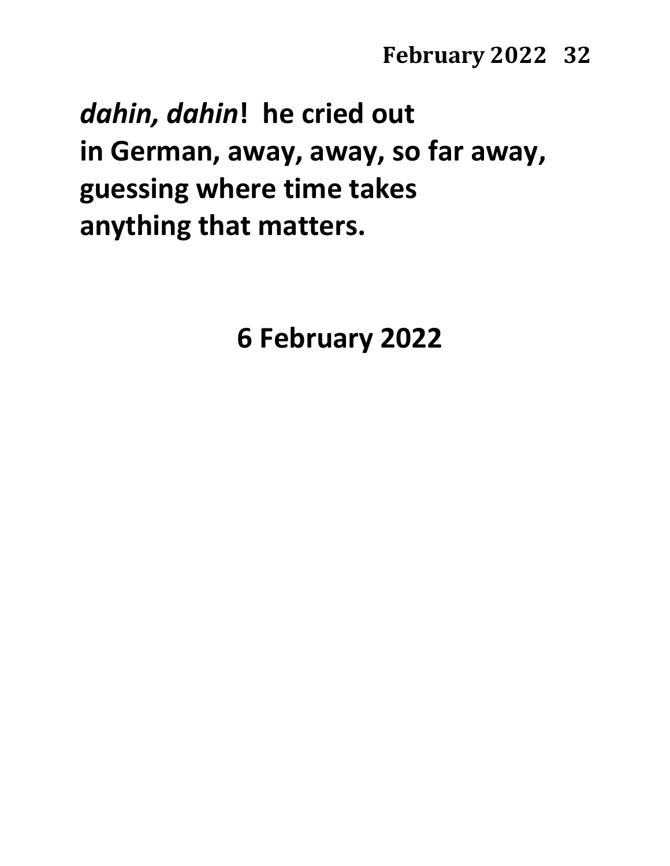*dahin, dahin***! he cried out in German, away, away, so far away, guessing where time takes anything that matters.**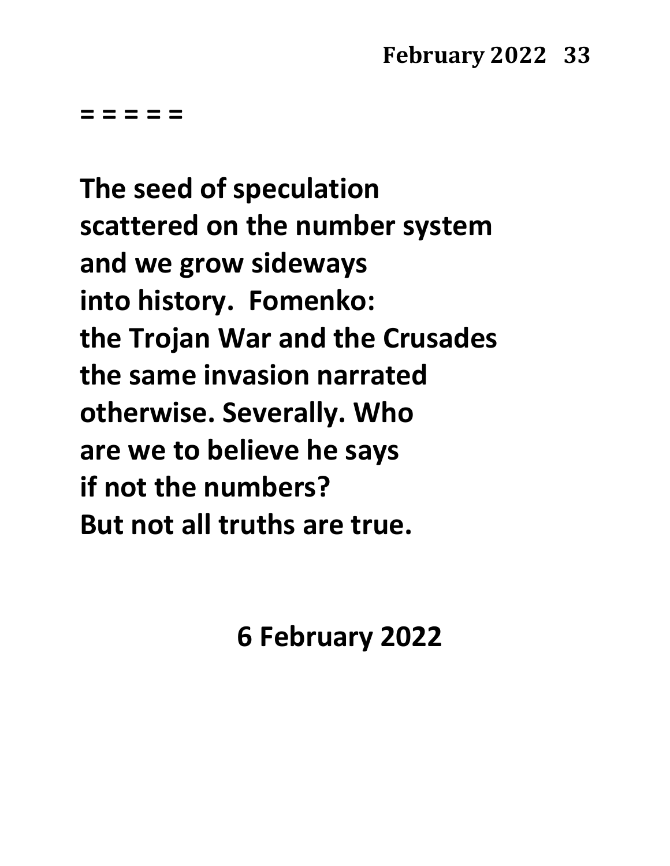**The seed of speculation scattered on the number system and we grow sideways into history. Fomenko: the Trojan War and the Crusades the same invasion narrated otherwise. Severally. Who are we to believe he says if not the numbers? But not all truths are true.**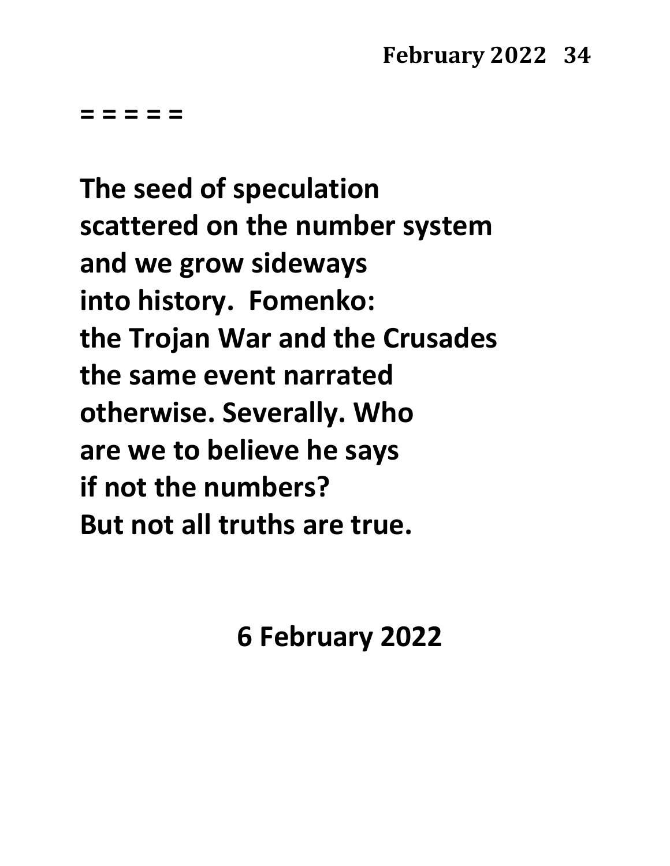**The seed of speculation scattered on the number system and we grow sideways into history. Fomenko: the Trojan War and the Crusades the same event narrated otherwise. Severally. Who are we to believe he says if not the numbers? But not all truths are true.**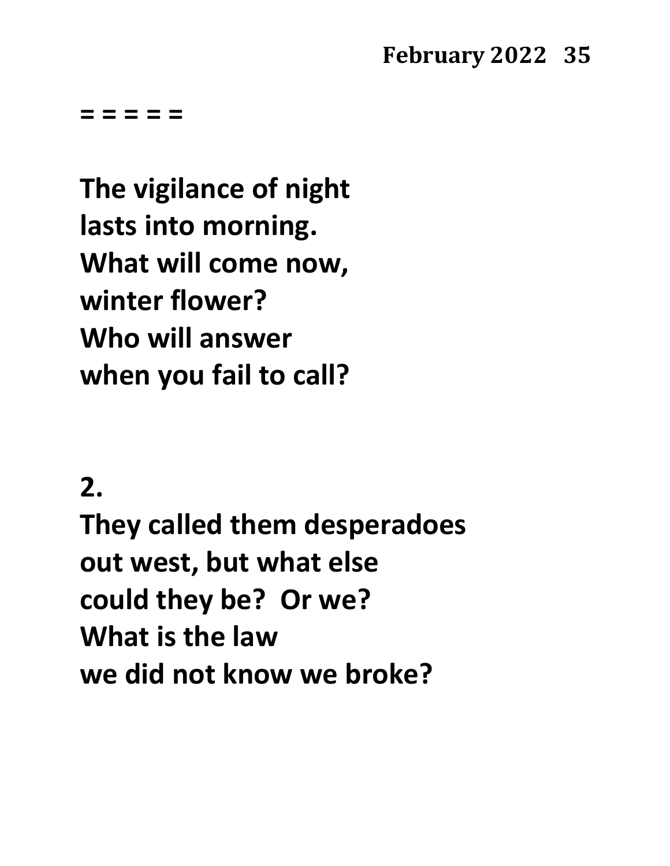**= = = = =**

**The vigilance of night lasts into morning. What will come now, winter flower? Who will answer when you fail to call?**

# **2.**

**They called them desperadoes out west, but what else could they be? Or we? What is the law we did not know we broke?**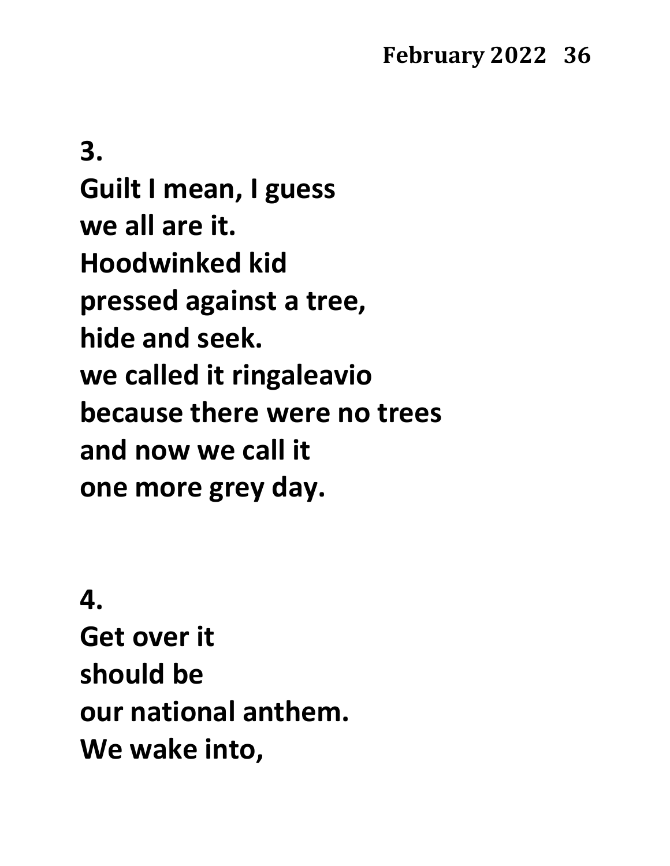**3. Guilt I mean, I guess we all are it. Hoodwinked kid pressed against a tree, hide and seek. we called it ringaleavio because there were no trees and now we call it one more grey day.**

**4. Get over it should be our national anthem. We wake into,**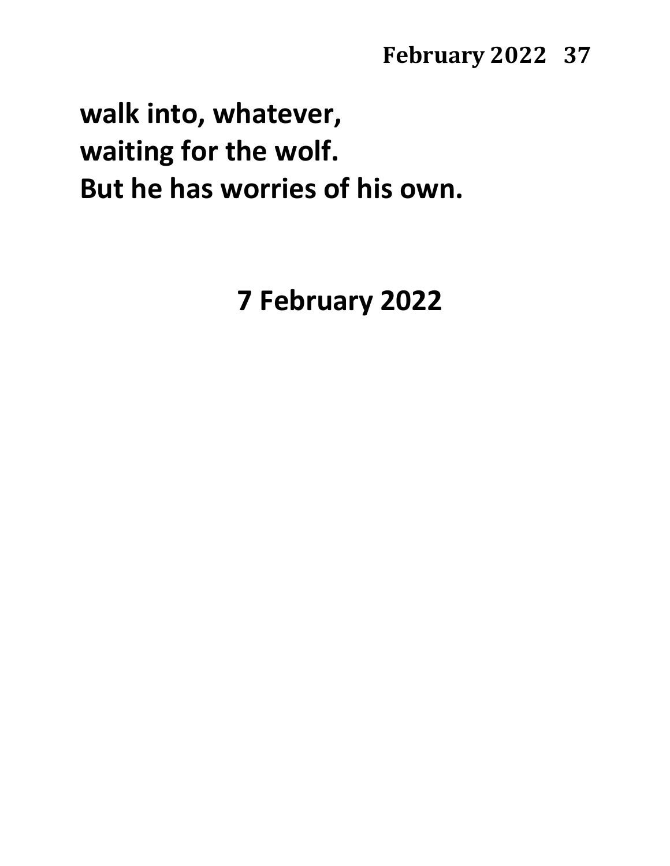**walk into, whatever, waiting for the wolf. But he has worries of his own.**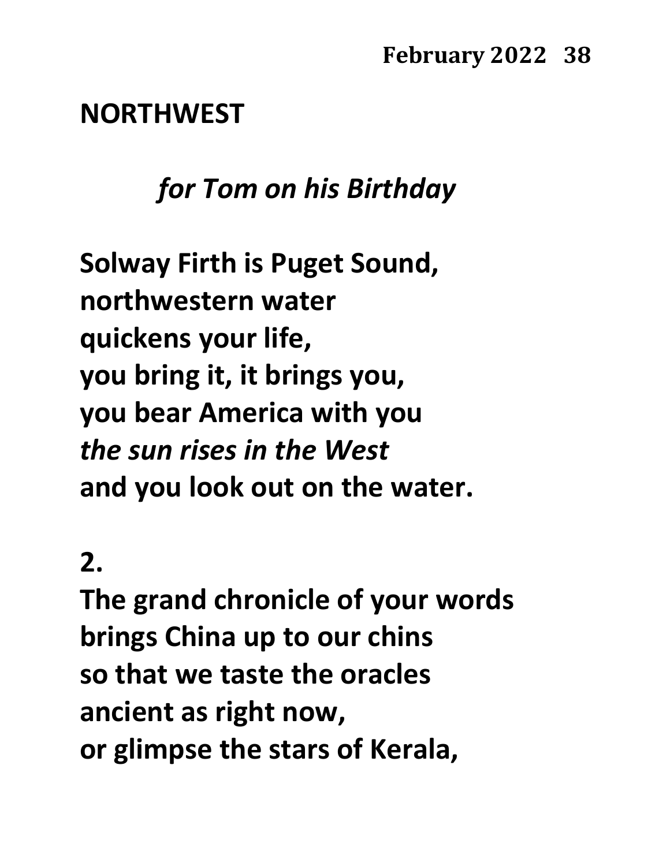#### **NORTHWEST**

### *for Tom on his Birthday*

**Solway Firth is Puget Sound, northwestern water quickens your life, you bring it, it brings you, you bear America with you** *the sun rises in the West* **and you look out on the water.**

# **2.**

**The grand chronicle of your words brings China up to our chins so that we taste the oracles ancient as right now, or glimpse the stars of Kerala,**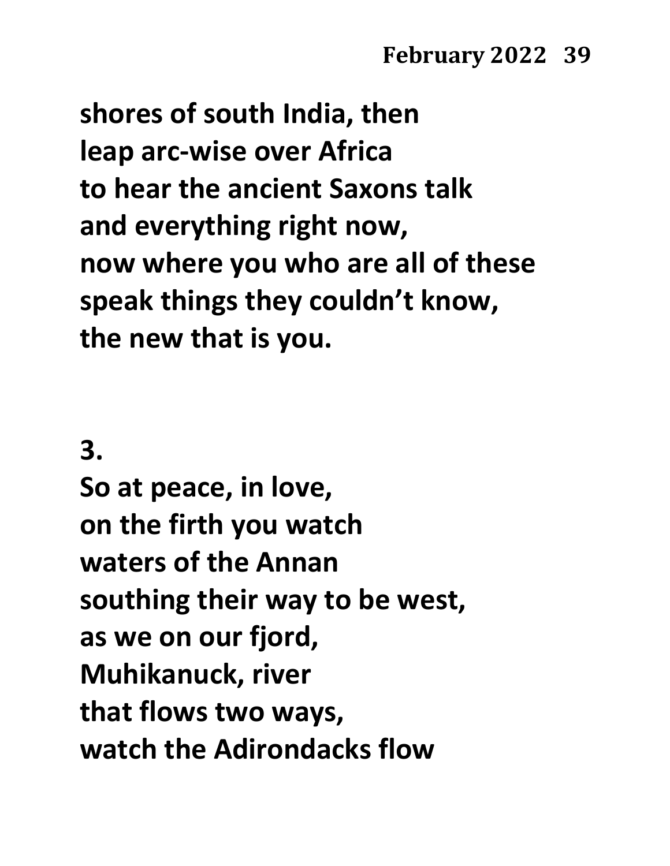**shores of south India, then leap arc-wise over Africa to hear the ancient Saxons talk and everything right now, now where you who are all of these speak things they couldn't know, the new that is you.**

**3.**

**So at peace, in love, on the firth you watch waters of the Annan southing their way to be west, as we on our fjord, Muhikanuck, river that flows two ways, watch the Adirondacks flow**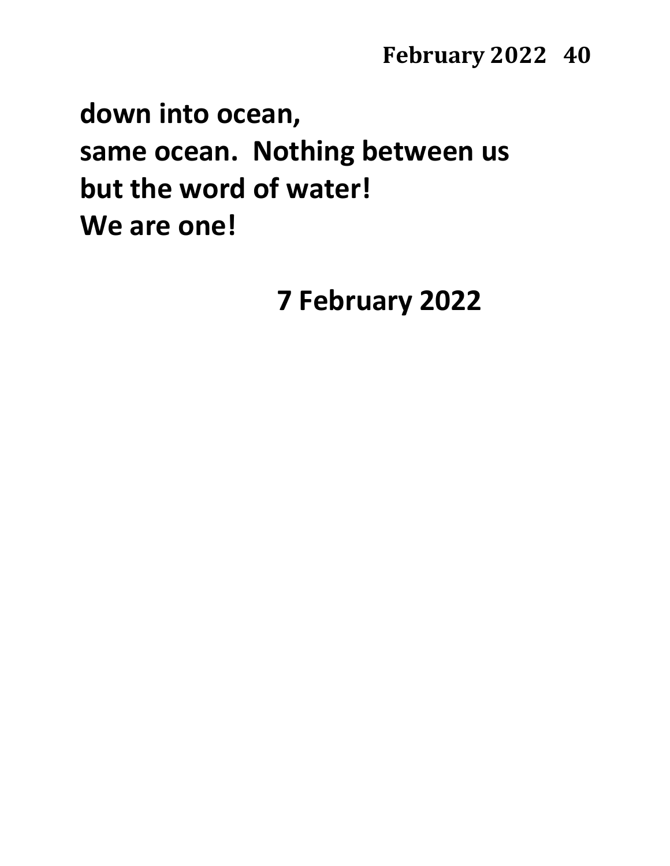# **down into ocean, same ocean. Nothing between us but the word of water! We are one!**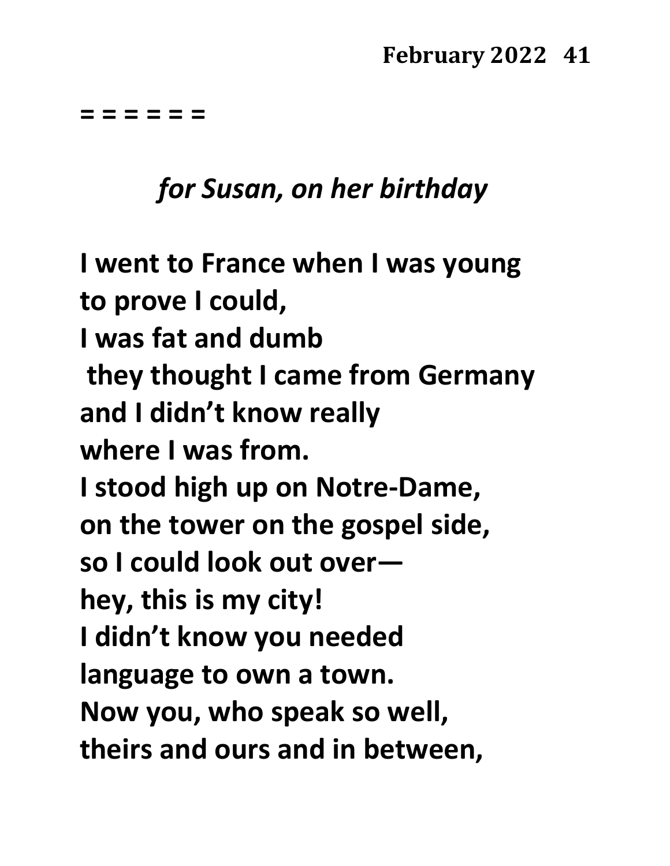**= = = = = =**

#### *for Susan, on her birthday*

**I went to France when I was young to prove I could, I was fat and dumb they thought I came from Germany and I didn't know really where I was from. I stood high up on Notre-Dame, on the tower on the gospel side, so I could look out over hey, this is my city! I didn't know you needed language to own a town. Now you, who speak so well, theirs and ours and in between,**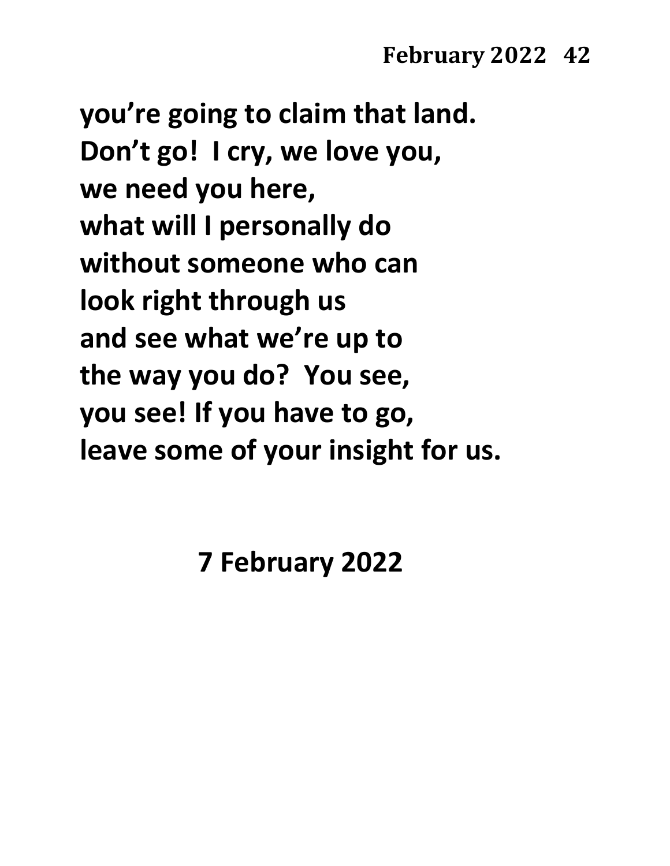**you're going to claim that land. Don't go! I cry, we love you, we need you here, what will I personally do without someone who can look right through us and see what we're up to the way you do? You see, you see! If you have to go, leave some of your insight for us.**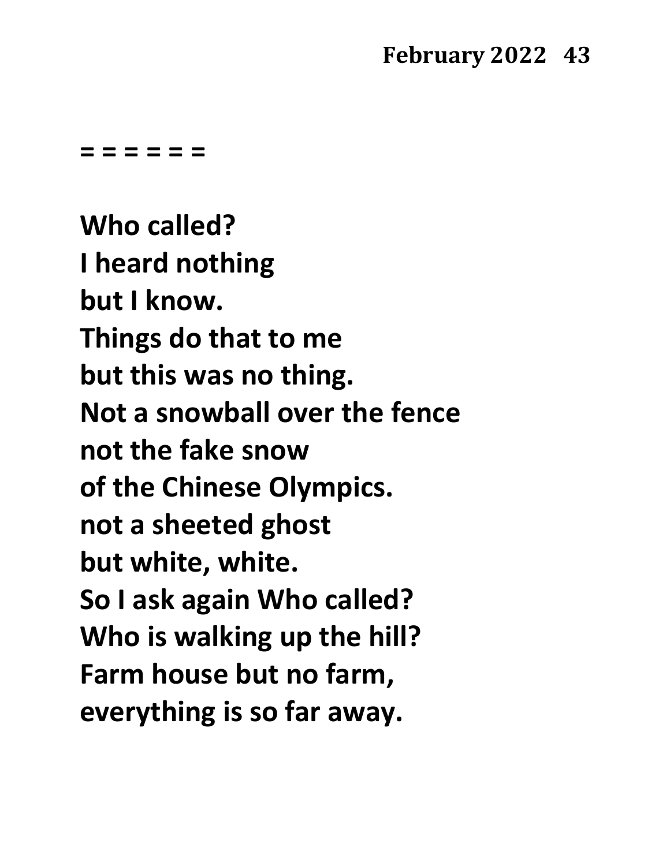**= = = = = =**

**Who called? I heard nothing but I know. Things do that to me but this was no thing. Not a snowball over the fence not the fake snow of the Chinese Olympics. not a sheeted ghost but white, white. So I ask again Who called? Who is walking up the hill? Farm house but no farm, everything is so far away.**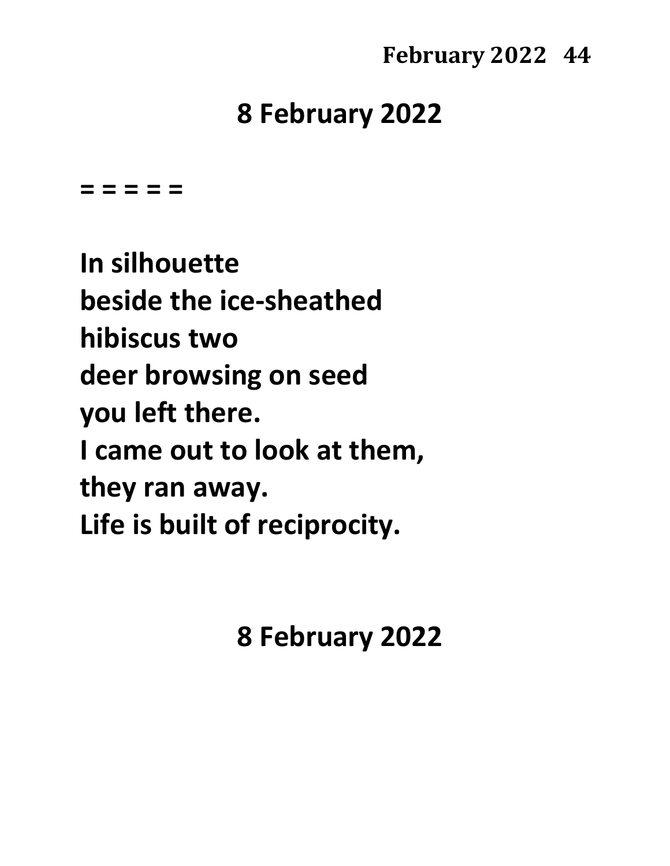# **8 February 2022**

**= = = = =**

**In silhouette beside the ice-sheathed hibiscus two deer browsing on seed you left there. I came out to look at them, they ran away. Life is built of reciprocity.**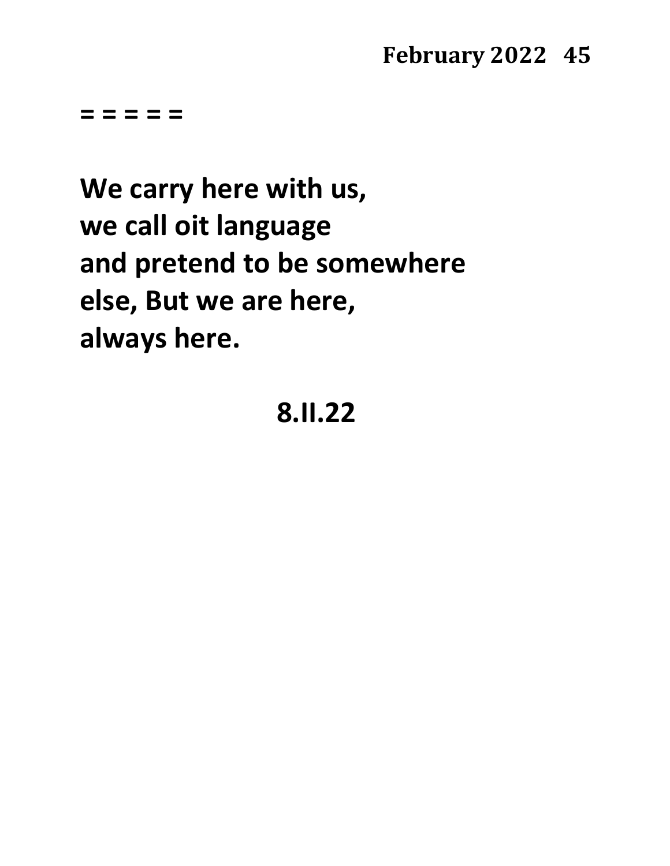**= = = = =**

**We carry here with us, we call oit language and pretend to be somewhere else, But we are here, always here.**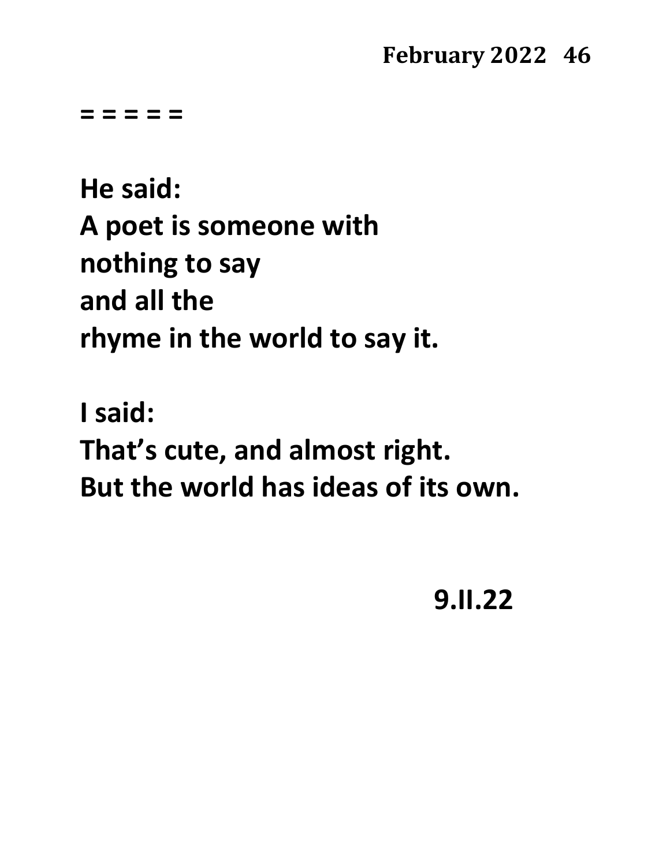**= = = = =** 

**He said: A poet is someone with nothing to say and all the rhyme in the world to say it.**

**I said: That's cute, and almost right. But the world has ideas of its own.**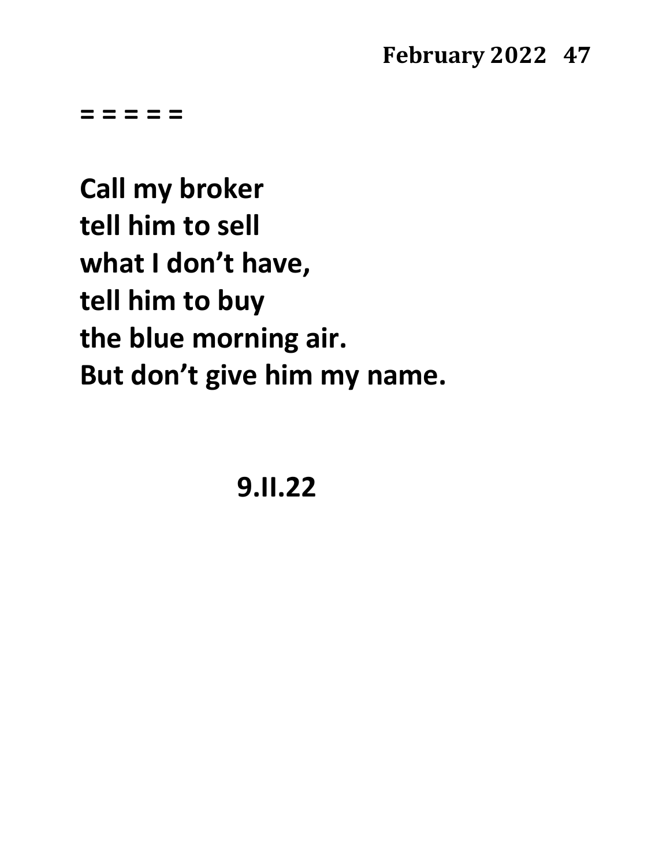**= = = = =**

**Call my broker tell him to sell what I don't have, tell him to buy the blue morning air. But don't give him my name.**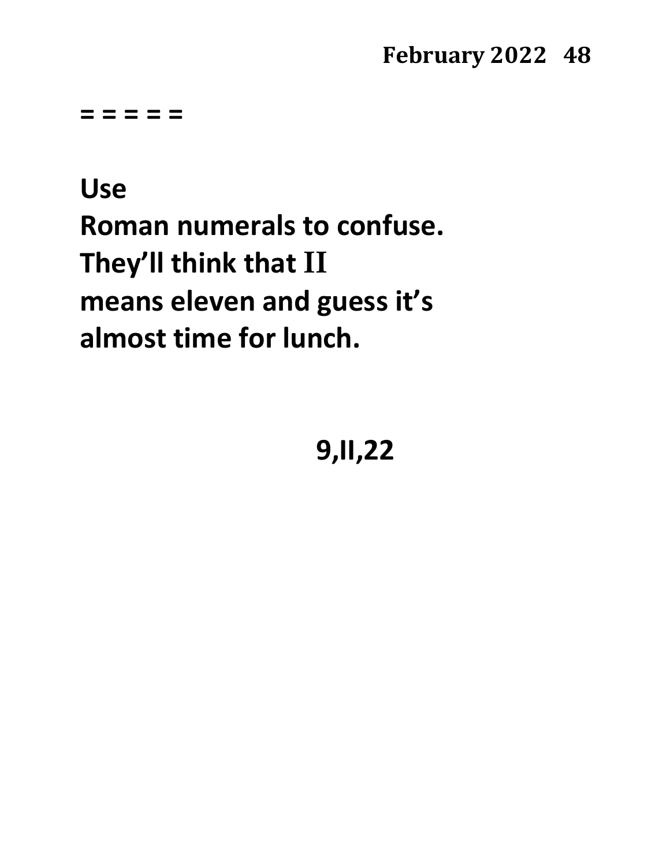**= = = = =**

# **Use Roman numerals to confuse. They'll think that II means eleven and guess it's almost time for lunch.**

**9,II,22**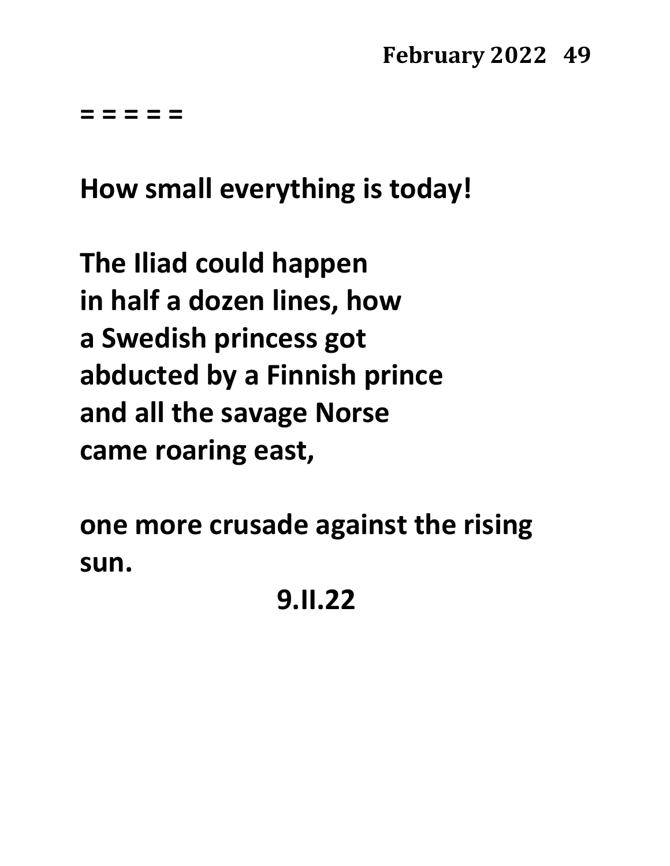**= = = = =**

**How small everything is today!**

**The Iliad could happen in half a dozen lines, how a Swedish princess got abducted by a Finnish prince and all the savage Norse came roaring east,**

**one more crusade against the rising sun.**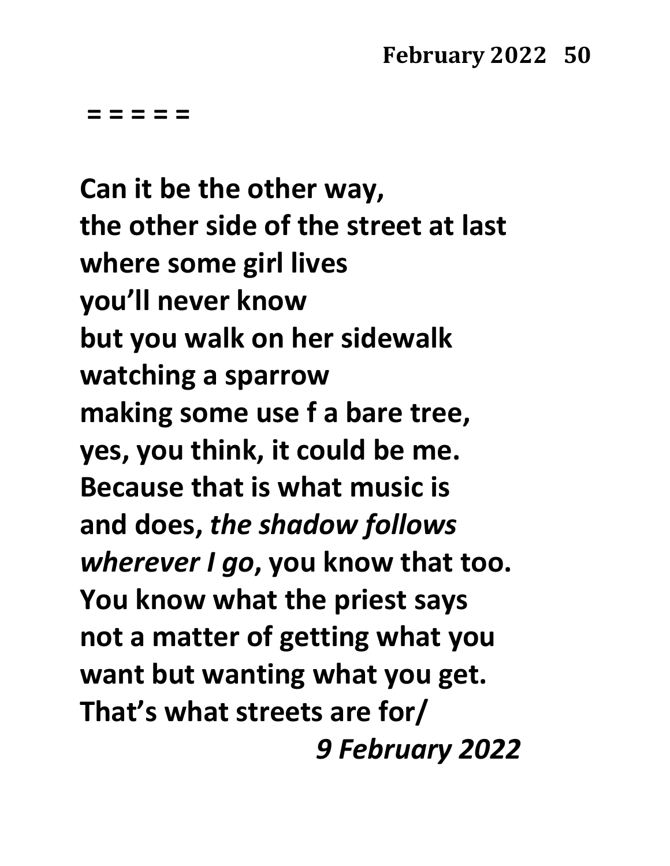**= = = = =**

**Can it be the other way, the other side of the street at last where some girl lives you'll never know but you walk on her sidewalk watching a sparrow making some use f a bare tree, yes, you think, it could be me. Because that is what music is and does,** *the shadow follows wherever I go***, you know that too. You know what the priest says not a matter of getting what you want but wanting what you get. That's what streets are for/** *9 February 2022*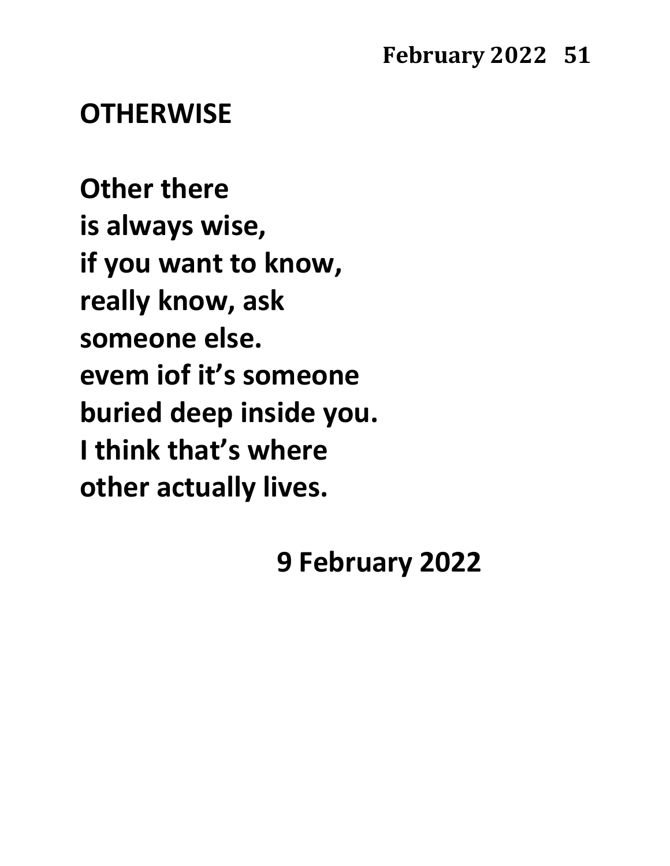### **OTHERWISE**

**Other there is always wise, if you want to know, really know, ask someone else. evem iof it's someone buried deep inside you. I think that's where other actually lives.**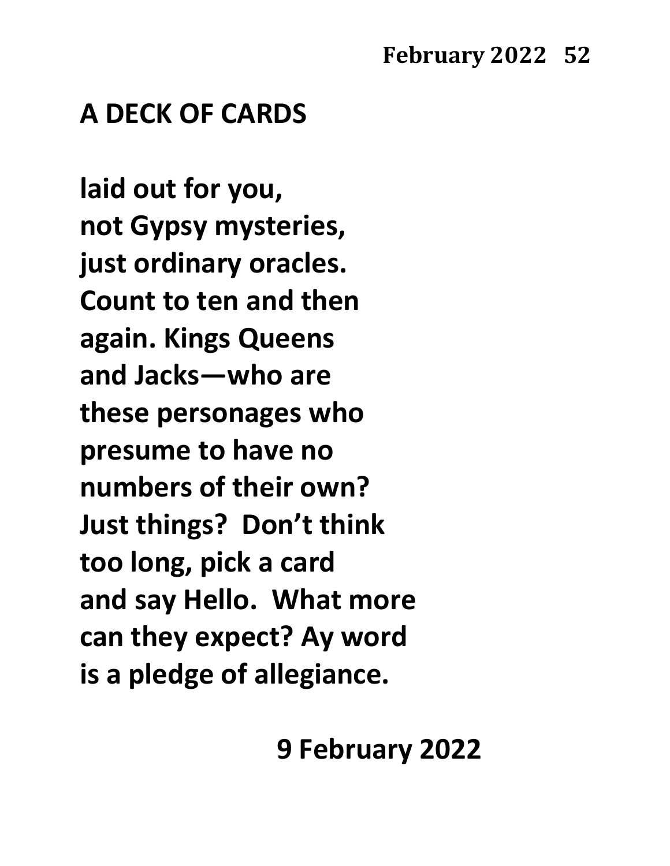# **A DECK OF CARDS**

**laid out for you, not Gypsy mysteries, just ordinary oracles. Count to ten and then again. Kings Queens and Jacks—who are these personages who presume to have no numbers of their own? Just things? Don't think too long, pick a card and say Hello. What more can they expect? Ay word is a pledge of allegiance.**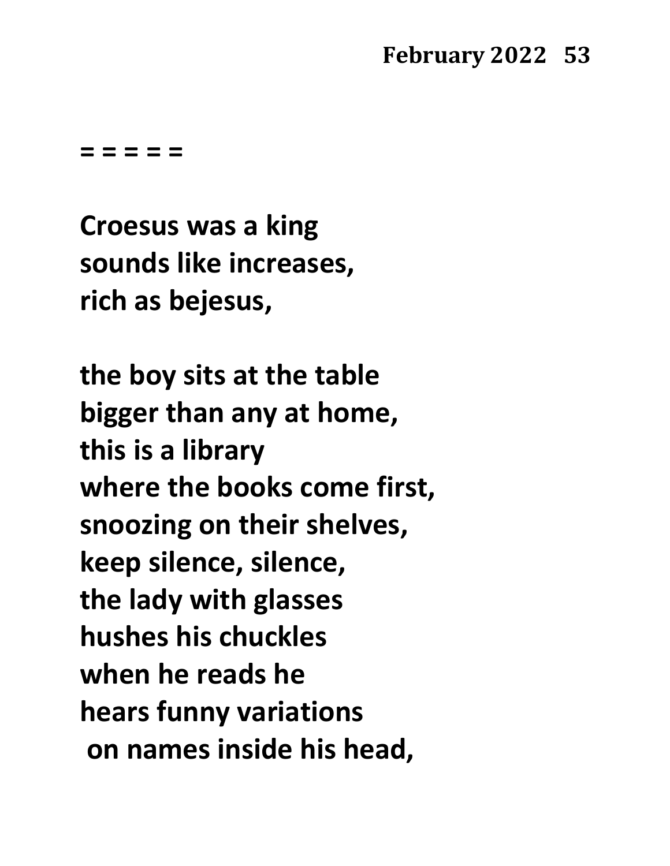**= = = = =**

**Croesus was a king sounds like increases, rich as bejesus,**

**the boy sits at the table bigger than any at home, this is a library where the books come first, snoozing on their shelves, keep silence, silence, the lady with glasses hushes his chuckles when he reads he hears funny variations on names inside his head,**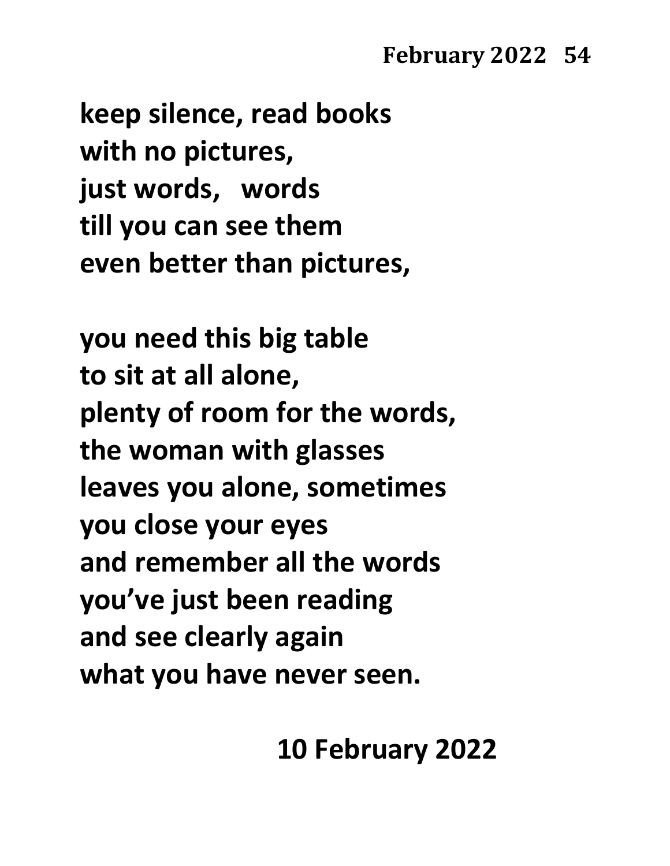**keep silence, read books with no pictures, just words, words till you can see them even better than pictures,**

**you need this big table to sit at all alone, plenty of room for the words, the woman with glasses leaves you alone, sometimes you close your eyes and remember all the words you've just been reading and see clearly again what you have never seen.**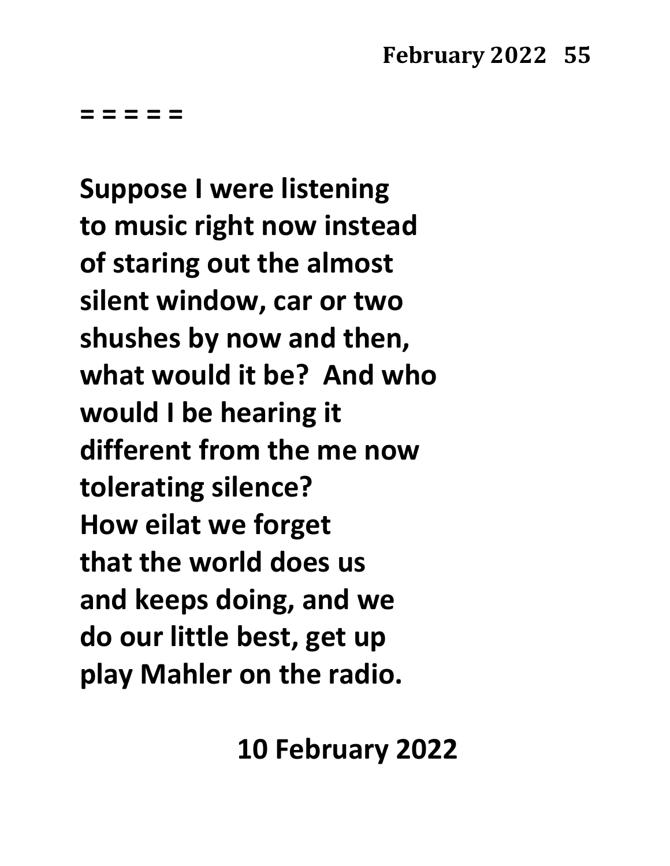**= = = = =**

**Suppose I were listening to music right now instead of staring out the almost silent window, car or two shushes by now and then, what would it be? And who would I be hearing it different from the me now tolerating silence? How eilat we forget that the world does us and keeps doing, and we do our little best, get up play Mahler on the radio.**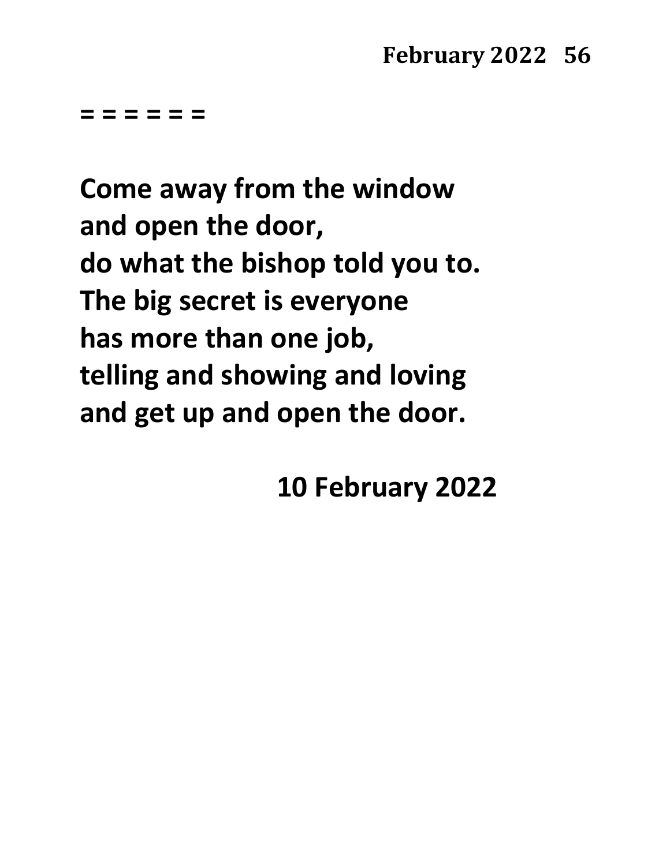**= = = = = =**

**Come away from the window and open the door, do what the bishop told you to. The big secret is everyone has more than one job, telling and showing and loving and get up and open the door.**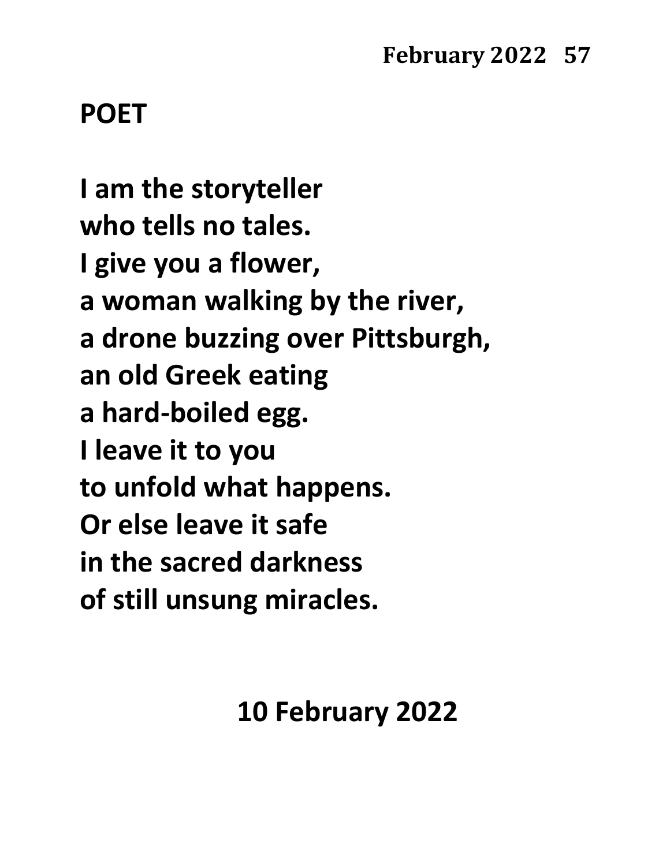# **POET**

**I am the storyteller who tells no tales. I give you a flower, a woman walking by the river, a drone buzzing over Pittsburgh, an old Greek eating a hard-boiled egg. I leave it to you to unfold what happens. Or else leave it safe in the sacred darkness of still unsung miracles.**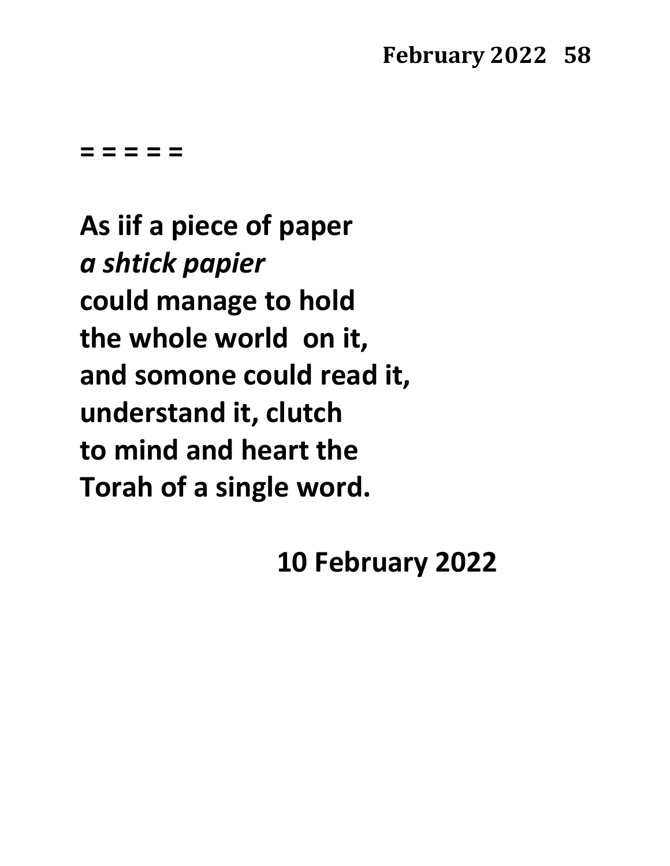**= = = = =**

**As iif a piece of paper** *a shtick papier* **could manage to hold the whole world on it, and somone could read it, understand it, clutch to mind and heart the Torah of a single word.**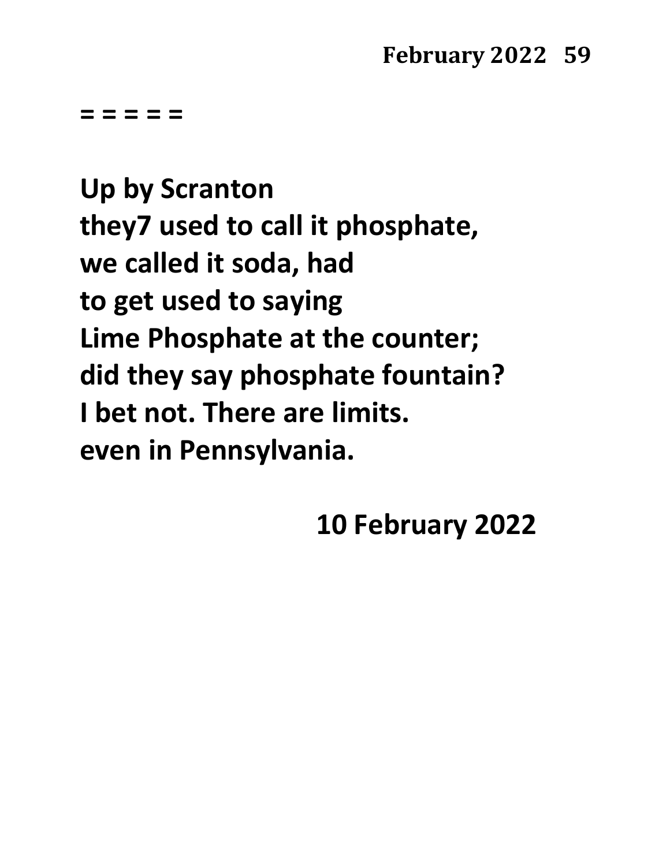**= = = = =**

**Up by Scranton they7 used to call it phosphate, we called it soda, had to get used to saying Lime Phosphate at the counter; did they say phosphate fountain? I bet not. There are limits. even in Pennsylvania.**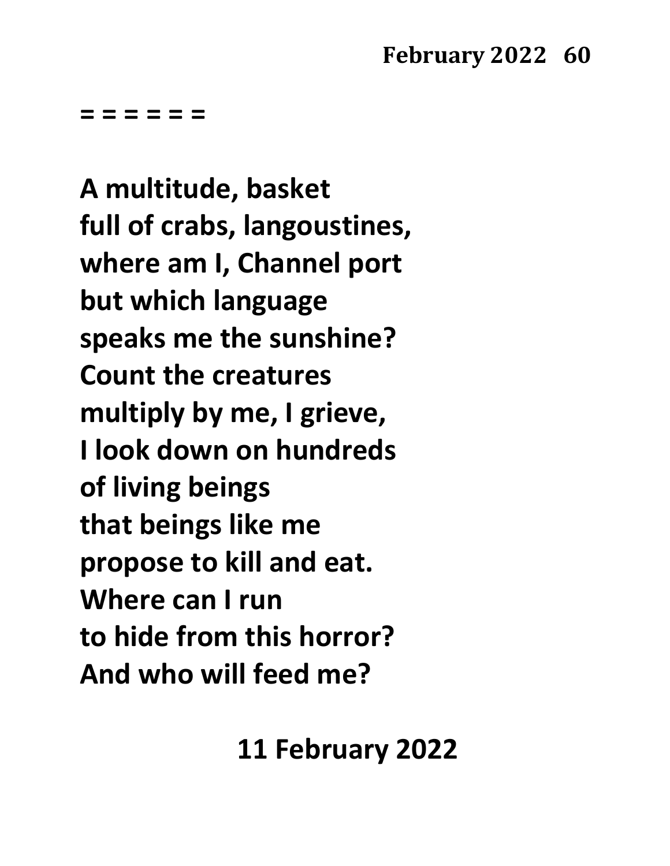**= = = = = =**

**A multitude, basket full of crabs, langoustines, where am I, Channel port but which language speaks me the sunshine? Count the creatures multiply by me, I grieve, I look down on hundreds of living beings that beings like me propose to kill and eat. Where can I run to hide from this horror? And who will feed me?**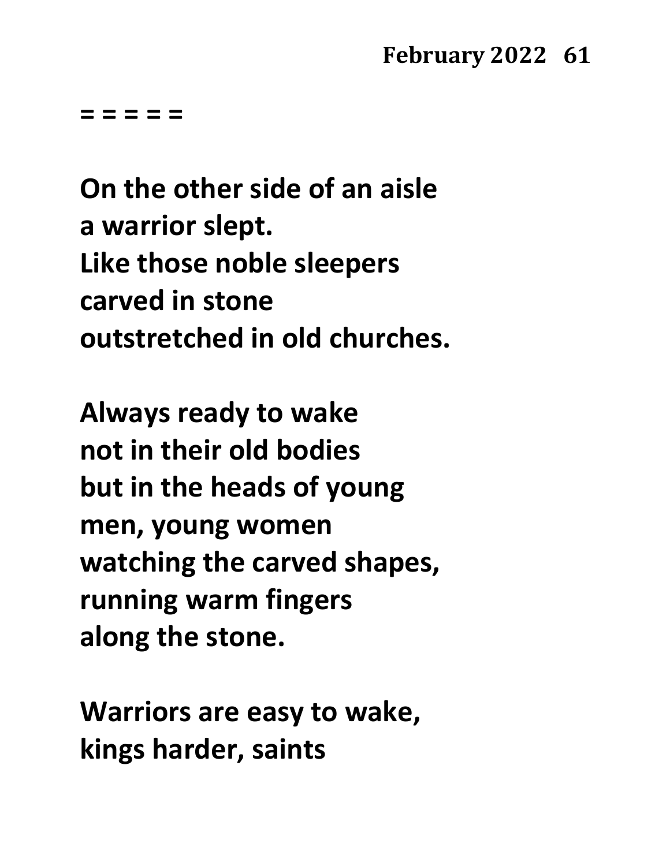**= = = = =**

**On the other side of an aisle a warrior slept. Like those noble sleepers carved in stone outstretched in old churches.**

**Always ready to wake not in their old bodies but in the heads of young men, young women watching the carved shapes, running warm fingers along the stone.**

**Warriors are easy to wake, kings harder, saints**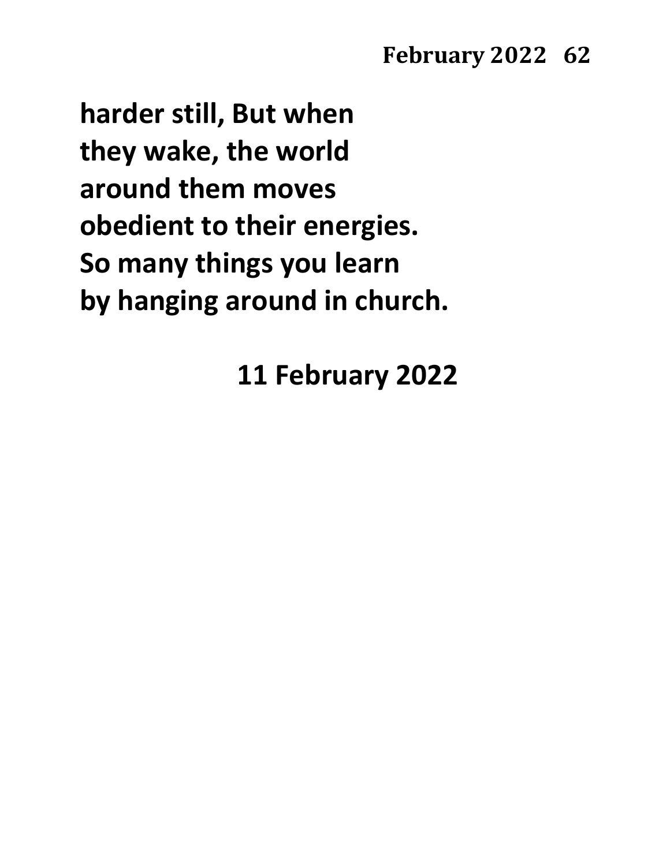**harder still, But when they wake, the world around them moves obedient to their energies. So many things you learn by hanging around in church.**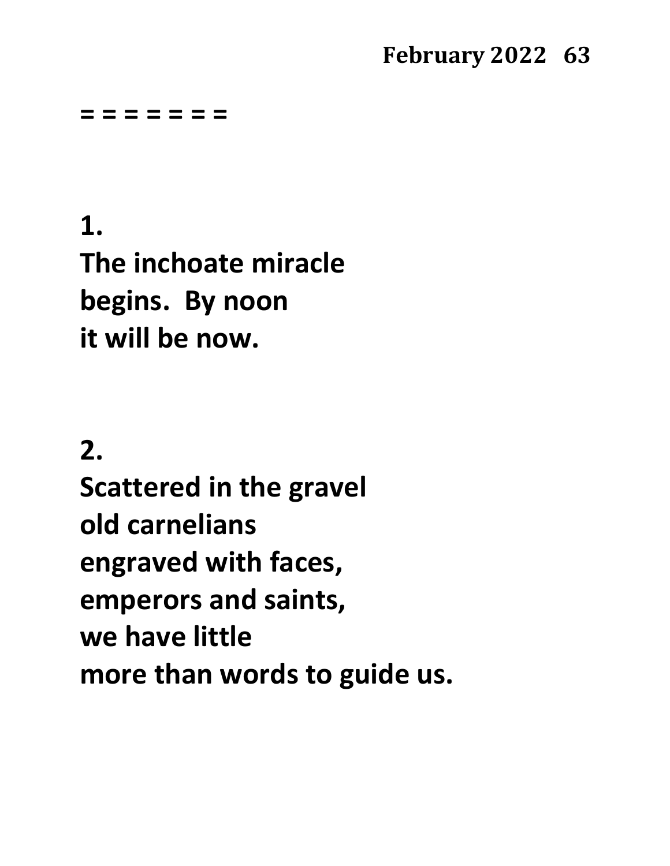#### **= = = = = = =**

**1. The inchoate miracle begins. By noon it will be now.**

### **2.**

**Scattered in the gravel old carnelians engraved with faces, emperors and saints, we have little more than words to guide us.**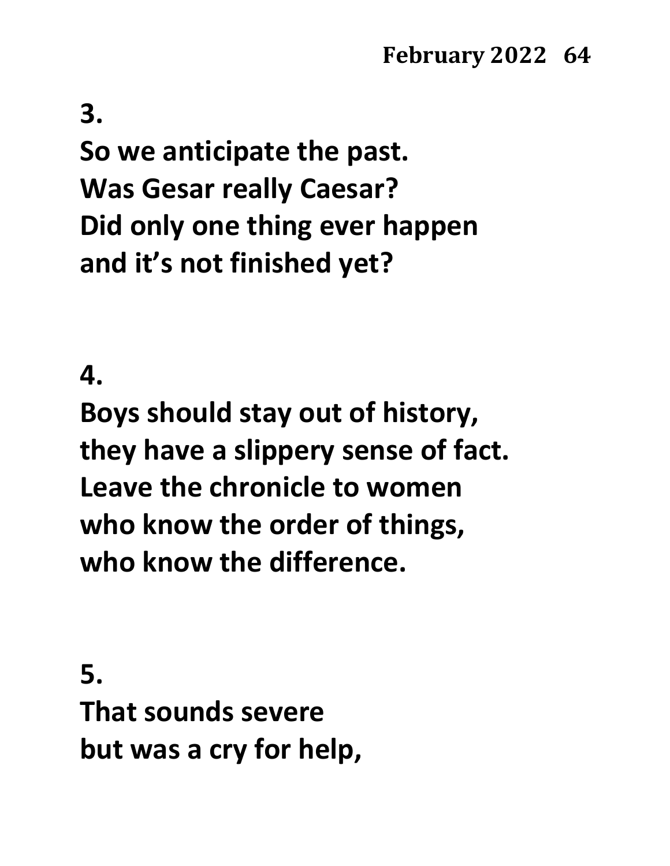### **3.**

**So we anticipate the past. Was Gesar really Caesar? Did only one thing ever happen and it's not finished yet?**

#### **4.**

**Boys should stay out of history, they have a slippery sense of fact. Leave the chronicle to women who know the order of things, who know the difference.**

**5. That sounds severe but was a cry for help,**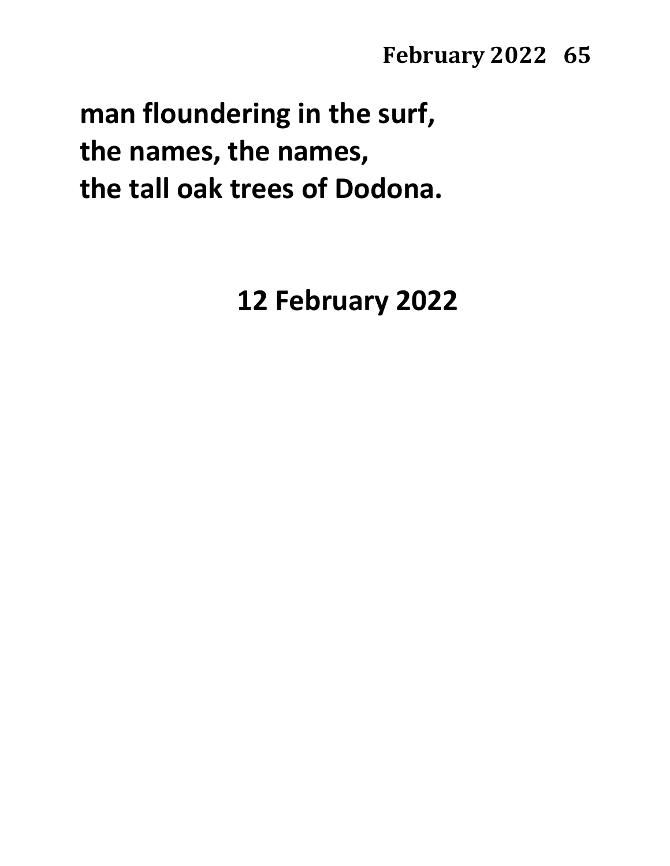**man floundering in the surf, the names, the names, the tall oak trees of Dodona.**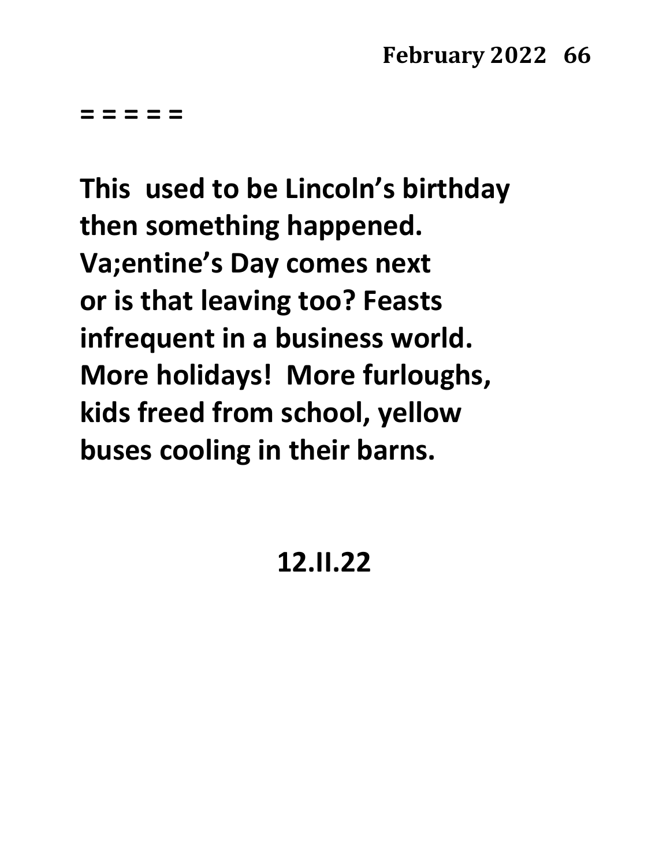**= = = = =**

**This used to be Lincoln's birthday then something happened. Va;entine's Day comes next or is that leaving too? Feasts infrequent in a business world. More holidays! More furloughs, kids freed from school, yellow buses cooling in their barns.**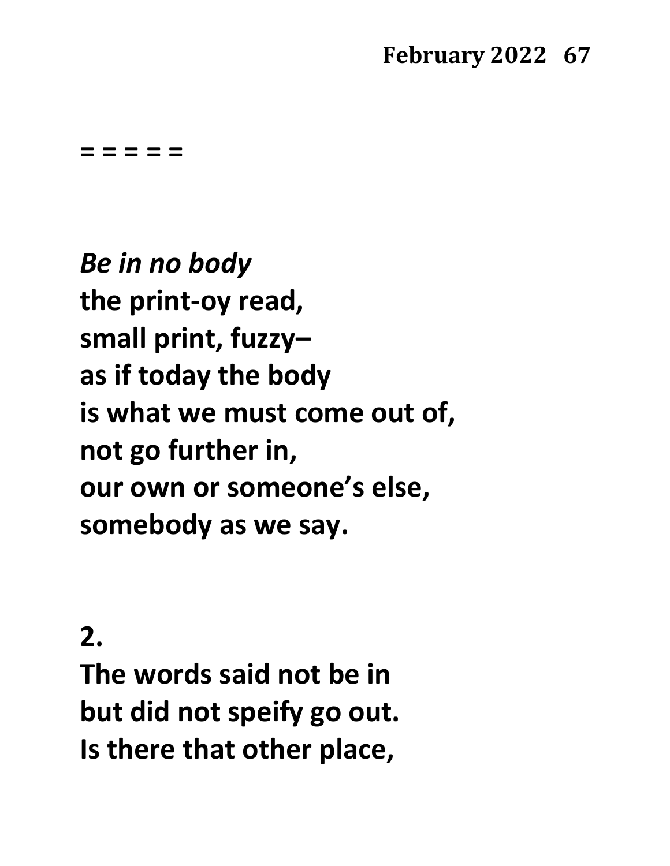**= = = = =**

*Be in no body* **the print-oy read, small print, fuzzy– as if today the body is what we must come out of, not go further in, our own or someone's else, somebody as we say.**

# **2.**

**The words said not be in but did not speify go out. Is there that other place,**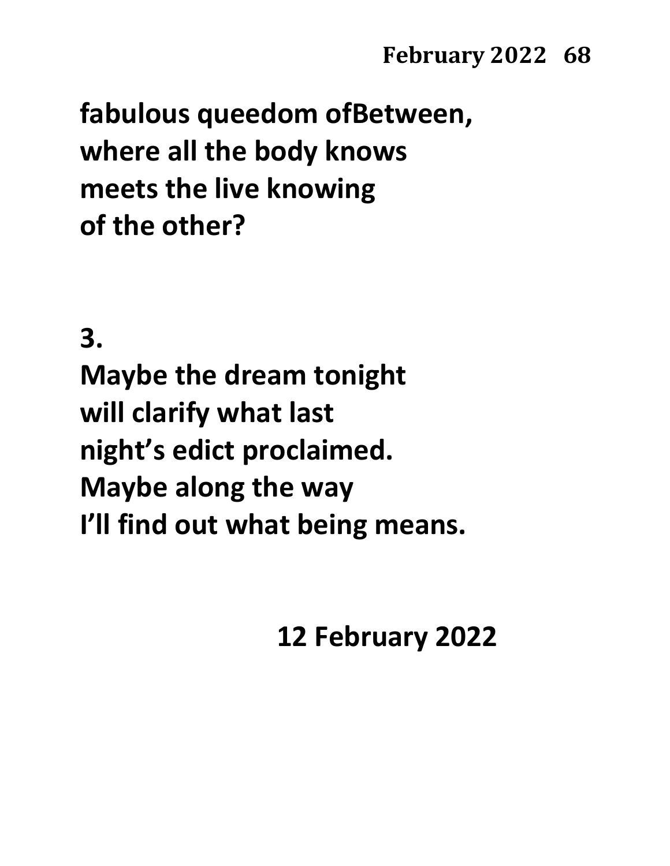**fabulous queedom ofBetween, where all the body knows meets the live knowing of the other?**

**3.**

**Maybe the dream tonight will clarify what last night's edict proclaimed. Maybe along the way I'll find out what being means.**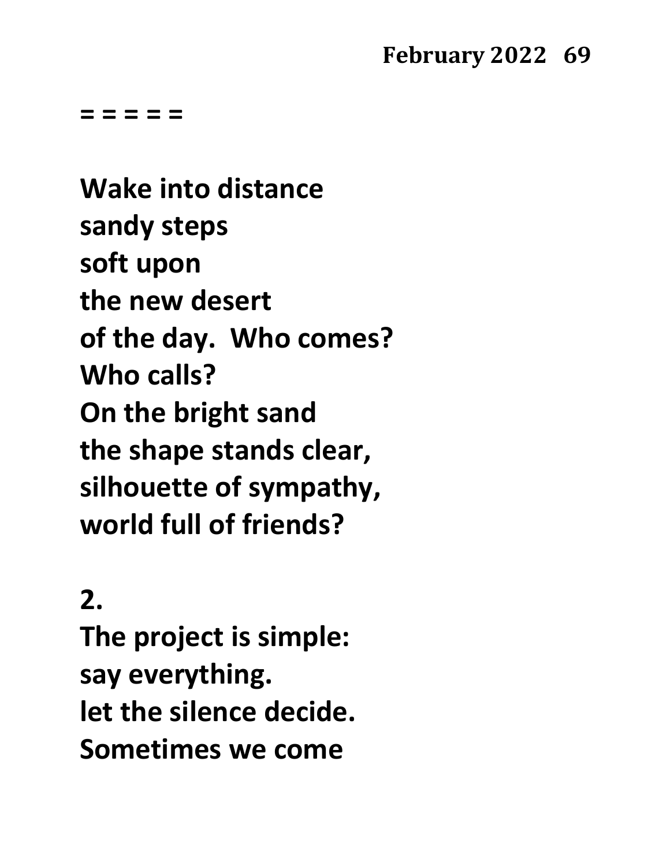**= = = = =**

**Wake into distance sandy steps soft upon the new desert of the day. Who comes? Who calls? On the bright sand the shape stands clear, silhouette of sympathy, world full of friends?**

# **2.**

**The project is simple: say everything. let the silence decide. Sometimes we come**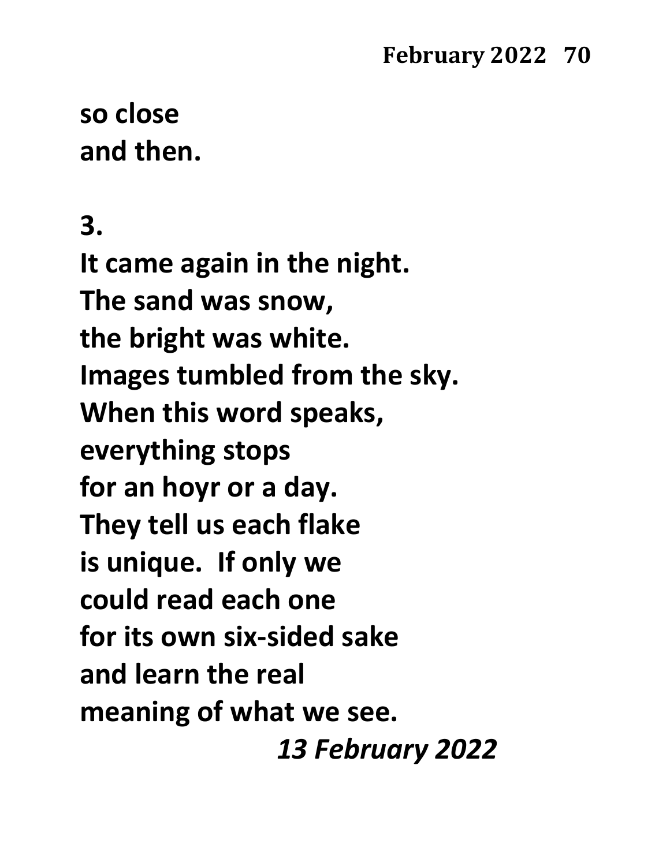# **so close and then.**

**3.**

**It came again in the night. The sand was snow, the bright was white. Images tumbled from the sky. When this word speaks, everything stops for an hoyr or a day. They tell us each flake is unique. If only we could read each one for its own six-sided sake and learn the real meaning of what we see.** *13 February 2022*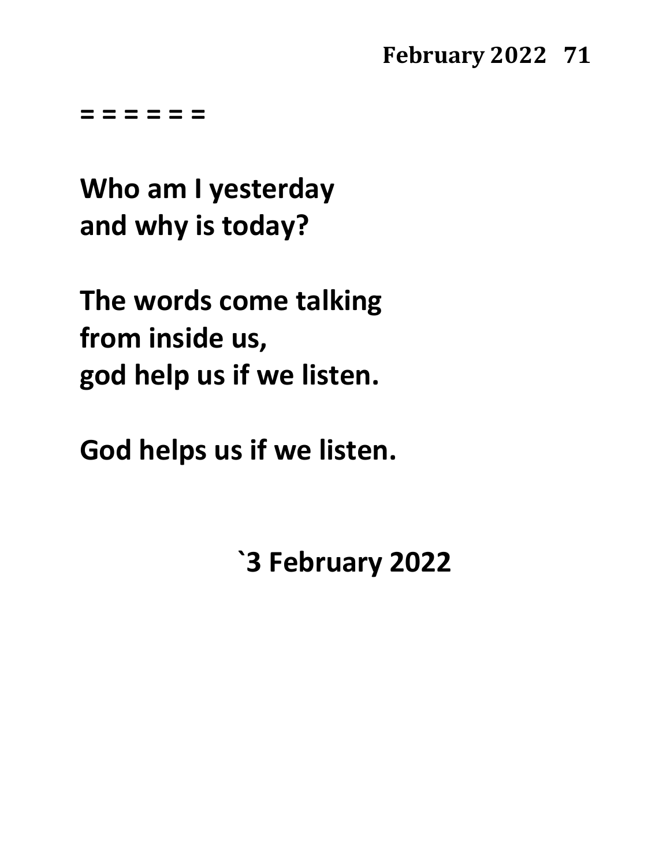**= = = = = =**

**Who am I yesterday and why is today?**

**The words come talking from inside us, god help us if we listen.**

**God helps us if we listen.**

**`3 February 2022**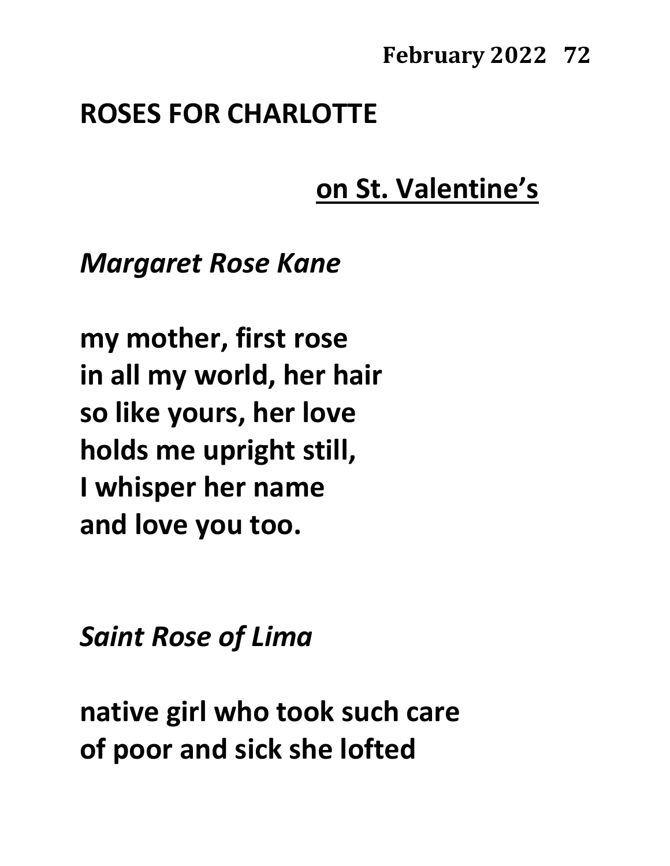### **ROSES FOR CHARLOTTE**

# **on St. Valentine's**

*Margaret Rose Kane*

**my mother, first rose in all my world, her hair so like yours, her love holds me upright still, I whisper her name and love you too.**

*Saint Rose of Lima*

**native girl who took such care of poor and sick she lofted**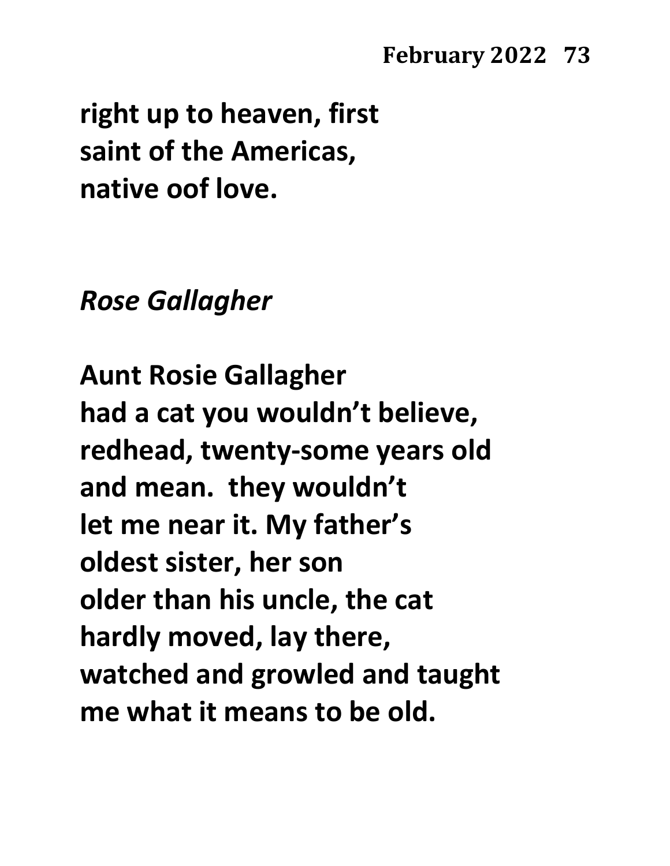**right up to heaven, first saint of the Americas, native oof love.**

### *Rose Gallagher*

**Aunt Rosie Gallagher had a cat you wouldn't believe, redhead, twenty-some years old and mean. they wouldn't let me near it. My father's oldest sister, her son older than his uncle, the cat hardly moved, lay there, watched and growled and taught me what it means to be old.**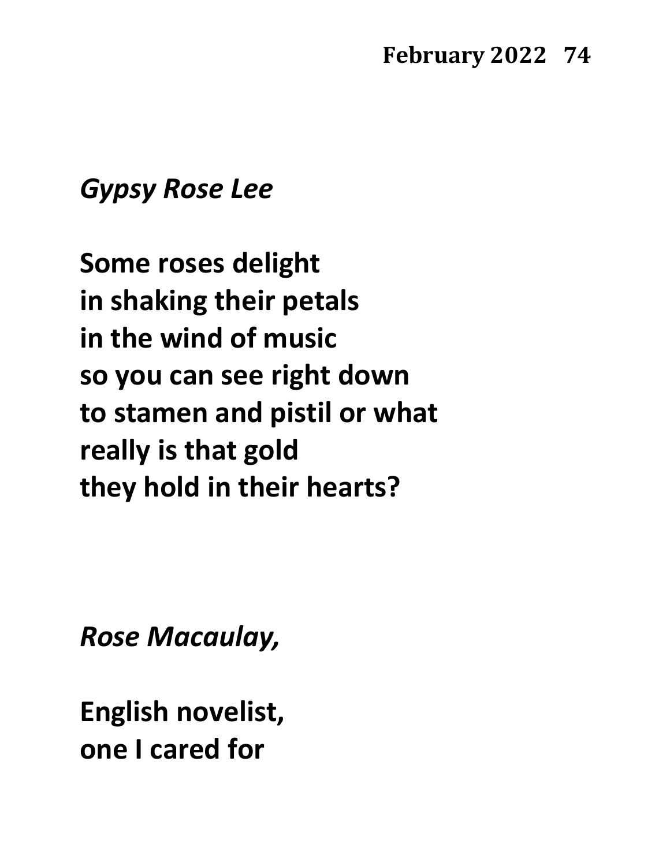### *Gypsy Rose Lee*

**Some roses delight in shaking their petals in the wind of music so you can see right down to stamen and pistil or what really is that gold they hold in their hearts?**

*Rose Macaulay,*

**English novelist, one I cared for**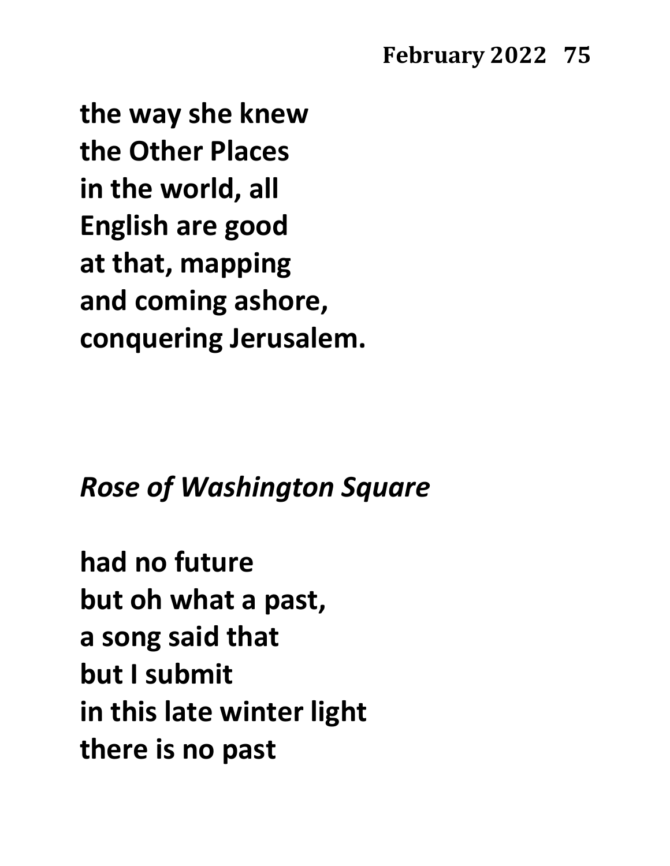**the way she knew the Other Places in the world, all English are good at that, mapping and coming ashore, conquering Jerusalem.**

## *Rose of Washington Square*

**had no future but oh what a past, a song said that but I submit in this late winter light there is no past**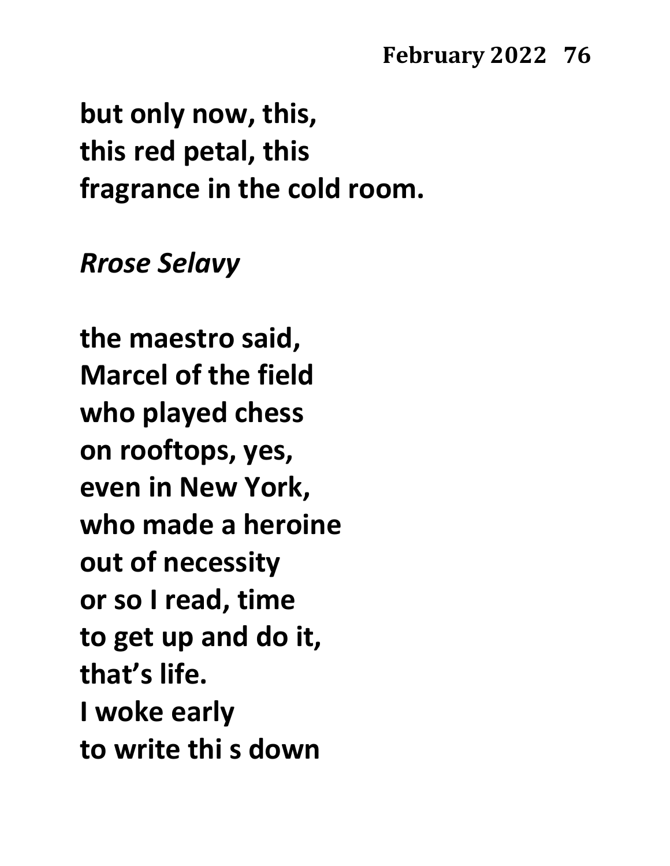**but only now, this, this red petal, this fragrance in the cold room.**

### *Rrose Selavy*

**the maestro said, Marcel of the field who played chess on rooftops, yes, even in New York, who made a heroine out of necessity or so I read, time to get up and do it, that's life. I woke early to write thi s down**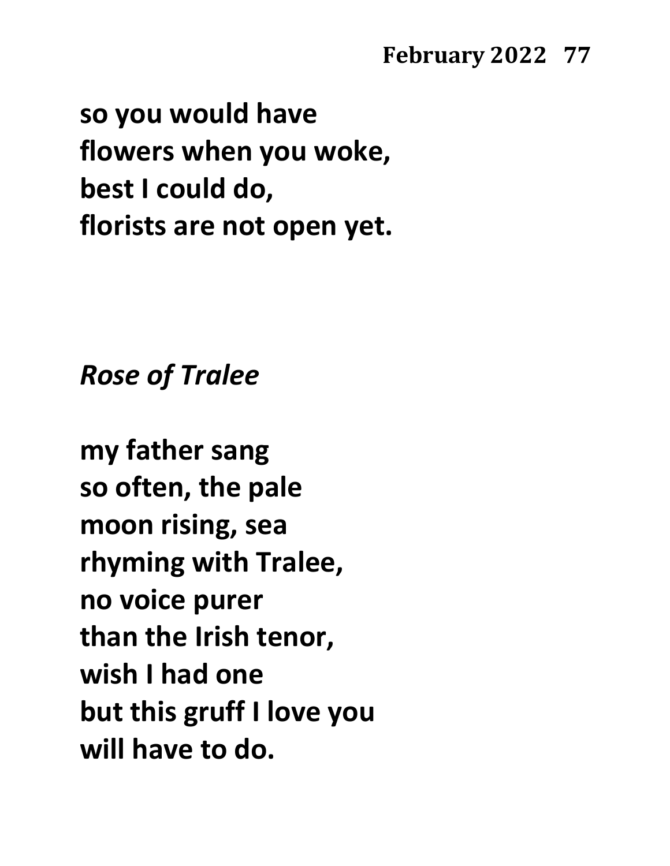**so you would have flowers when you woke, best I could do, florists are not open yet.**

*Rose of Tralee*

**my father sang so often, the pale moon rising, sea rhyming with Tralee, no voice purer than the Irish tenor, wish I had one but this gruff I love you will have to do.**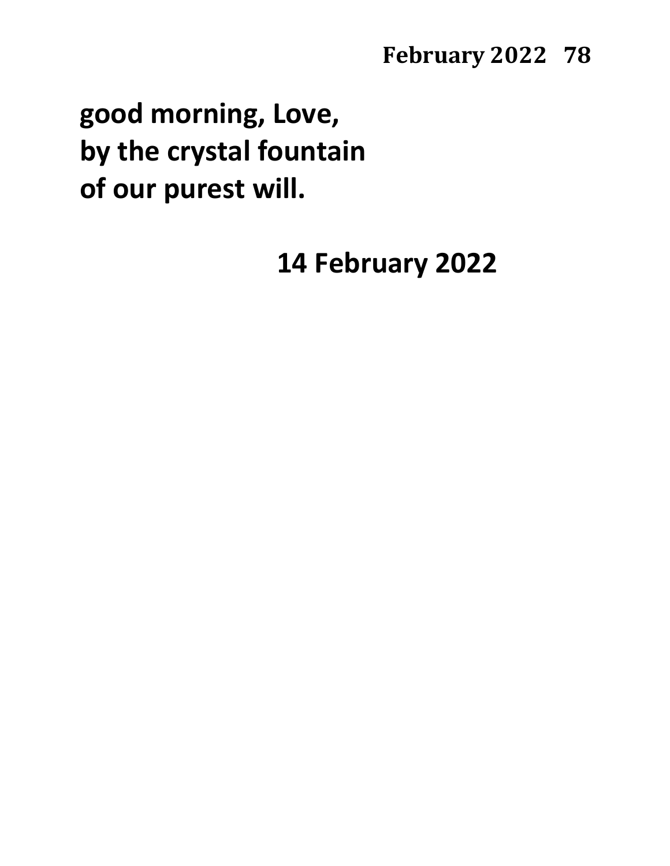# **good morning, Love, by the crystal fountain of our purest will.**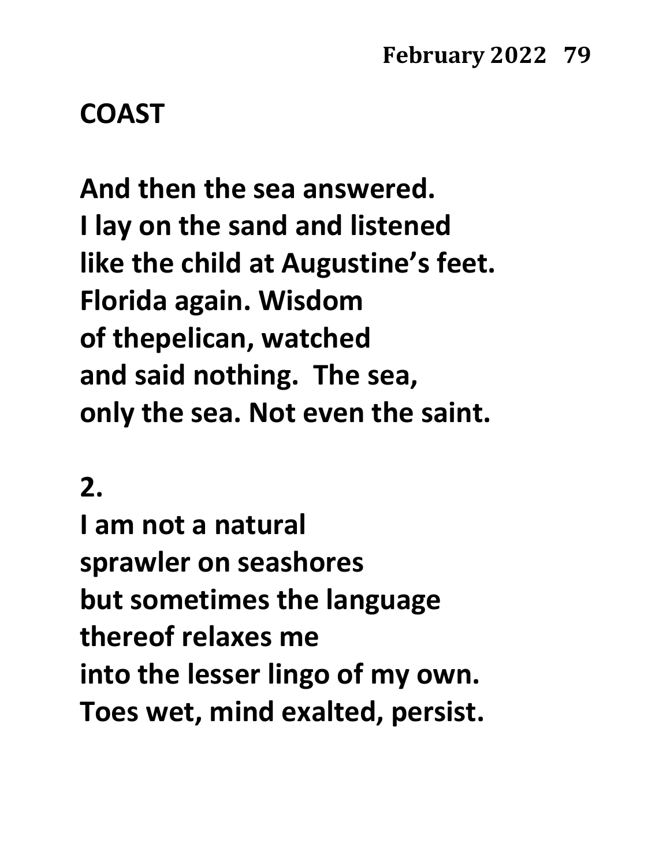### **COAST**

**And then the sea answered. I lay on the sand and listened like the child at Augustine's feet. Florida again. Wisdom of thepelican, watched and said nothing. The sea, only the sea. Not even the saint.**

### **2.**

**I am not a natural sprawler on seashores but sometimes the language thereof relaxes me into the lesser lingo of my own. Toes wet, mind exalted, persist.**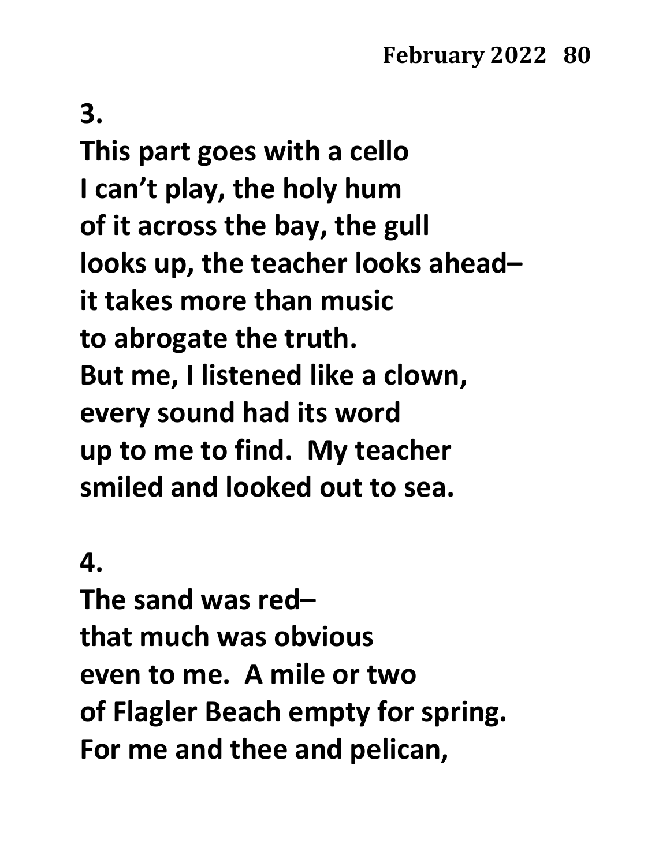**This part goes with a cello I can't play, the holy hum of it across the bay, the gull looks up, the teacher looks ahead– it takes more than music to abrogate the truth. But me, I listened like a clown, every sound had its word up to me to find. My teacher smiled and looked out to sea.**

#### **4.**

**The sand was red– that much was obvious even to me. A mile or two of Flagler Beach empty for spring. For me and thee and pelican,**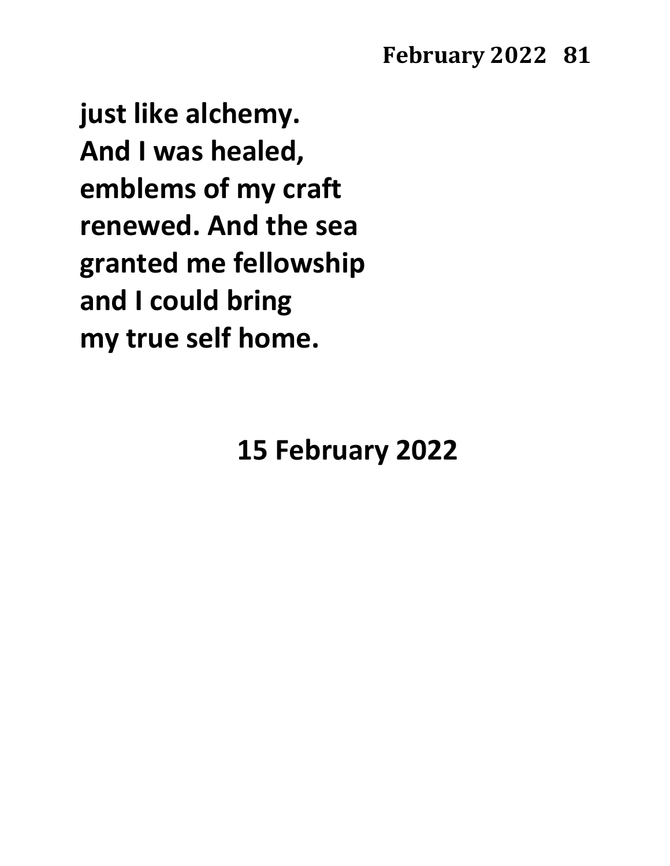**just like alchemy. And I was healed, emblems of my craft renewed. And the sea granted me fellowship and I could bring my true self home.**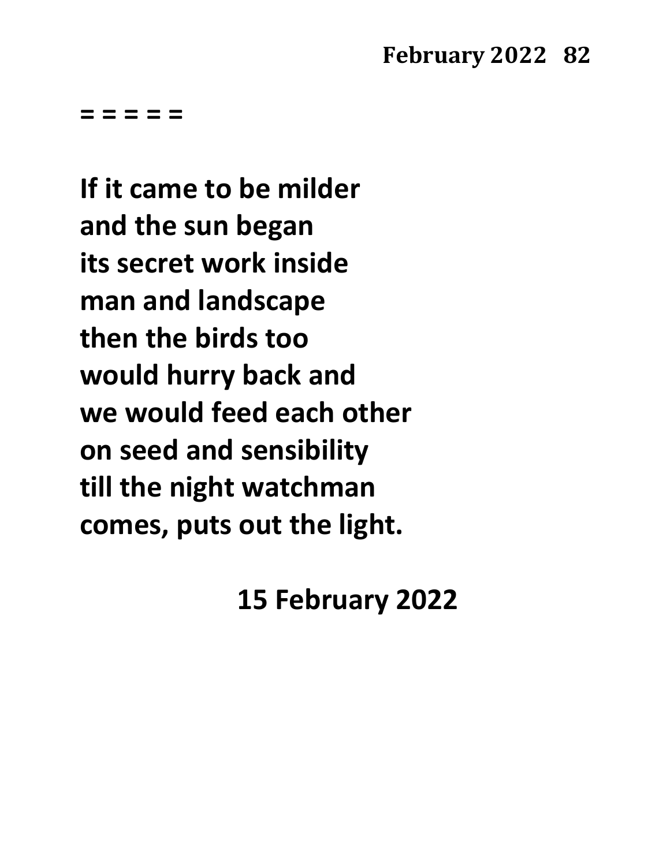**= = = = =**

**If it came to be milder and the sun began its secret work inside man and landscape then the birds too would hurry back and we would feed each other on seed and sensibility till the night watchman comes, puts out the light.**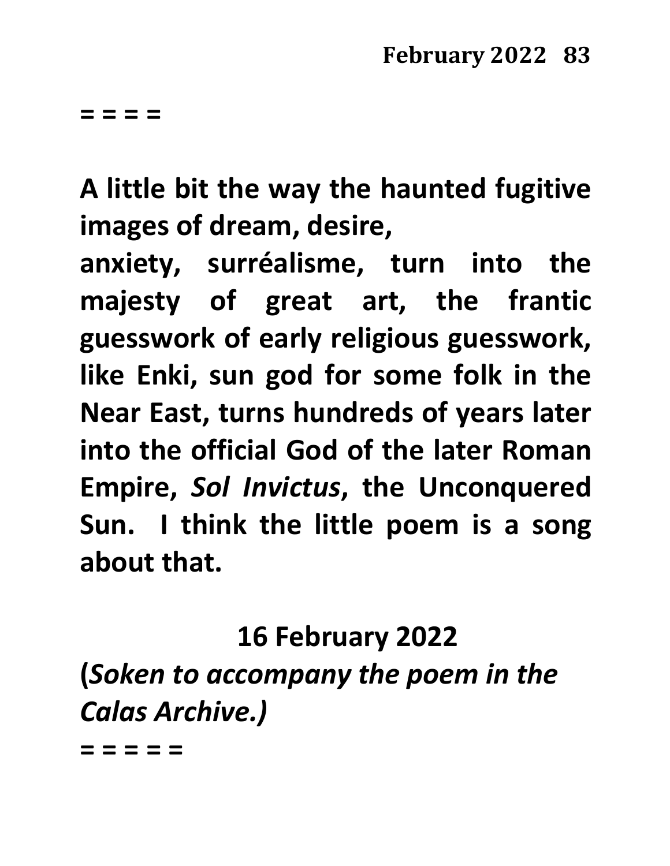**A little bit the way the haunted fugitive images of dream, desire,**

**anxiety, surréalisme, turn into the majesty of great art, the frantic guesswork of early religious guesswork, like Enki, sun god for some folk in the Near East, turns hundreds of years later into the official God of the later Roman Empire,** *Sol Invictus***, the Unconquered Sun. I think the little poem is a song about that.**

**16 February 2022**

**(***Soken to accompany the poem in the Calas Archive.)*

**= = = = =**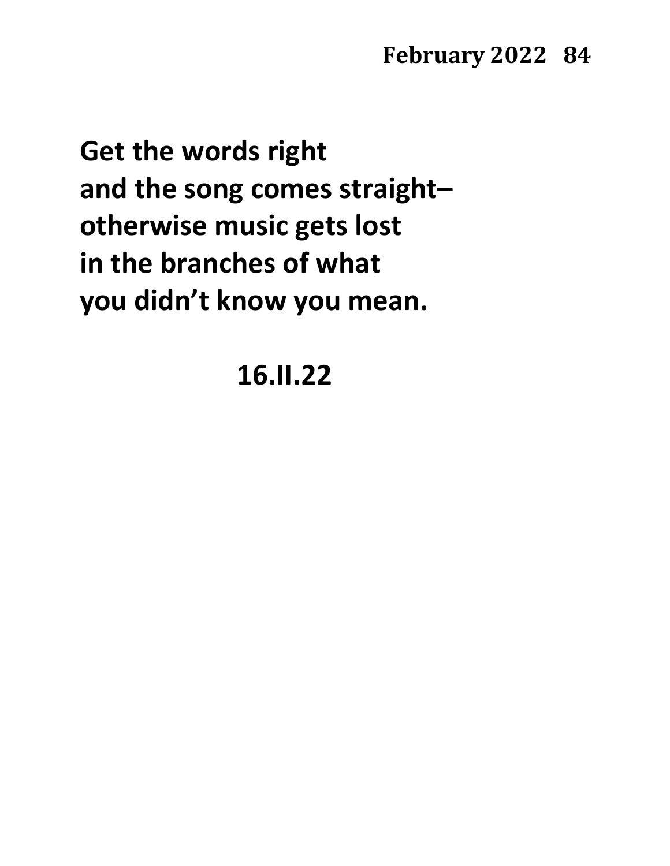**Get the words right and the song comes straight– otherwise music gets lost in the branches of what you didn't know you mean.**

# **16.II.22**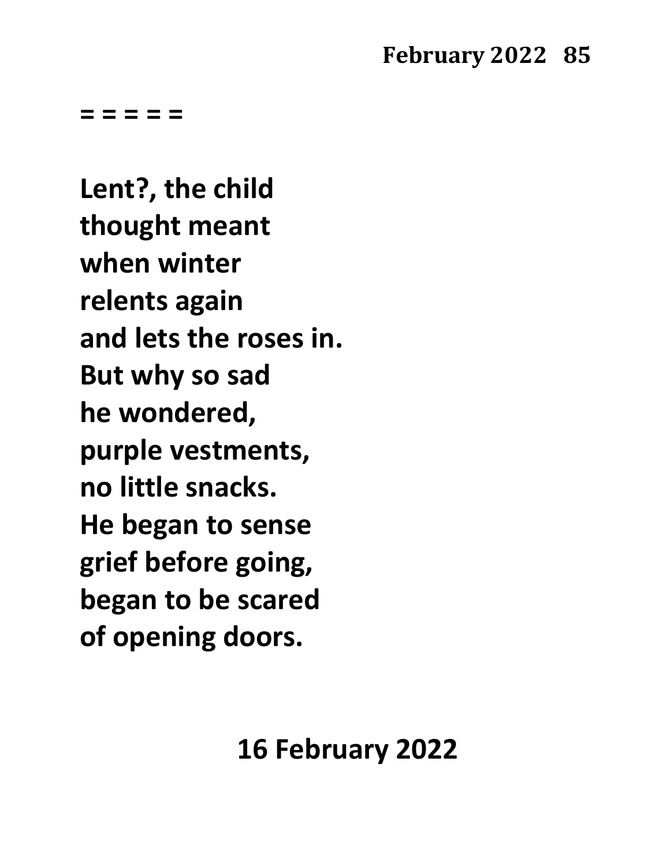**= = = = =**

**Lent?, the child thought meant when winter relents again and lets the roses in. But why so sad he wondered, purple vestments, no little snacks. He began to sense grief before going, began to be scared of opening doors.**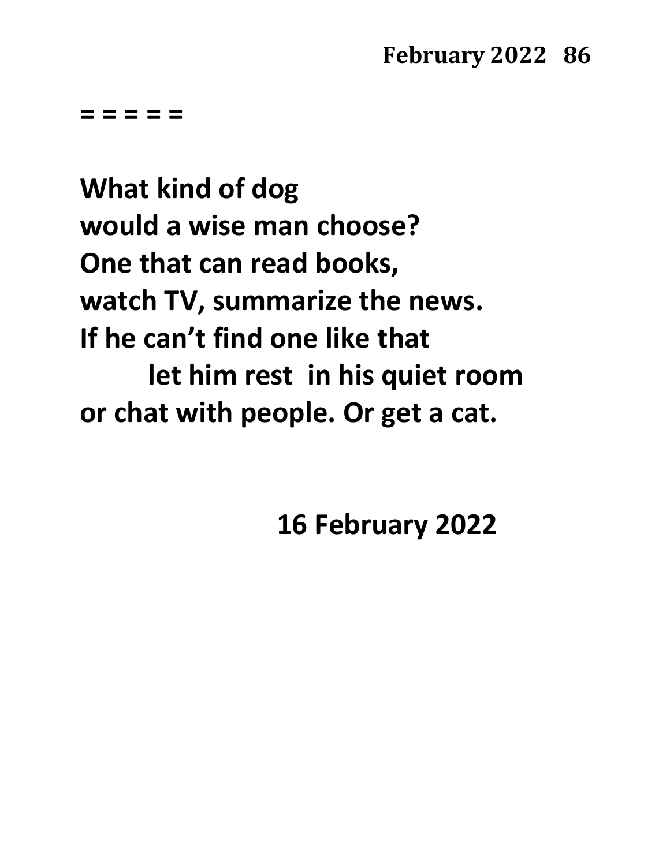**= = = = =**

**What kind of dog would a wise man choose? One that can read books, watch TV, summarize the news. If he can't find one like that let him rest in his quiet room or chat with people. Or get a cat.**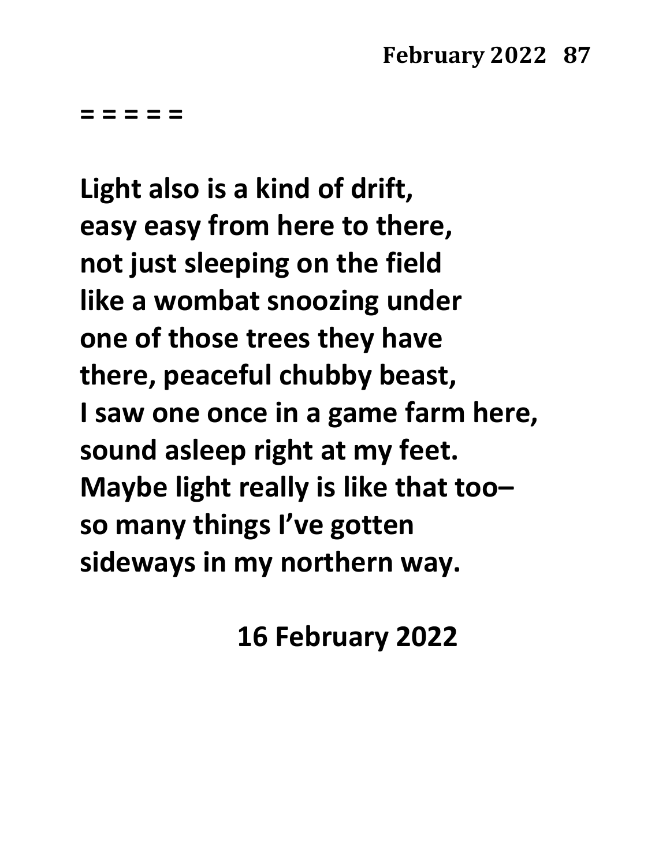**= = = = =**

**Light also is a kind of drift, easy easy from here to there, not just sleeping on the field like a wombat snoozing under one of those trees they have there, peaceful chubby beast, I saw one once in a game farm here, sound asleep right at my feet. Maybe light really is like that too– so many things I've gotten sideways in my northern way.**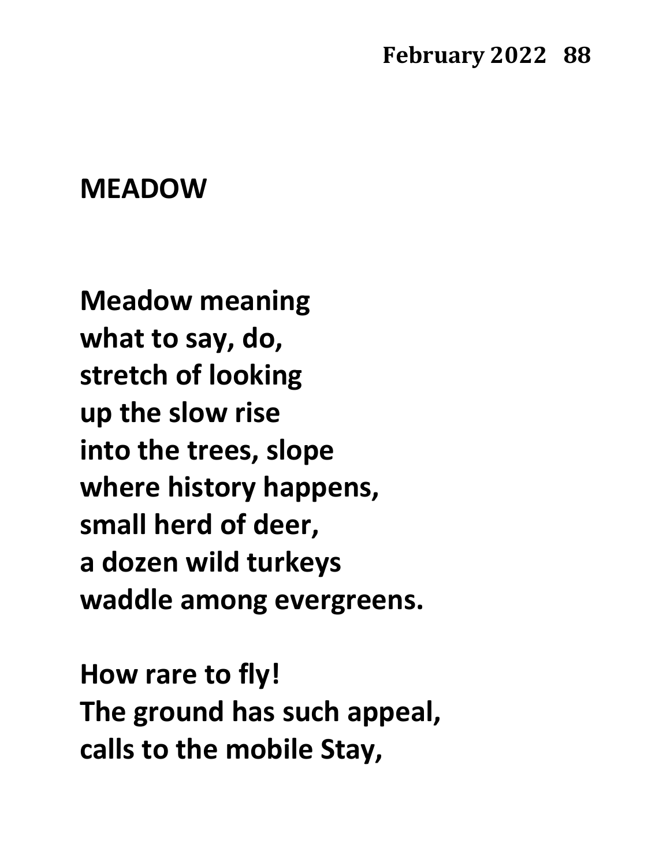### **MEADOW**

**Meadow meaning what to say, do, stretch of looking up the slow rise into the trees, slope where history happens, small herd of deer, a dozen wild turkeys waddle among evergreens.**

**How rare to fly! The ground has such appeal, calls to the mobile Stay,**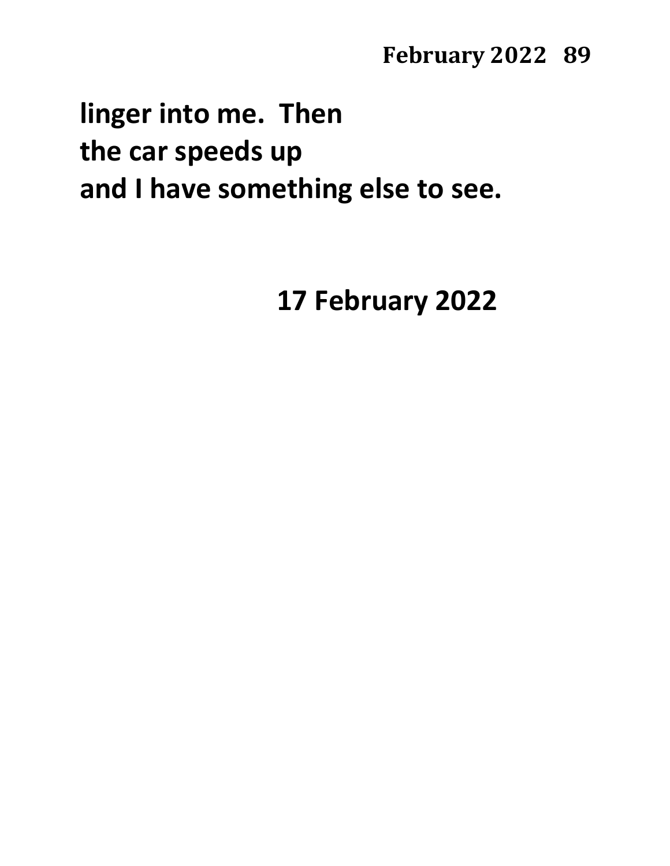# **linger into me. Then the car speeds up and I have something else to see.**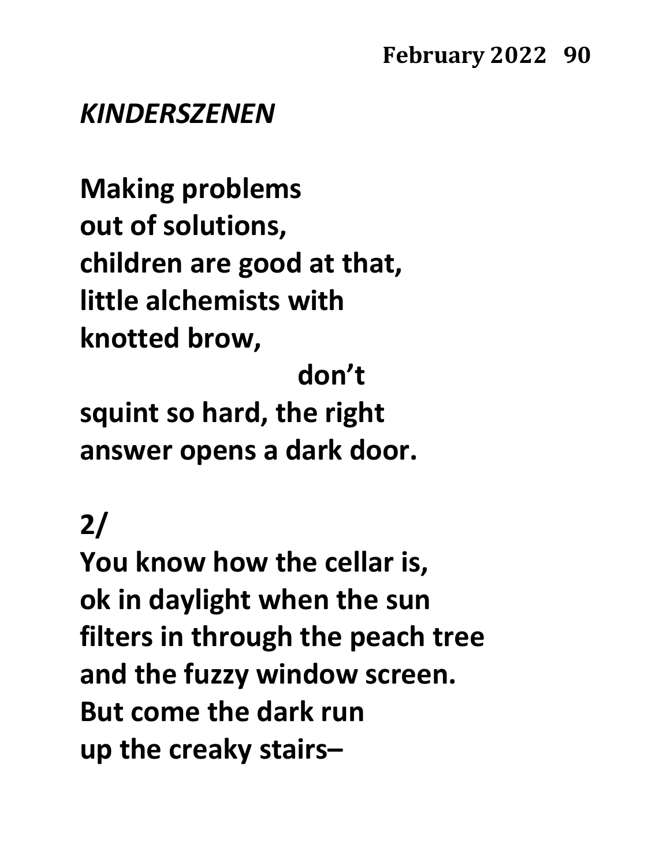### *KINDERSZENEN*

**Making problems out of solutions, children are good at that, little alchemists with knotted brow,**

 **don't**

**squint so hard, the right answer opens a dark door.**

# **2/**

**You know how the cellar is, ok in daylight when the sun filters in through the peach tree and the fuzzy window screen. But come the dark run up the creaky stairs–**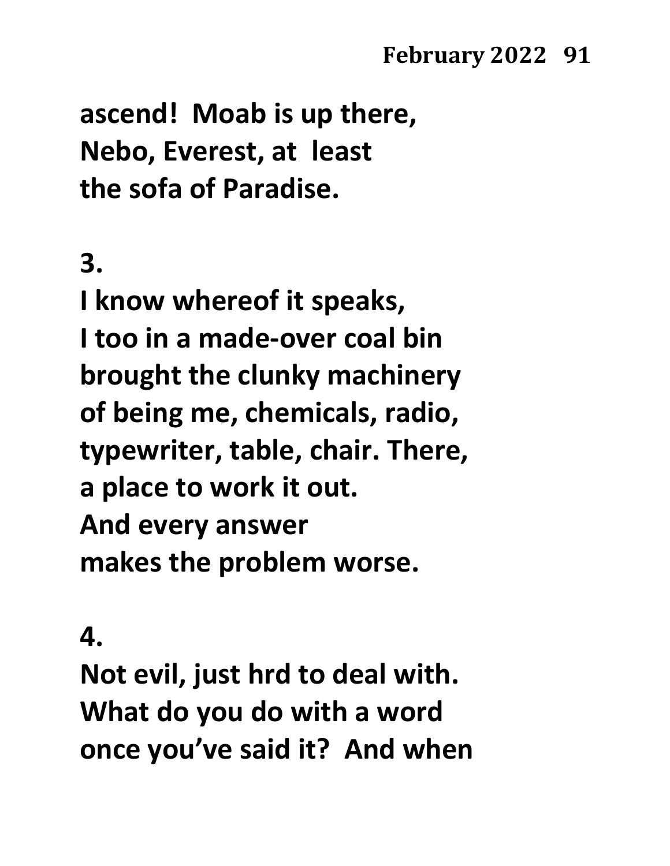**ascend! Moab is up there, Nebo, Everest, at least the sofa of Paradise.**

# **3.**

**I know whereof it speaks, I too in a made-over coal bin brought the clunky machinery of being me, chemicals, radio, typewriter, table, chair. There, a place to work it out. And every answer makes the problem worse.**

**4.**

**Not evil, just hrd to deal with. What do you do with a word once you've said it? And when**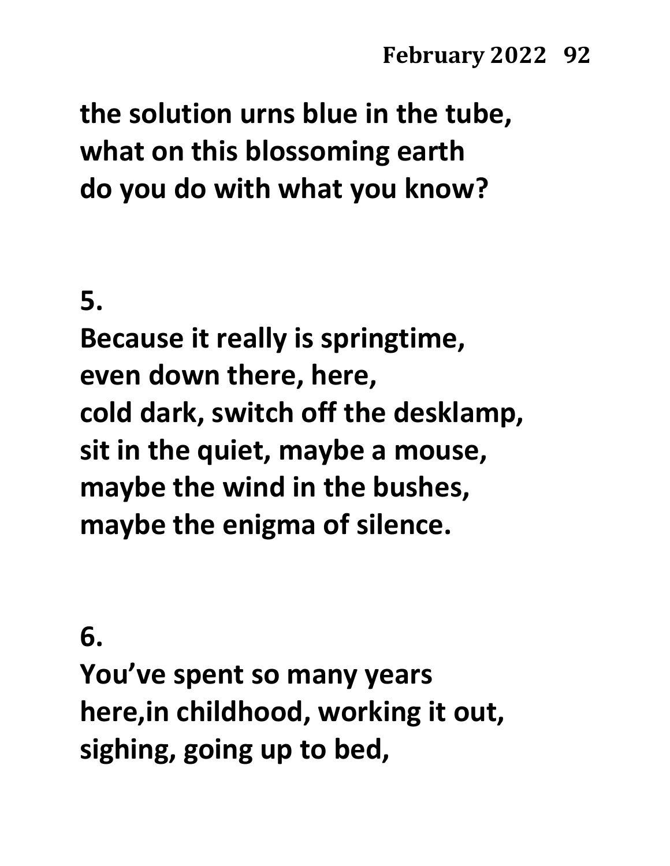**the solution urns blue in the tube, what on this blossoming earth do you do with what you know?**

**5.**

**Because it really is springtime, even down there, here, cold dark, switch off the desklamp, sit in the quiet, maybe a mouse, maybe the wind in the bushes, maybe the enigma of silence.**

**6.**

**You've spent so many years here,in childhood, working it out, sighing, going up to bed,**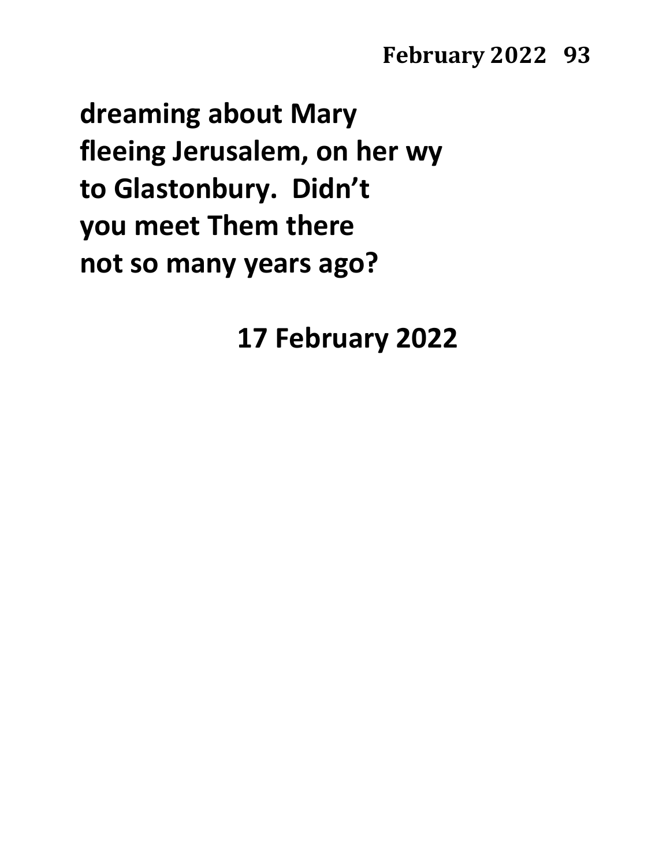**dreaming about Mary fleeing Jerusalem, on her wy to Glastonbury. Didn't you meet Them there not so many years ago?**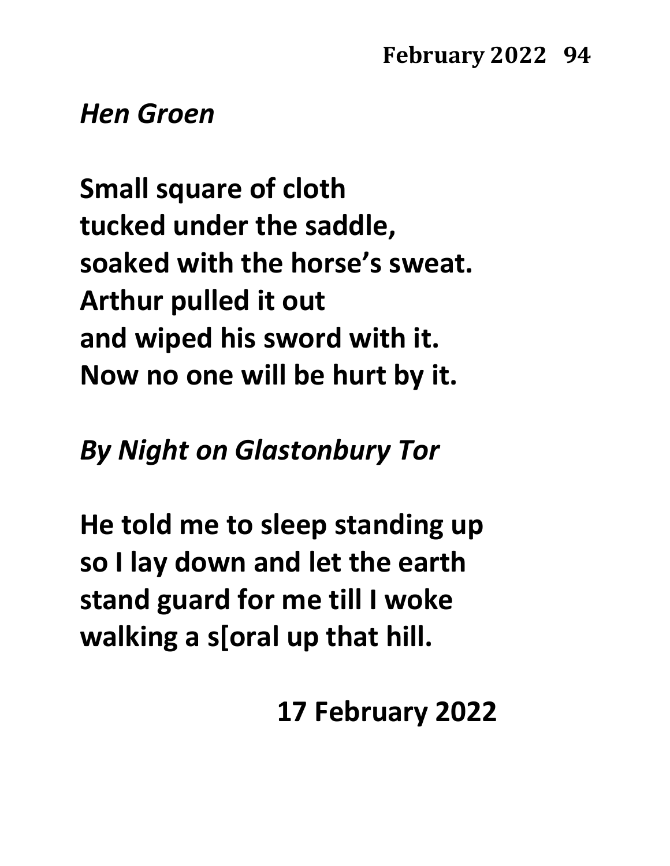### *Hen Groen*

**Small square of cloth tucked under the saddle, soaked with the horse's sweat. Arthur pulled it out and wiped his sword with it. Now no one will be hurt by it.**

## *By Night on Glastonbury Tor*

**He told me to sleep standing up so I lay down and let the earth stand guard for me till I woke walking a s[oral up that hill.**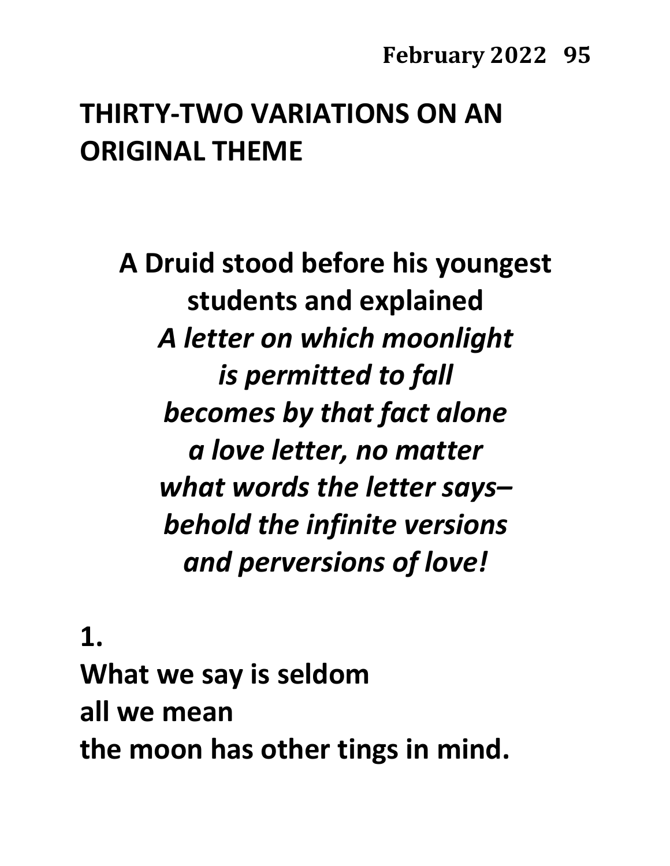# **THIRTY-TWO VARIATIONS ON AN ORIGINAL THEME**

**A Druid stood before his youngest students and explained** *A letter on which moonlight is permitted to fall becomes by that fact alone a love letter, no matter what words the letter says– behold the infinite versions and perversions of love!*

**1. What we say is seldom all we mean the moon has other tings in mind.**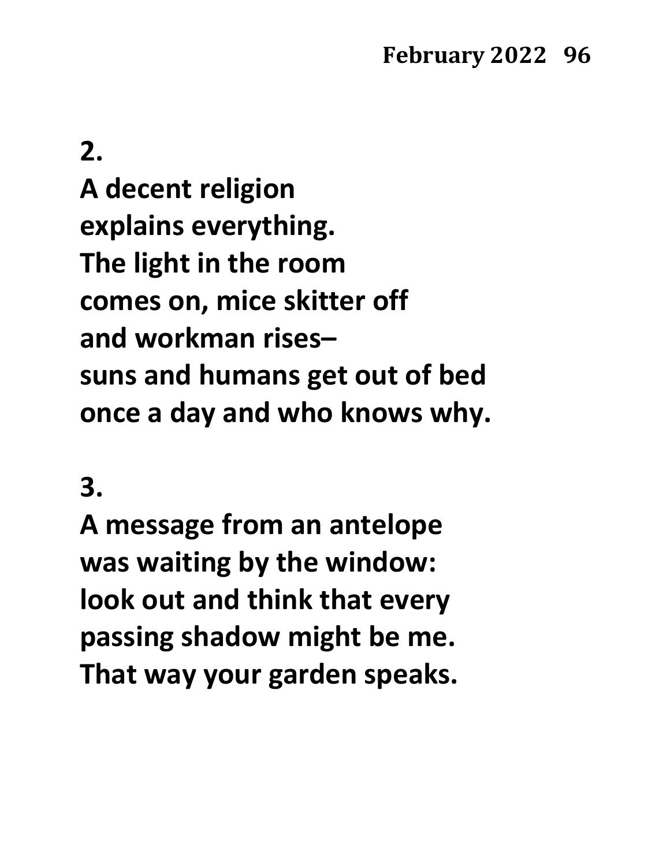**A decent religion explains everything. The light in the room comes on, mice skitter off and workman rises– suns and humans get out of bed once a day and who knows why.**

### **3.**

**A message from an antelope was waiting by the window: look out and think that every passing shadow might be me. That way your garden speaks.**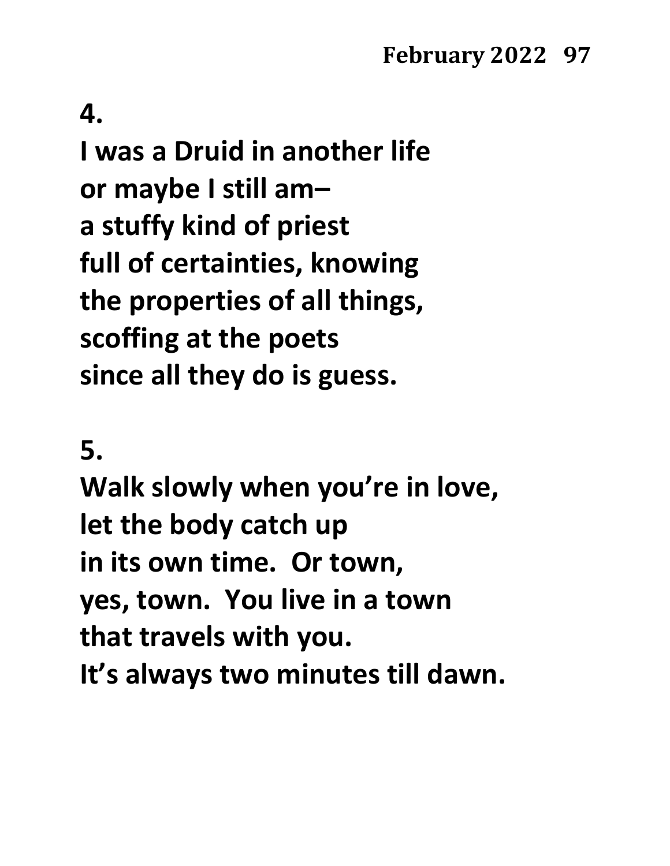**I was a Druid in another life or maybe I still am– a stuffy kind of priest full of certainties, knowing the properties of all things, scoffing at the poets since all they do is guess.**

**5.**

**Walk slowly when you're in love, let the body catch up in its own time. Or town, yes, town. You live in a town that travels with you. It's always two minutes till dawn.**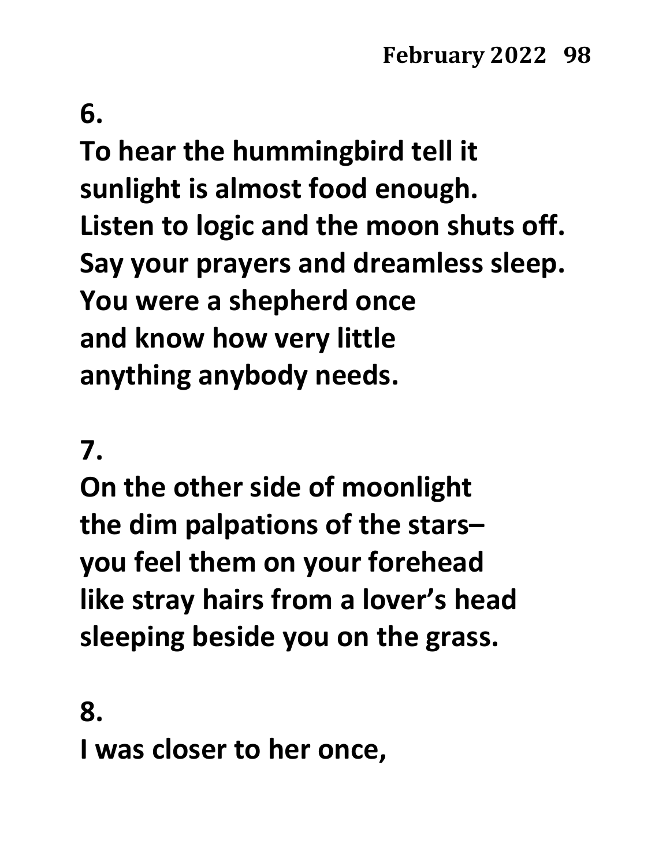**To hear the hummingbird tell it sunlight is almost food enough. Listen to logic and the moon shuts off. Say your prayers and dreamless sleep. You were a shepherd once and know how very little anything anybody needs.**

### **7.**

**On the other side of moonlight the dim palpations of the stars– you feel them on your forehead like stray hairs from a lover's head sleeping beside you on the grass.**

**8.**

**I was closer to her once,**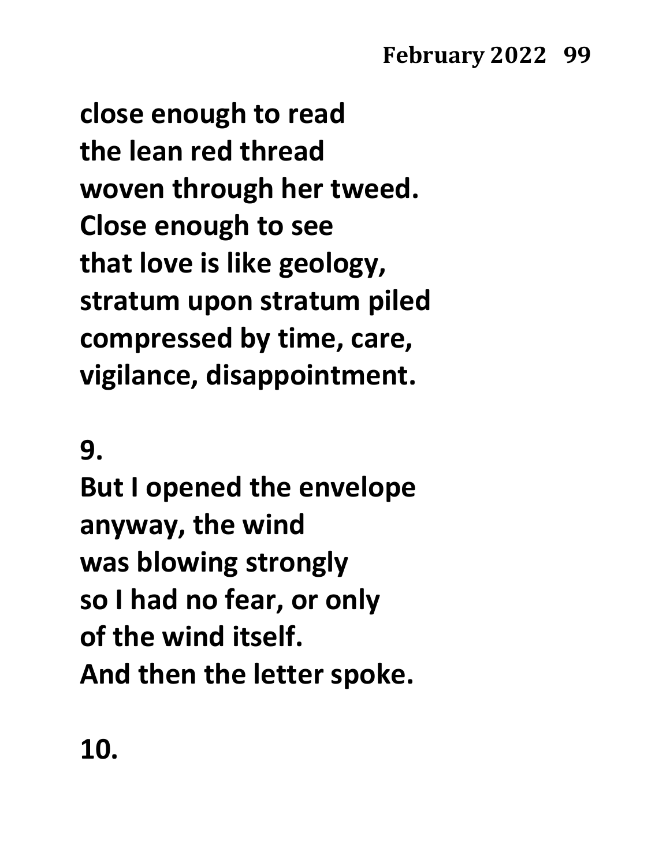**close enough to read the lean red thread woven through her tweed. Close enough to see that love is like geology, stratum upon stratum piled compressed by time, care, vigilance, disappointment.**

**9.**

**But I opened the envelope anyway, the wind was blowing strongly so I had no fear, or only of the wind itself. And then the letter spoke.**

**10.**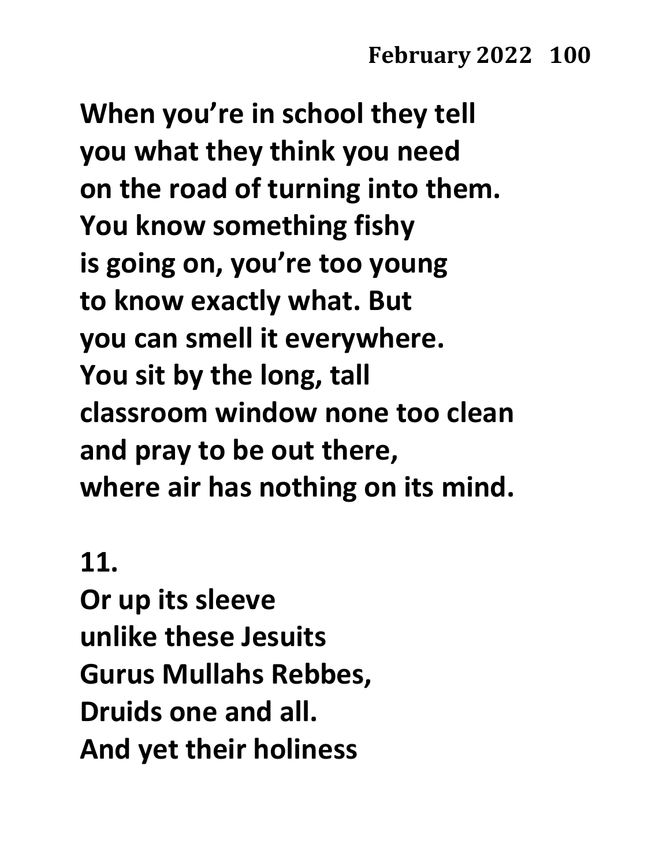**When you're in school they tell you what they think you need on the road of turning into them. You know something fishy is going on, you're too young to know exactly what. But you can smell it everywhere. You sit by the long, tall classroom window none too clean and pray to be out there, where air has nothing on its mind.**

### **11.**

**Or up its sleeve unlike these Jesuits Gurus Mullahs Rebbes, Druids one and all. And yet their holiness**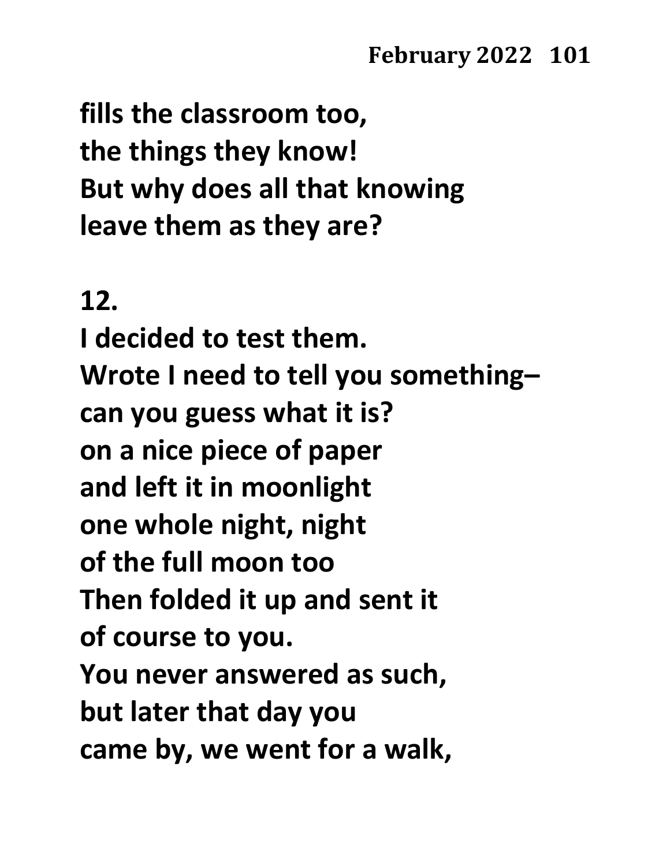**fills the classroom too, the things they know! But why does all that knowing leave them as they are?**

### **12.**

**I decided to test them. Wrote I need to tell you something– can you guess what it is? on a nice piece of paper and left it in moonlight one whole night, night of the full moon too Then folded it up and sent it of course to you. You never answered as such, but later that day you came by, we went for a walk,**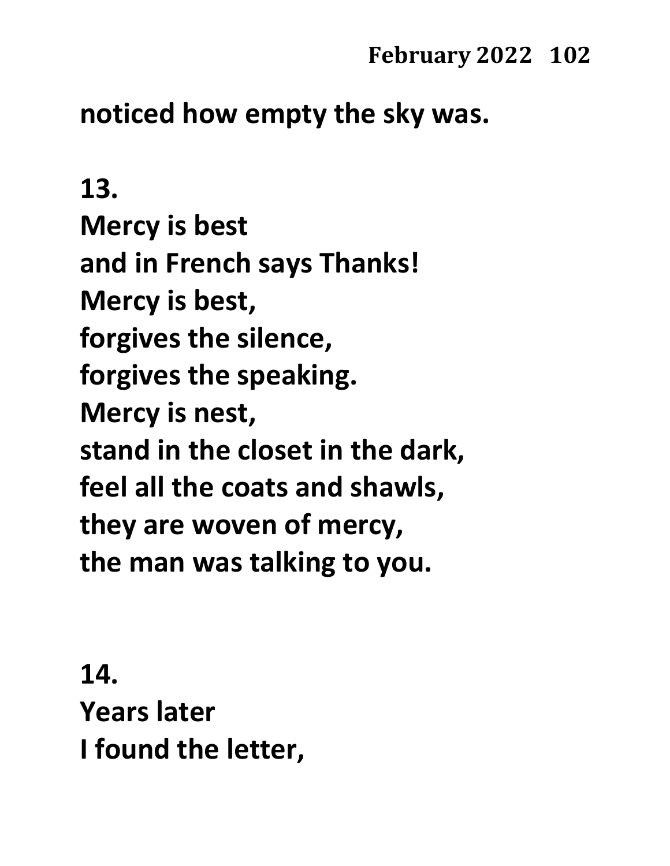## **noticed how empty the sky was.**

**13. Mercy is best and in French says Thanks! Mercy is best, forgives the silence, forgives the speaking. Mercy is nest, stand in the closet in the dark, feel all the coats and shawls, they are woven of mercy, the man was talking to you.**

**14. Years later I found the letter,**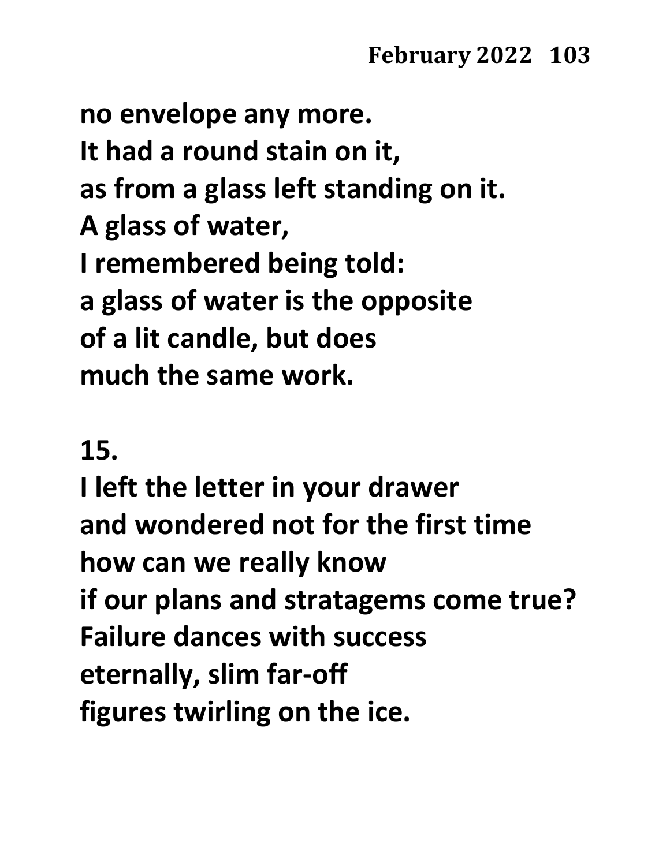**no envelope any more. It had a round stain on it, as from a glass left standing on it. A glass of water, I remembered being told: a glass of water is the opposite of a lit candle, but does much the same work.**

## **15.**

**I left the letter in your drawer and wondered not for the first time how can we really know if our plans and stratagems come true? Failure dances with success eternally, slim far-off figures twirling on the ice.**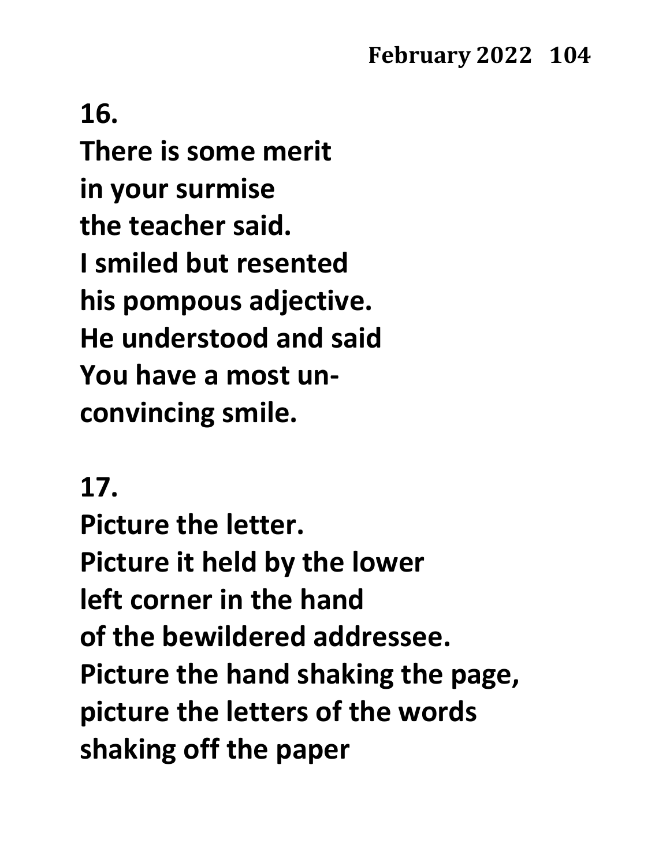**16. There is some merit in your surmise the teacher said. I smiled but resented his pompous adjective. He understood and said You have a most unconvincing smile.**

### **17.**

**Picture the letter. Picture it held by the lower left corner in the hand of the bewildered addressee. Picture the hand shaking the page, picture the letters of the words shaking off the paper**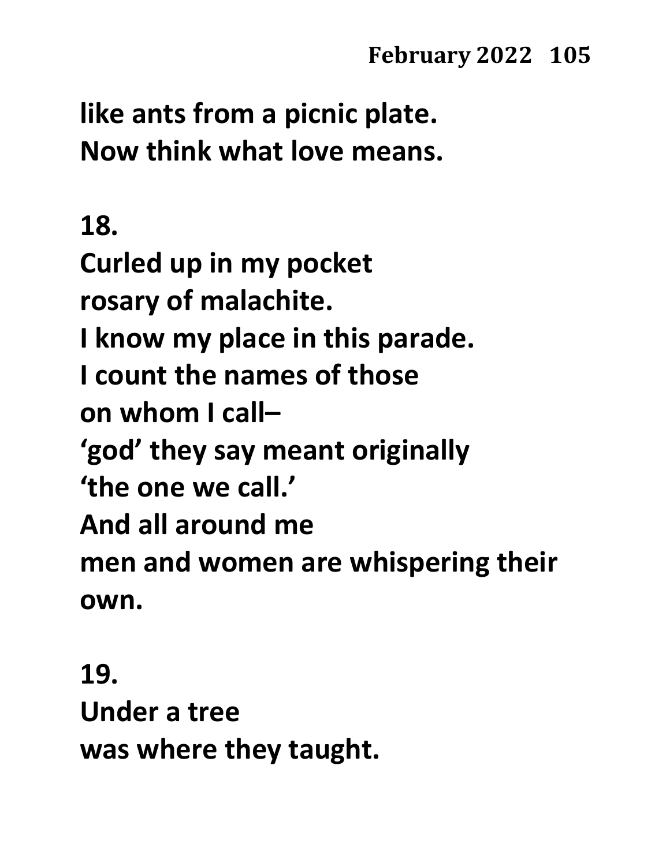**like ants from a picnic plate. Now think what love means.**

## **18.**

**Curled up in my pocket rosary of malachite. I know my place in this parade. I count the names of those on whom I call– 'god' they say meant originally 'the one we call.' And all around me men and women are whispering their own.**

### **19.**

**Under a tree was where they taught.**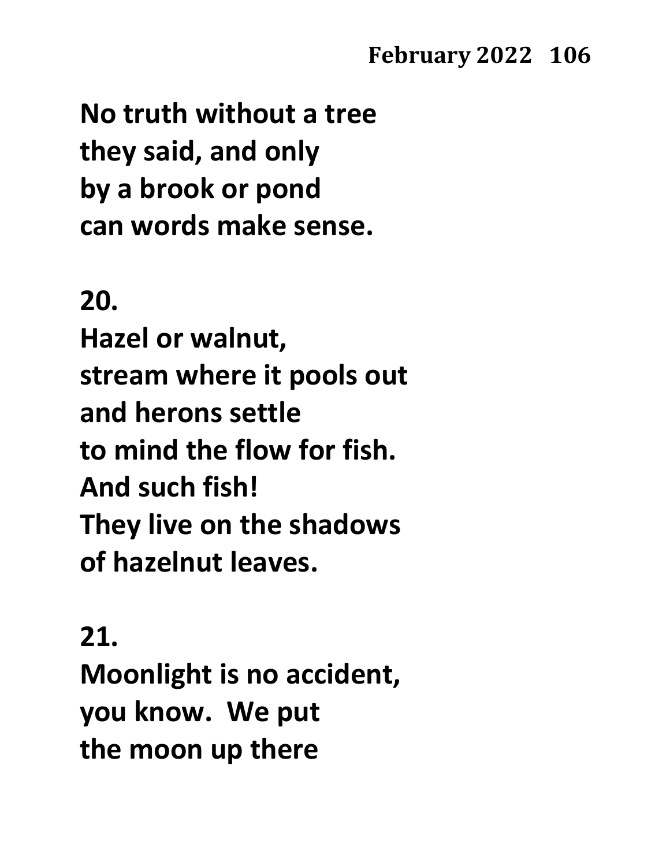**No truth without a tree they said, and only by a brook or pond can words make sense.**

### **20.**

**Hazel or walnut, stream where it pools out and herons settle to mind the flow for fish. And such fish! They live on the shadows of hazelnut leaves.**

### **21.**

**Moonlight is no accident, you know. We put the moon up there**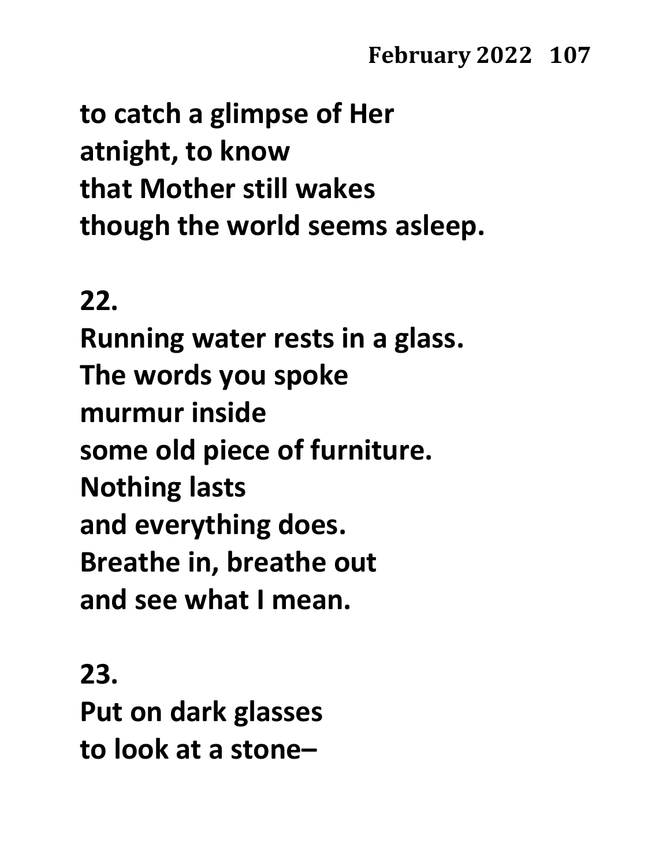**to catch a glimpse of Her atnight, to know that Mother still wakes though the world seems asleep.**

### **22.**

**Running water rests in a glass. The words you spoke murmur inside some old piece of furniture. Nothing lasts and everything does. Breathe in, breathe out and see what I mean.**

### **23.**

**Put on dark glasses to look at a stone–**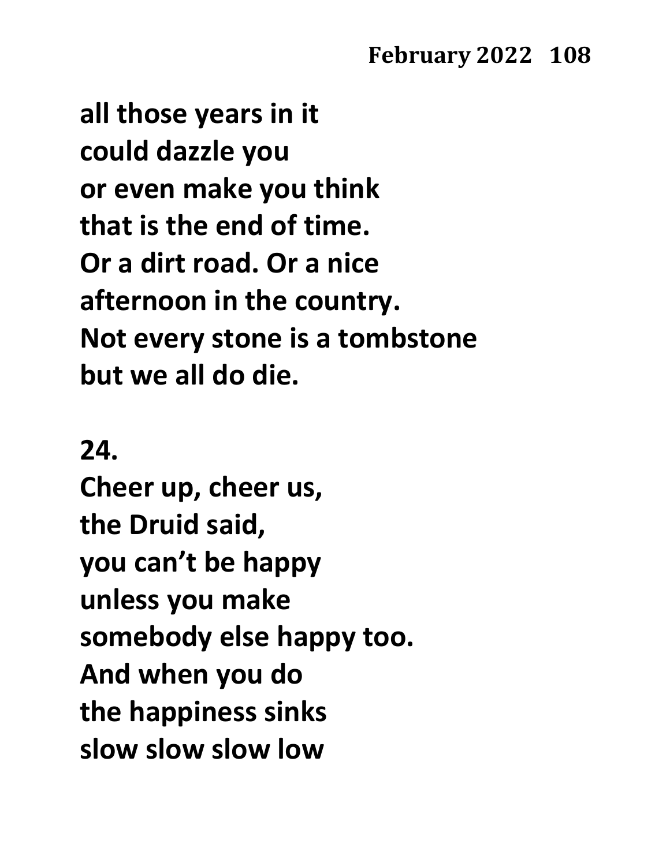**all those years in it could dazzle you or even make you think that is the end of time. Or a dirt road. Or a nice afternoon in the country. Not every stone is a tombstone but we all do die.**

### **24.**

**Cheer up, cheer us, the Druid said, you can't be happy unless you make somebody else happy too. And when you do the happiness sinks slow slow slow low**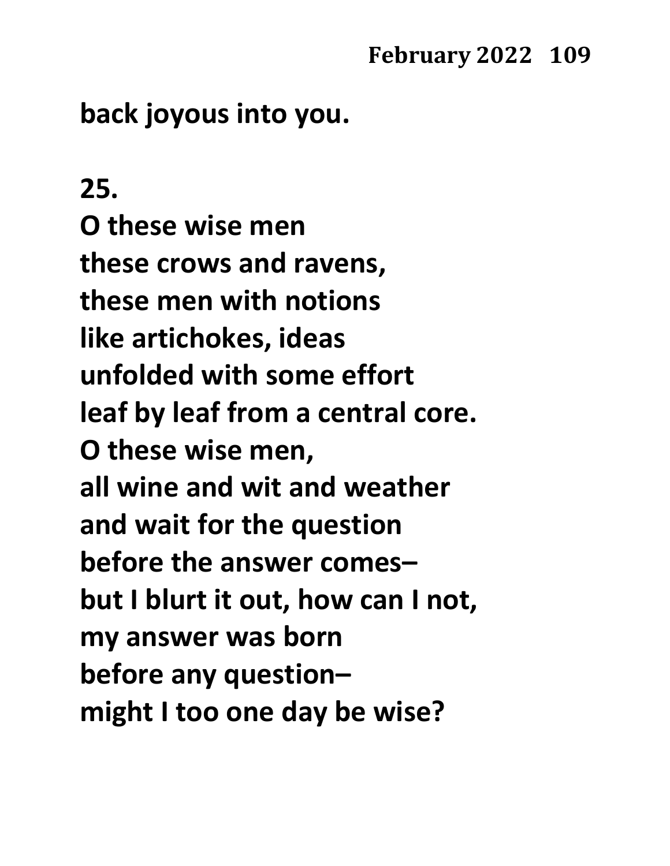# **back joyous into you.**

### **25.**

**O these wise men these crows and ravens, these men with notions like artichokes, ideas unfolded with some effort leaf by leaf from a central core. O these wise men, all wine and wit and weather and wait for the question before the answer comes– but I blurt it out, how can I not, my answer was born before any question– might I too one day be wise?**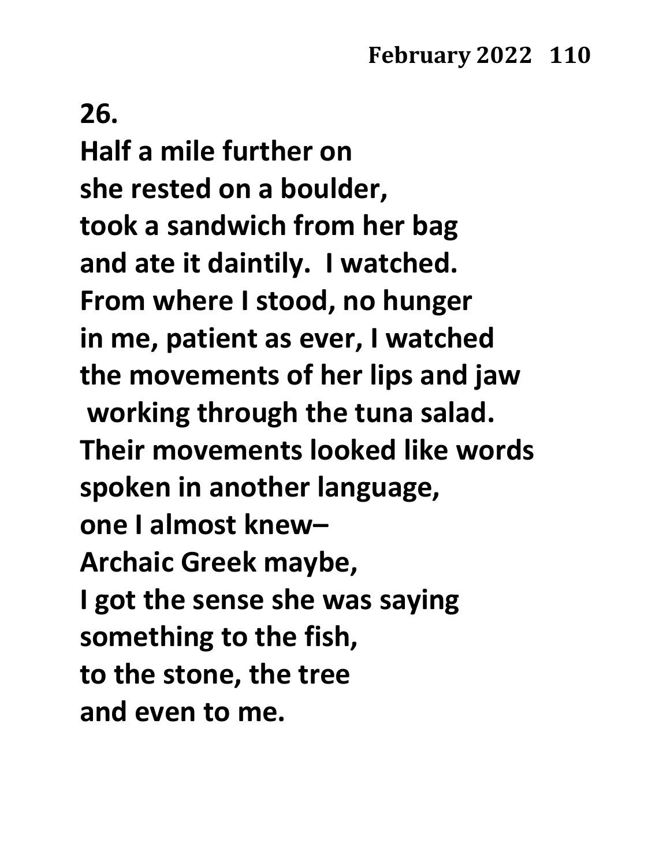### **26.**

**Half a mile further on she rested on a boulder, took a sandwich from her bag and ate it daintily. I watched. From where I stood, no hunger in me, patient as ever, I watched the movements of her lips and jaw working through the tuna salad. Their movements looked like words spoken in another language, one I almost knew– Archaic Greek maybe, I got the sense she was saying something to the fish, to the stone, the tree and even to me.**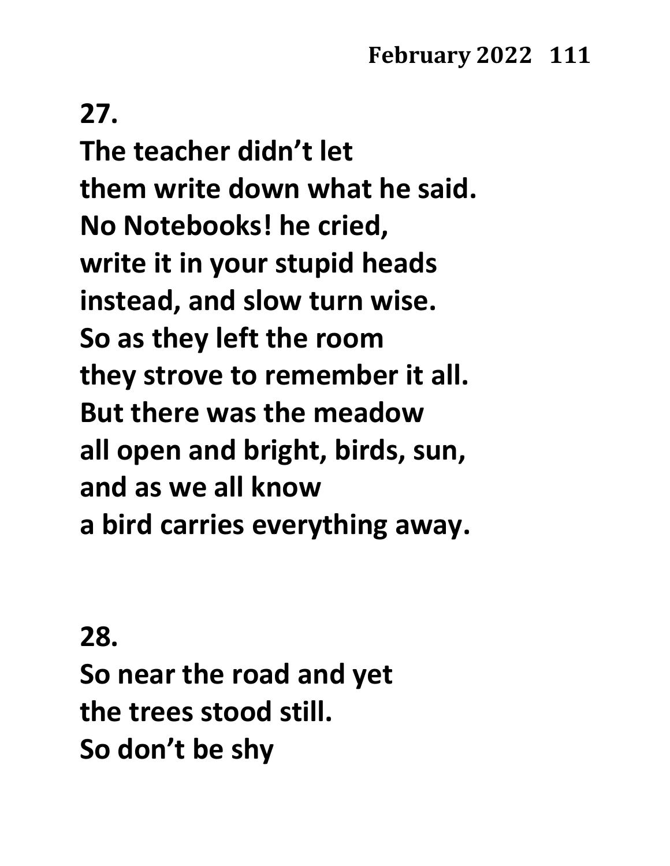# **27.**

**The teacher didn't let them write down what he said. No Notebooks! he cried, write it in your stupid heads instead, and slow turn wise. So as they left the room they strove to remember it all. But there was the meadow all open and bright, birds, sun, and as we all know a bird carries everything away.**

### **28.**

**So near the road and yet the trees stood still. So don't be shy**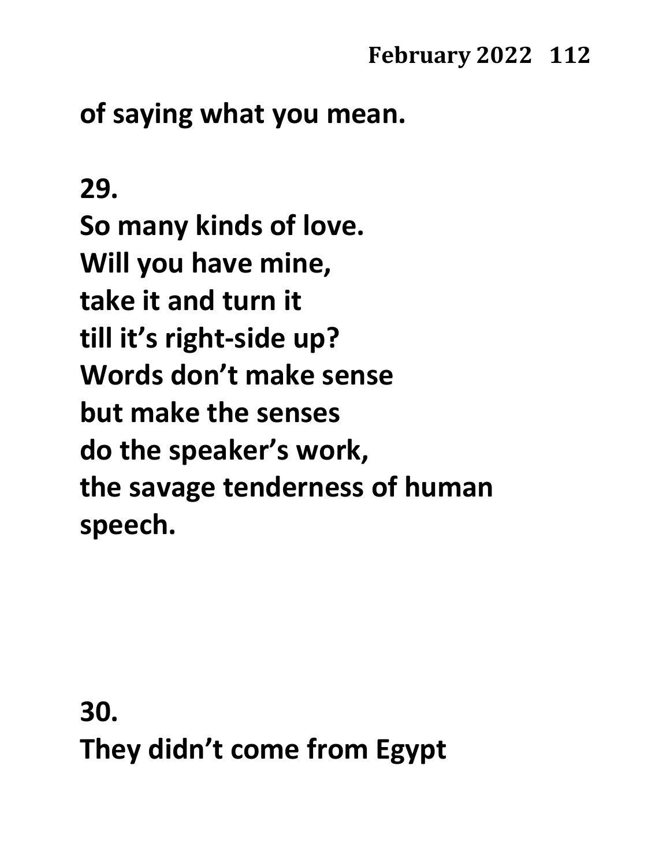# **of saying what you mean.**

# **29.**

**So many kinds of love. Will you have mine, take it and turn it till it's right-side up? Words don't make sense but make the senses do the speaker's work, the savage tenderness of human speech.**

**30. They didn't come from Egypt**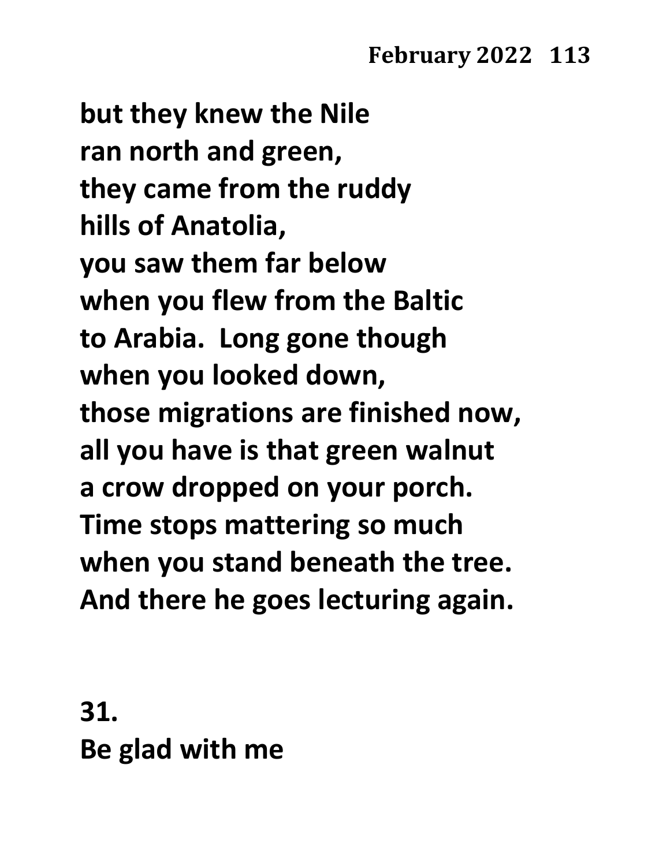**but they knew the Nile ran north and green, they came from the ruddy hills of Anatolia, you saw them far below when you flew from the Baltic to Arabia. Long gone though when you looked down, those migrations are finished now, all you have is that green walnut a crow dropped on your porch. Time stops mattering so much when you stand beneath the tree. And there he goes lecturing again.**

**31. Be glad with me**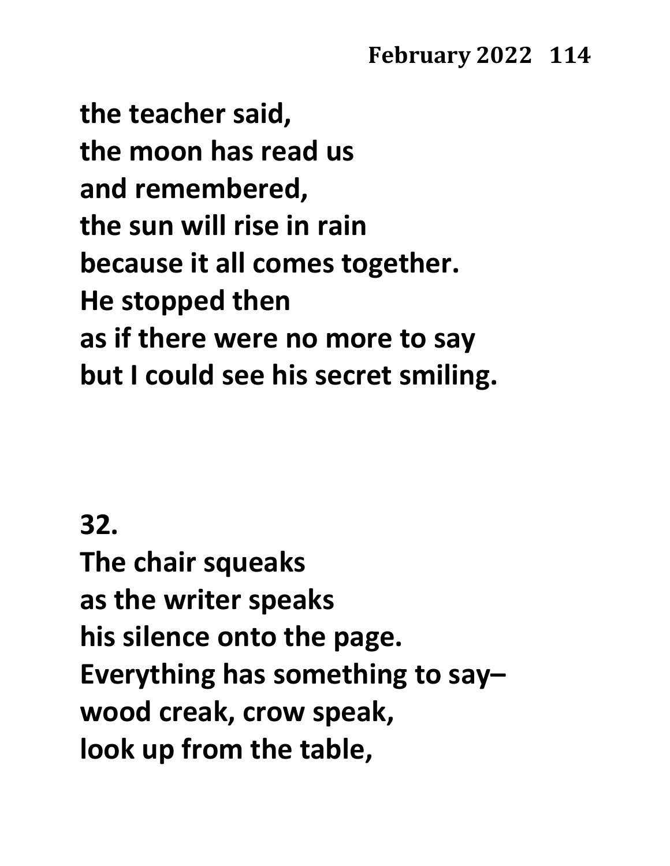**the teacher said, the moon has read us and remembered, the sun will rise in rain because it all comes together. He stopped then as if there were no more to say but I could see his secret smiling.**

# **32.**

**The chair squeaks as the writer speaks his silence onto the page. Everything has something to say– wood creak, crow speak, look up from the table,**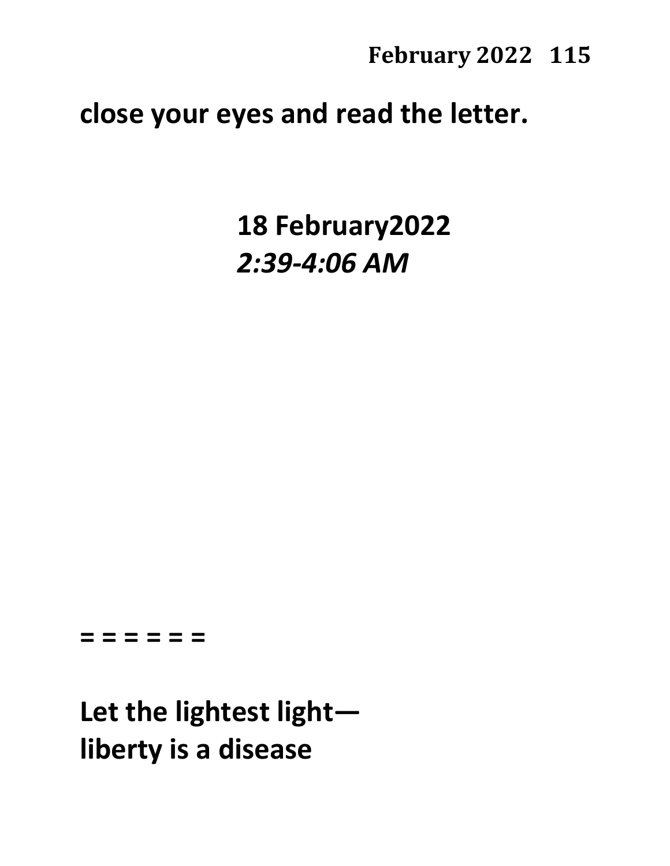# **close your eyes and read the letter.**

**18 February2022** *2:39-4:06 AM*

#### **= = = = = =**

**Let the lightest light liberty is a disease**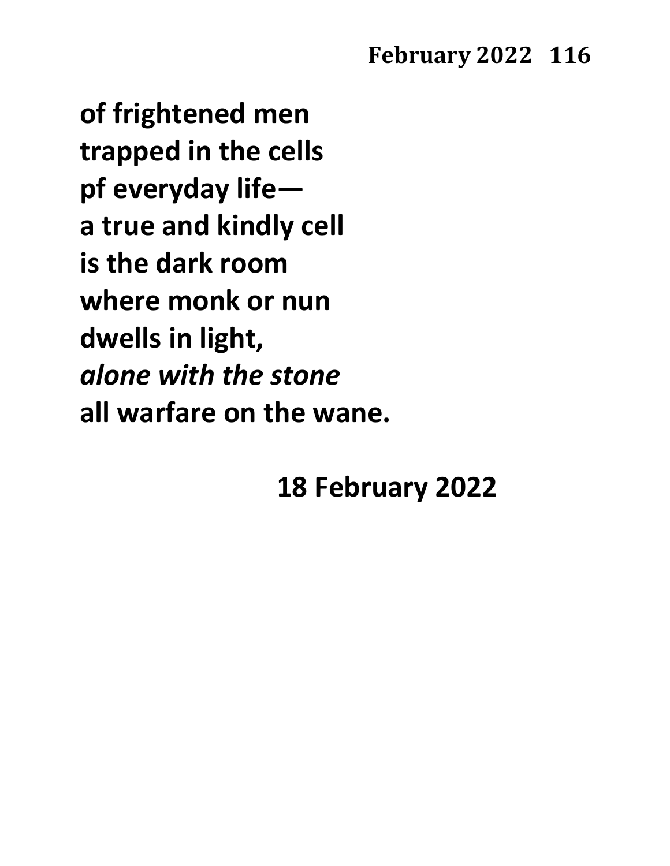**of frightened men trapped in the cells pf everyday life a true and kindly cell is the dark room where monk or nun dwells in light,**  *alone with the stone* **all warfare on the wane.**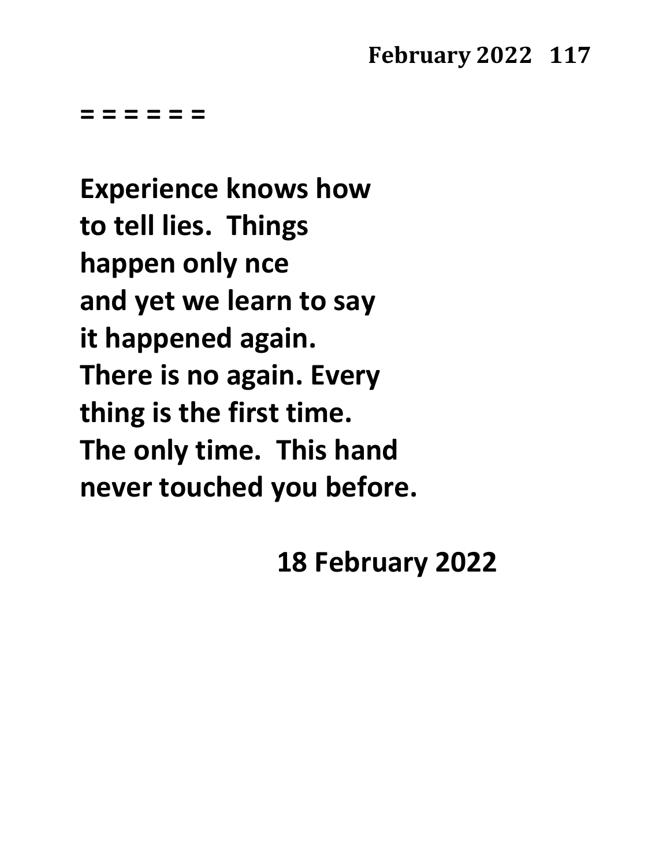**= = = = = =**

**Experience knows how to tell lies. Things happen only nce and yet we learn to say it happened again. There is no again. Every thing is the first time. The only time. This hand never touched you before.**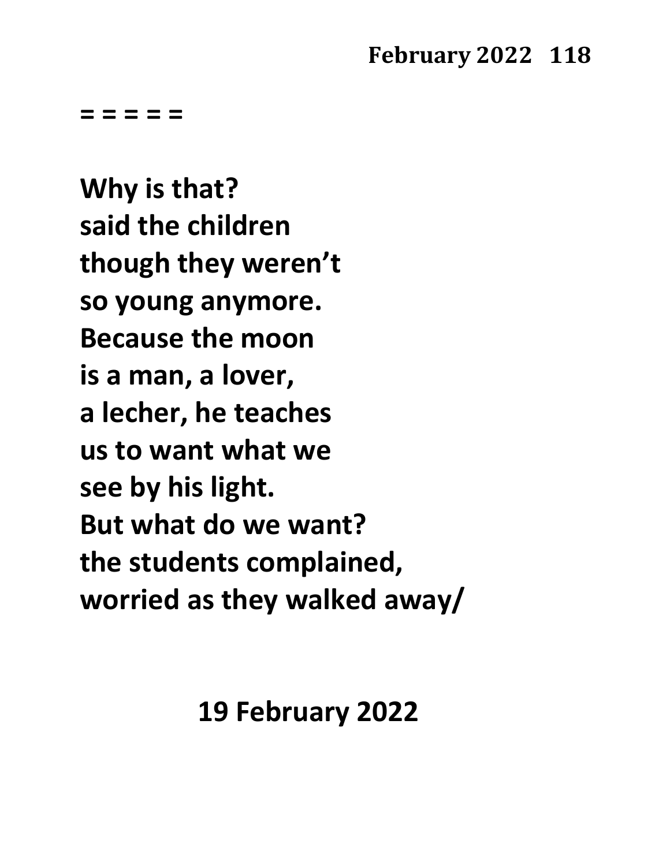**= = = = =**

**Why is that? said the children though they weren't so young anymore. Because the moon is a man, a lover, a lecher, he teaches us to want what we see by his light. But what do we want? the students complained, worried as they walked away/**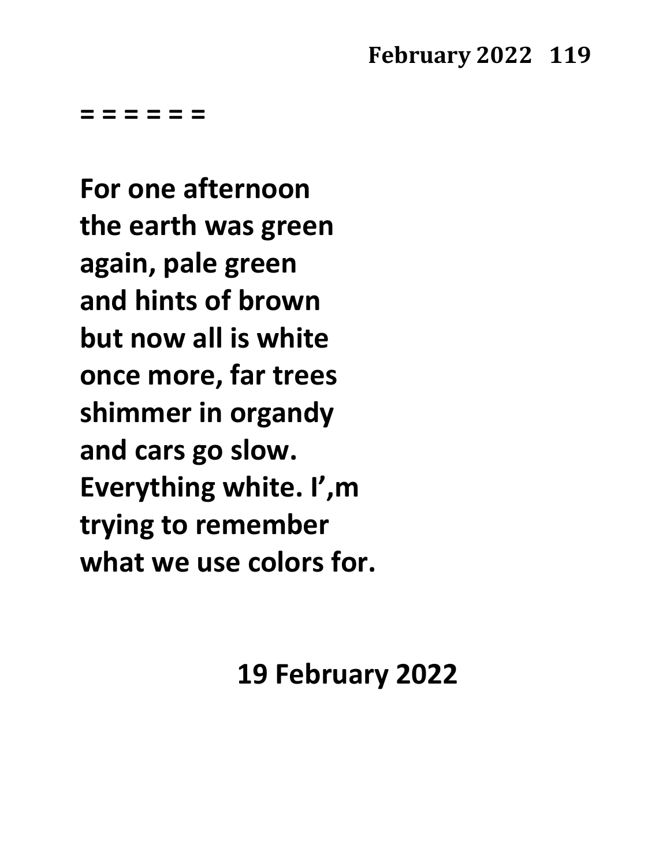**= = = = = =**

**For one afternoon the earth was green again, pale green and hints of brown but now all is white once more, far trees shimmer in organdy and cars go slow. Everything white. I',m trying to remember what we use colors for.**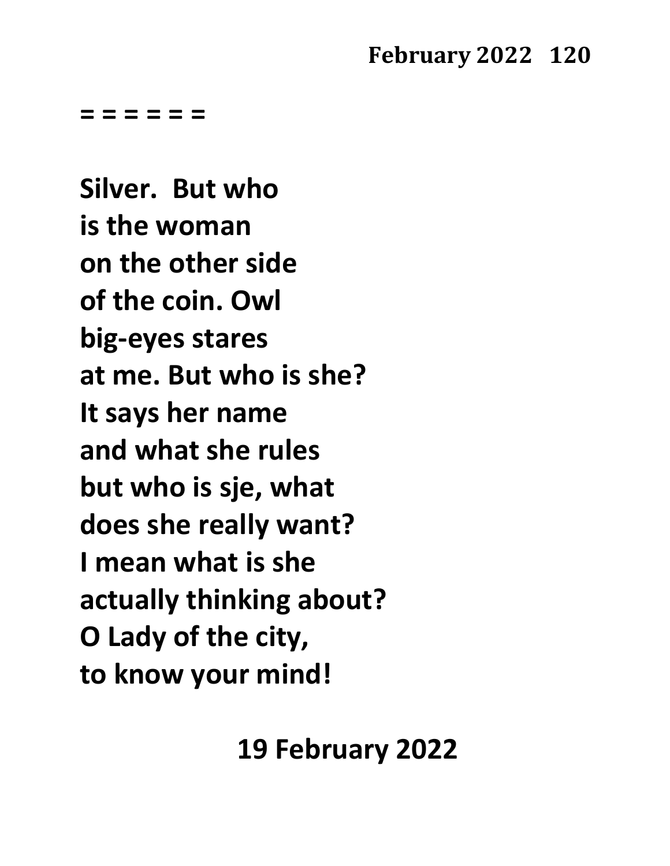**= = = = = =**

**Silver. But who is the woman on the other side of the coin. Owl big-eyes stares at me. But who is she? It says her name and what she rules but who is sje, what does she really want? I mean what is she actually thinking about? O Lady of the city, to know your mind!**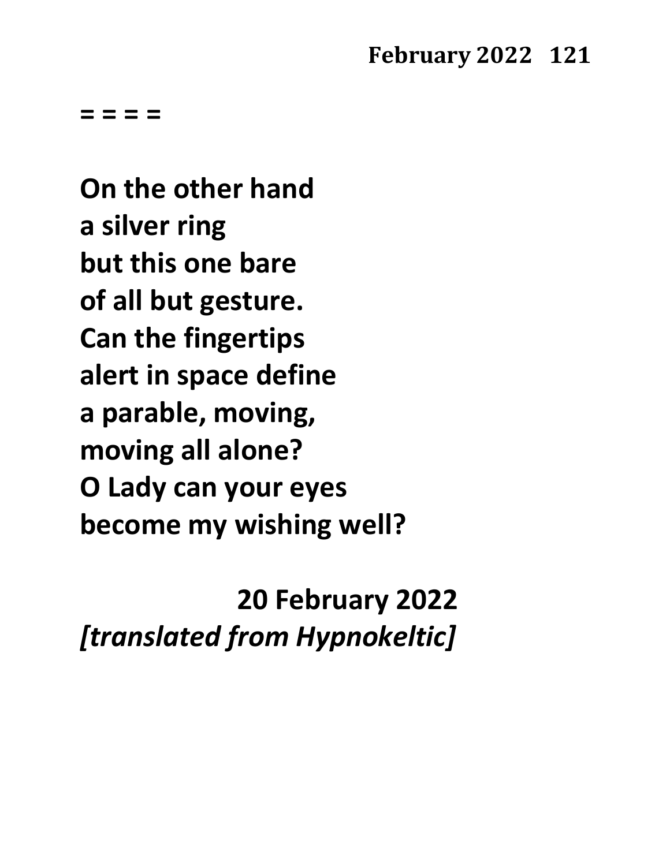**= = = =**

**On the other hand a silver ring but this one bare of all but gesture. Can the fingertips alert in space define a parable, moving, moving all alone? O Lady can your eyes become my wishing well?**

**20 February 2022**

*[translated from Hypnokeltic]*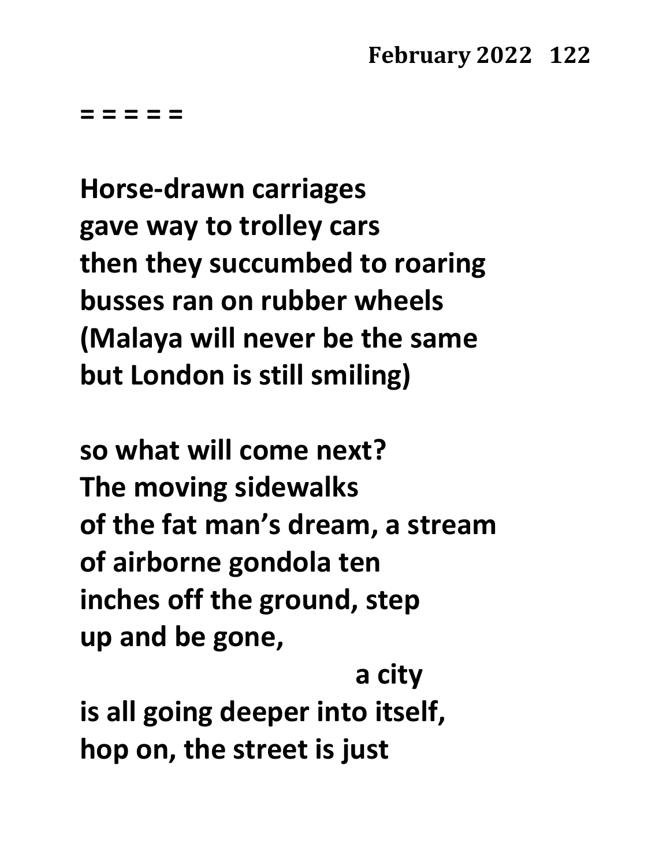**= = = = =**

**Horse-drawn carriages gave way to trolley cars then they succumbed to roaring busses ran on rubber wheels (Malaya will never be the same but London is still smiling)**

**so what will come next? The moving sidewalks of the fat man's dream, a stream of airborne gondola ten inches off the ground, step up and be gone,** 

**a city is all going deeper into itself, hop on, the street is just**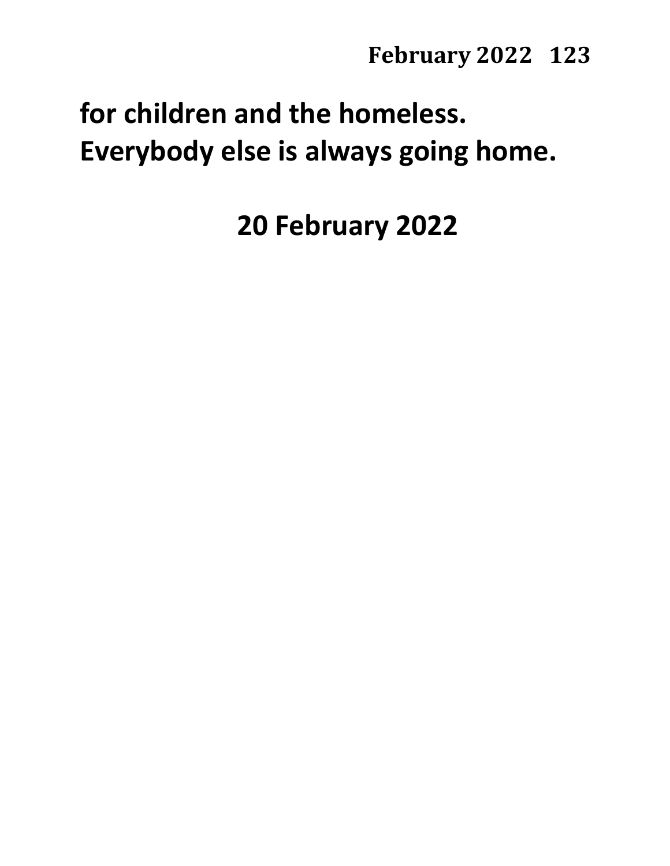# **for children and the homeless. Everybody else is always going home.**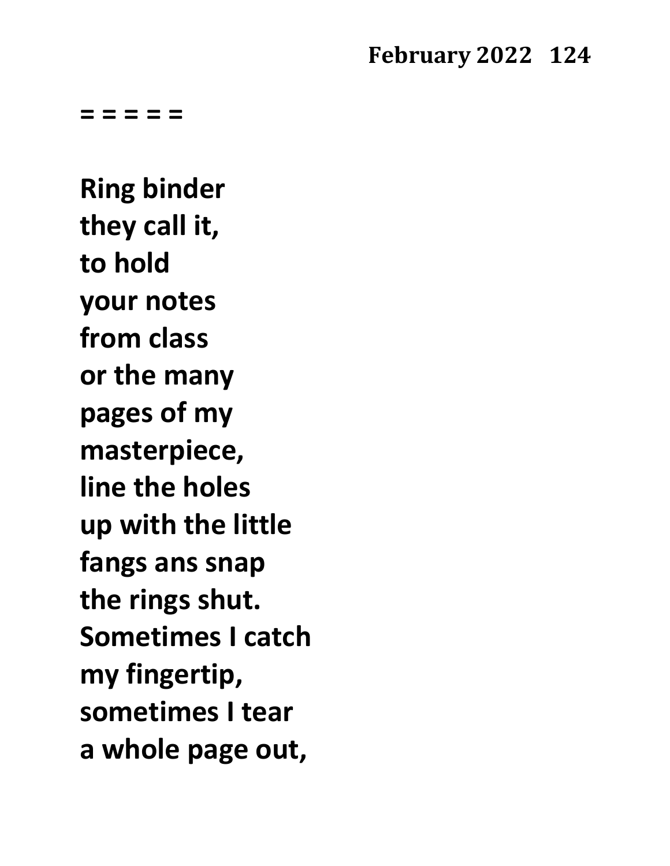**= = = = =**

**Ring binder they call it, to hold your notes from class or the many pages of my masterpiece, line the holes up with the little fangs ans snap the rings shut. Sometimes I catch my fingertip, sometimes I tear a whole page out,**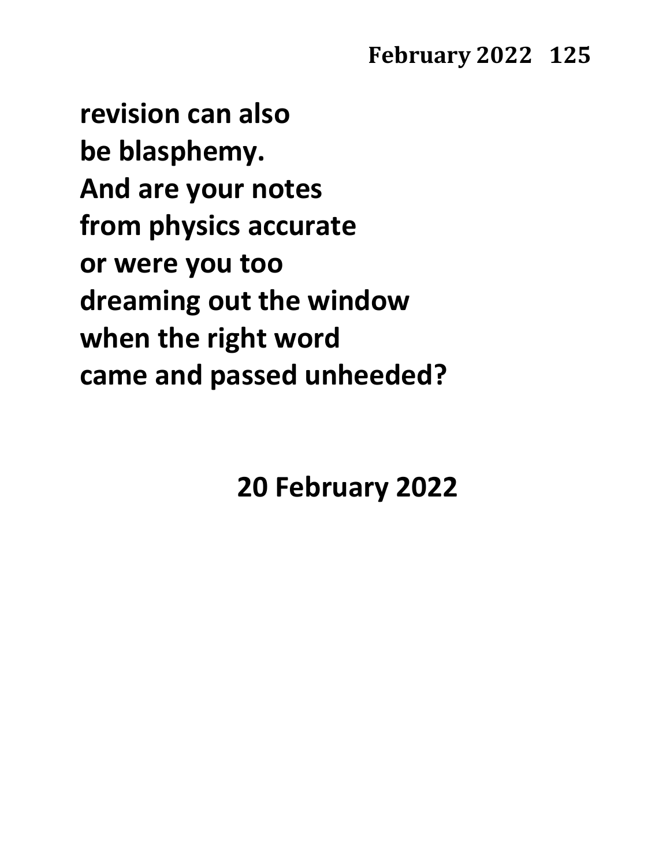**revision can also be blasphemy. And are your notes from physics accurate or were you too dreaming out the window when the right word came and passed unheeded?**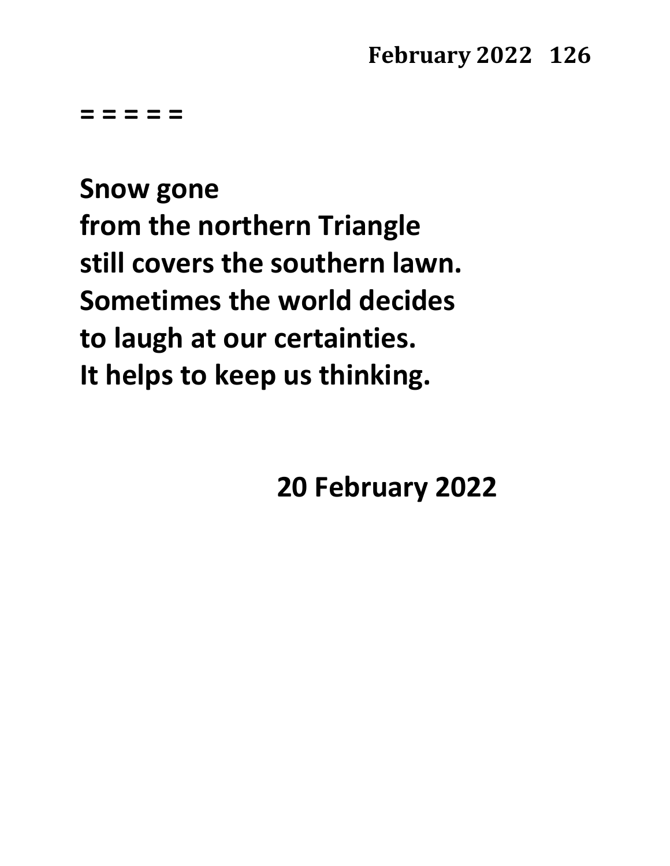**= = = = =**

**Snow gone from the northern Triangle still covers the southern lawn. Sometimes the world decides to laugh at our certainties. It helps to keep us thinking.**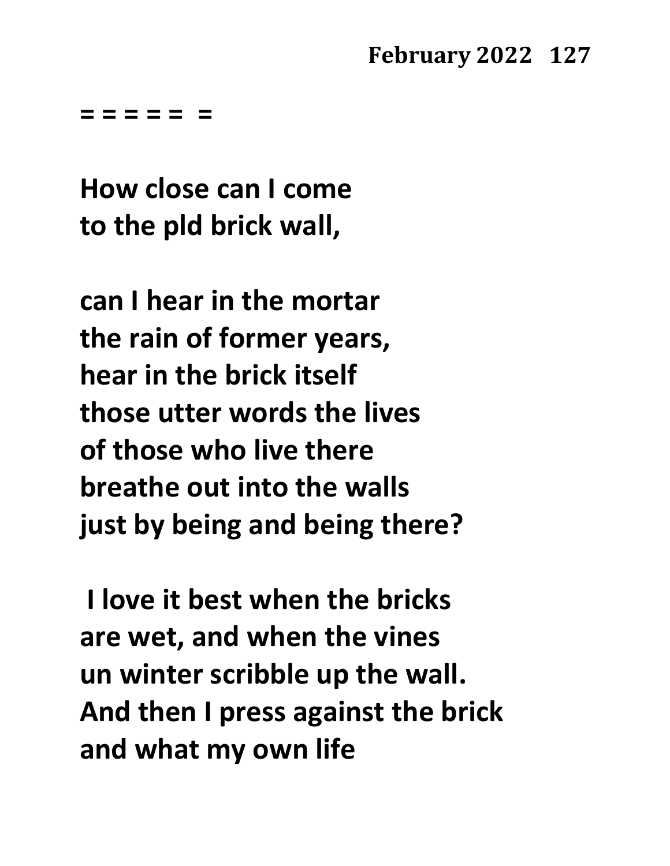**= = = = = =**

**How close can I come to the pld brick wall,**

**can I hear in the mortar the rain of former years, hear in the brick itself those utter words the lives of those who live there breathe out into the walls just by being and being there?**

**I love it best when the bricks are wet, and when the vines un winter scribble up the wall. And then I press against the brick and what my own life**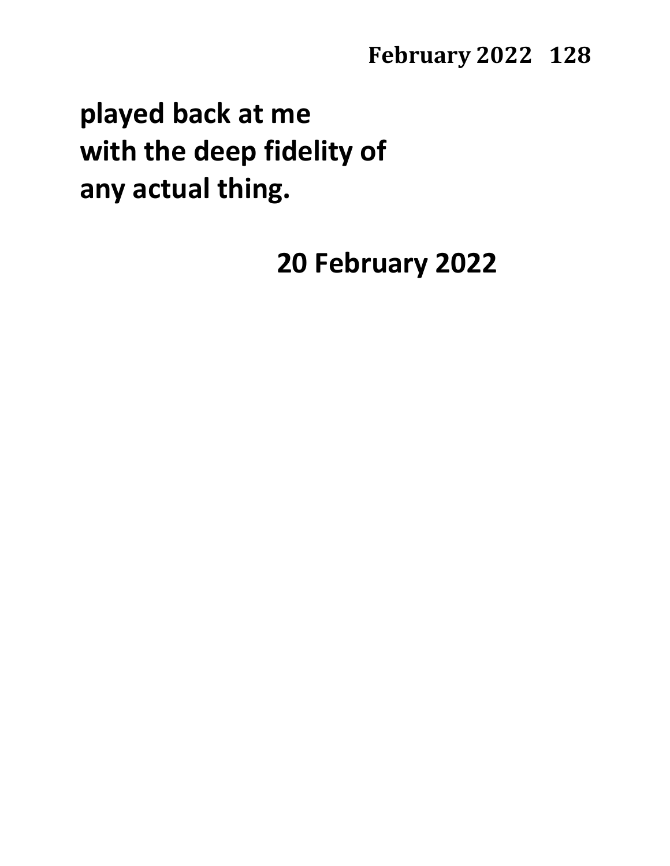# **played back at me with the deep fidelity of any actual thing.**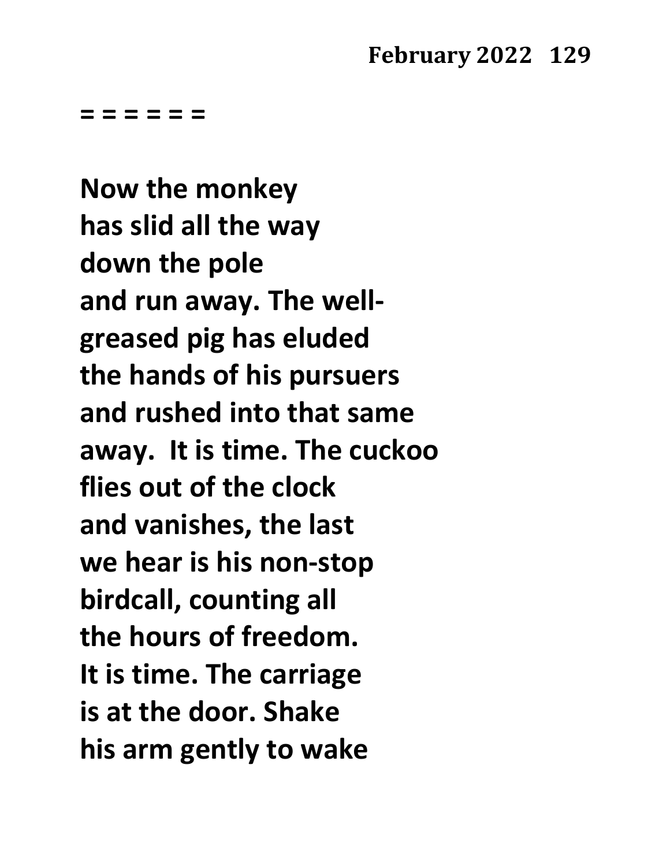**= = = = = =**

**Now the monkey has slid all the way down the pole and run away. The wellgreased pig has eluded the hands of his pursuers and rushed into that same away. It is time. The cuckoo flies out of the clock and vanishes, the last we hear is his non-stop birdcall, counting all the hours of freedom. It is time. The carriage is at the door. Shake his arm gently to wake**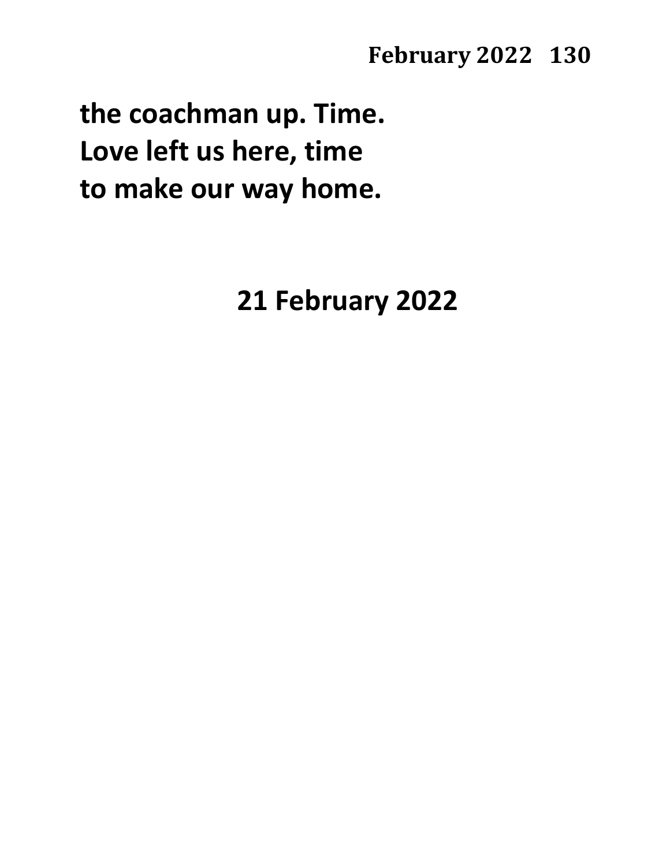**the coachman up. Time. Love left us here, time to make our way home.**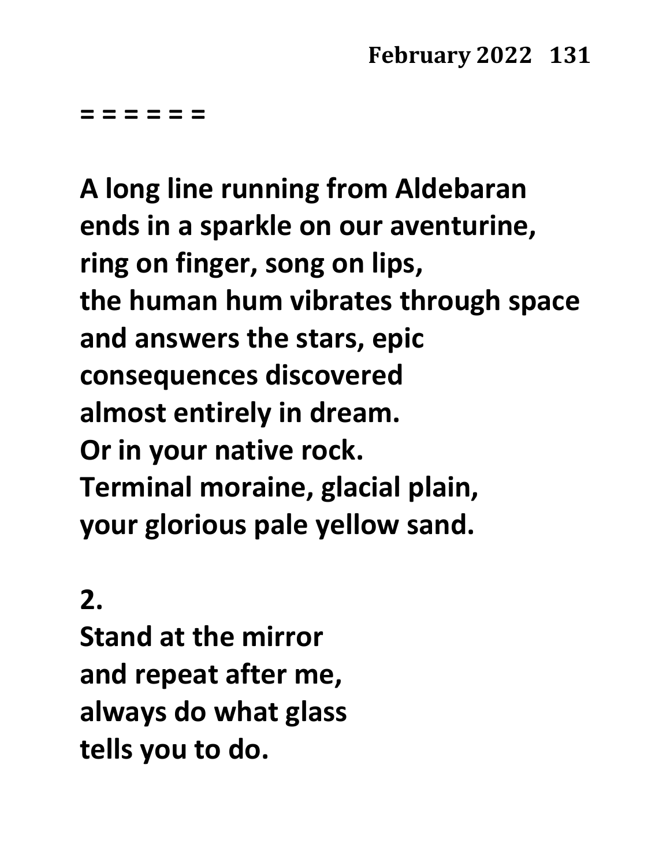**= = = = = =**

**A long line running from Aldebaran ends in a sparkle on our aventurine, ring on finger, song on lips, the human hum vibrates through space and answers the stars, epic consequences discovered almost entirely in dream. Or in your native rock. Terminal moraine, glacial plain, your glorious pale yellow sand.**

# **2.**

**Stand at the mirror and repeat after me, always do what glass tells you to do.**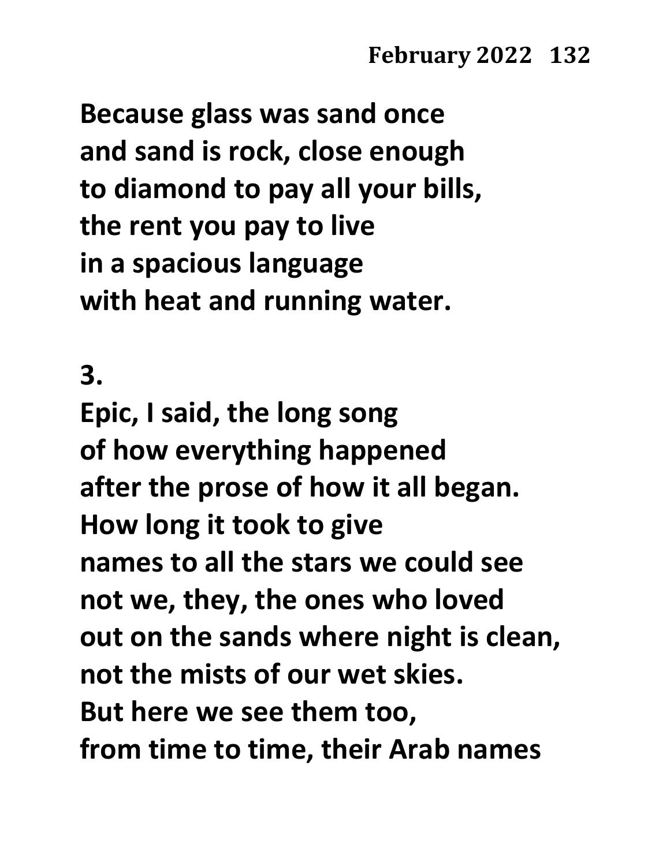**Because glass was sand once and sand is rock, close enough to diamond to pay all your bills, the rent you pay to live in a spacious language with heat and running water.**

**3.**

**Epic, I said, the long song of how everything happened after the prose of how it all began. How long it took to give names to all the stars we could see not we, they, the ones who loved out on the sands where night is clean, not the mists of our wet skies. But here we see them too, from time to time, their Arab names**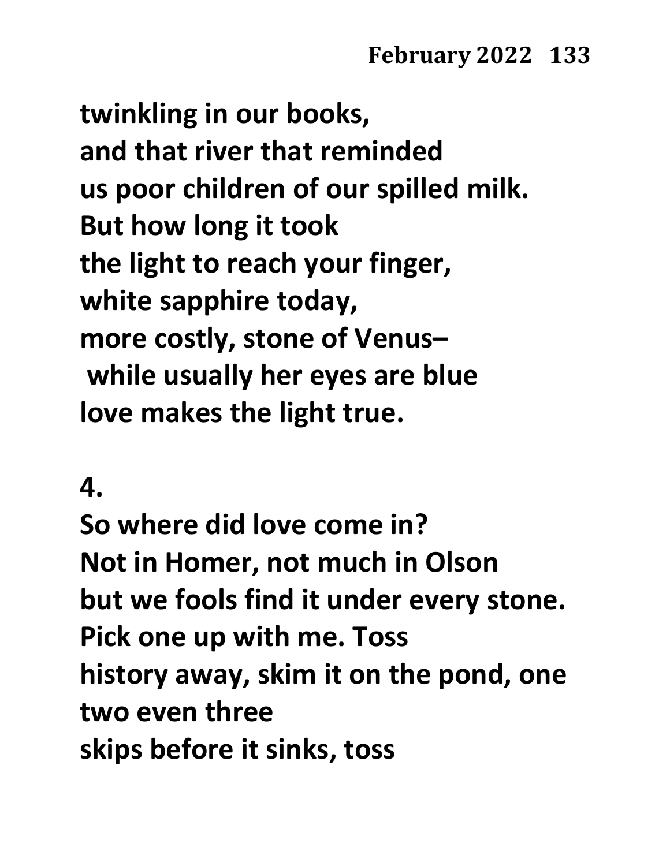**twinkling in our books, and that river that reminded us poor children of our spilled milk. But how long it took the light to reach your finger, white sapphire today, more costly, stone of Venus– while usually her eyes are blue love makes the light true.**

### **4.**

**So where did love come in? Not in Homer, not much in Olson but we fools find it under every stone. Pick one up with me. Toss history away, skim it on the pond, one two even three skips before it sinks, toss**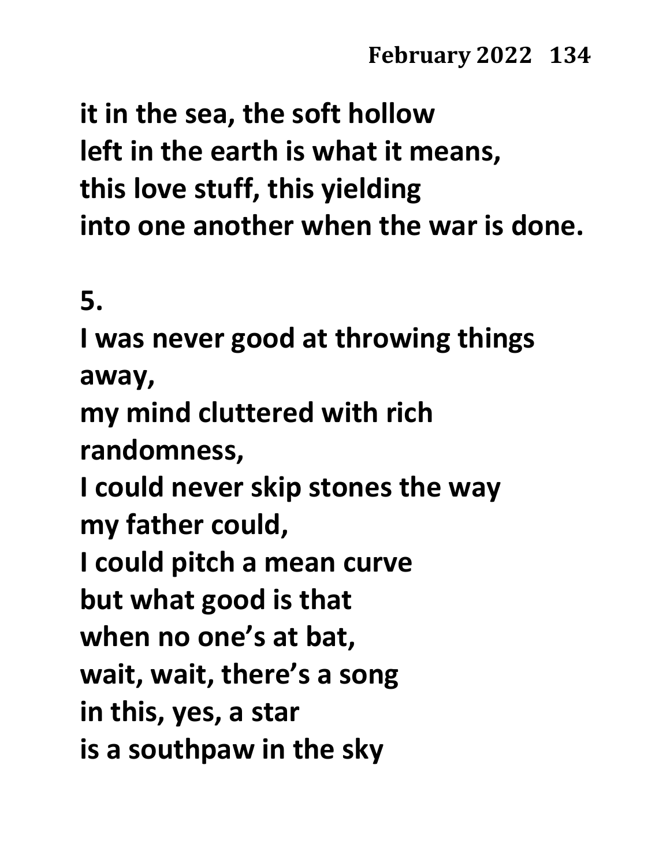**it in the sea, the soft hollow left in the earth is what it means, this love stuff, this yielding into one another when the war is done.**

**5.**

**I was never good at throwing things away, my mind cluttered with rich randomness, I could never skip stones the way my father could, I could pitch a mean curve but what good is that when no one's at bat, wait, wait, there's a song in this, yes, a star is a southpaw in the sky**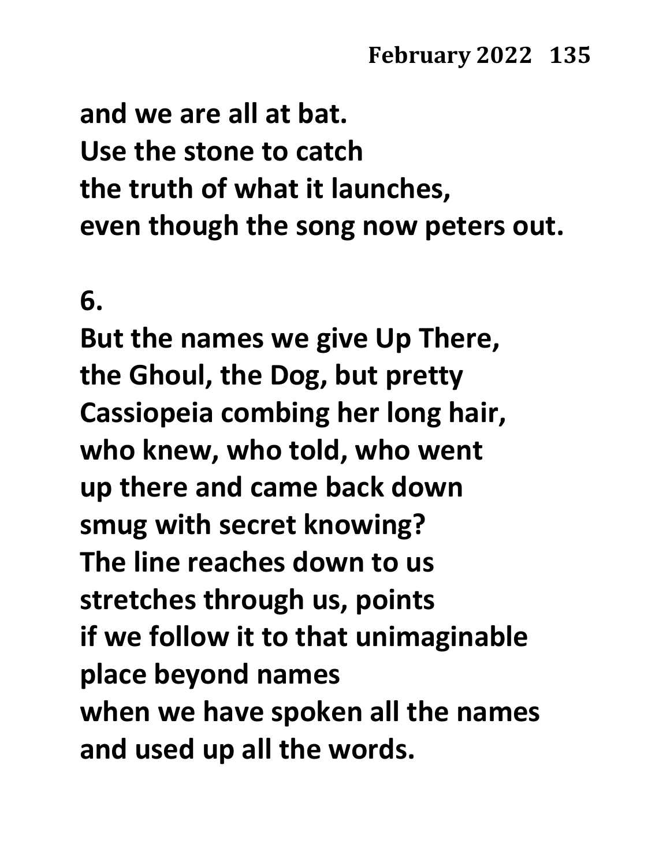**and we are all at bat. Use the stone to catch the truth of what it launches, even though the song now peters out.**

**6.**

**But the names we give Up There, the Ghoul, the Dog, but pretty Cassiopeia combing her long hair, who knew, who told, who went up there and came back down smug with secret knowing? The line reaches down to us stretches through us, points if we follow it to that unimaginable place beyond names when we have spoken all the names and used up all the words.**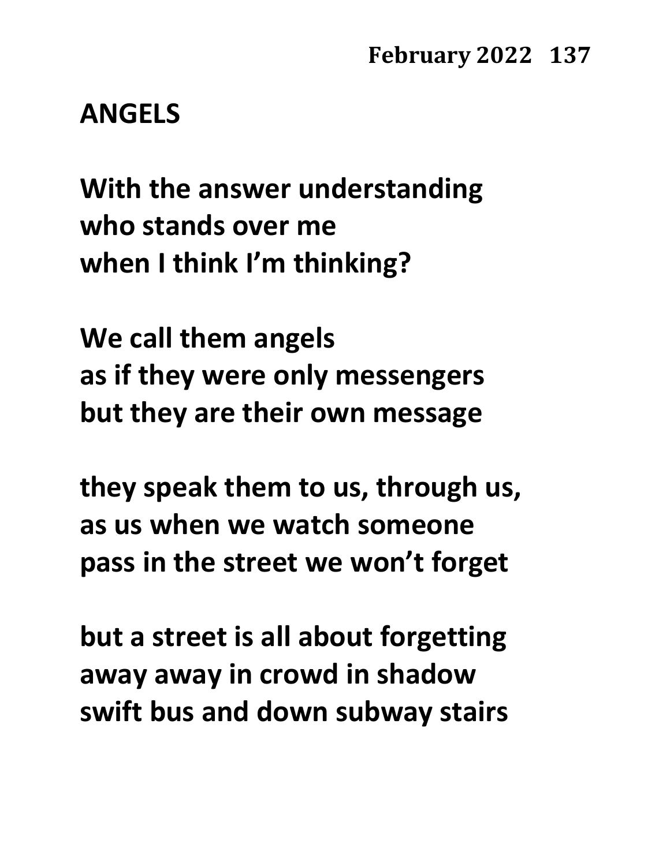**ANGELS**

**With the answer understanding who stands over me when I think I'm thinking?**

**We call them angels as if they were only messengers but they are their own message**

**they speak them to us, through us, as us when we watch someone pass in the street we won't forget**

**but a street is all about forgetting away away in crowd in shadow swift bus and down subway stairs**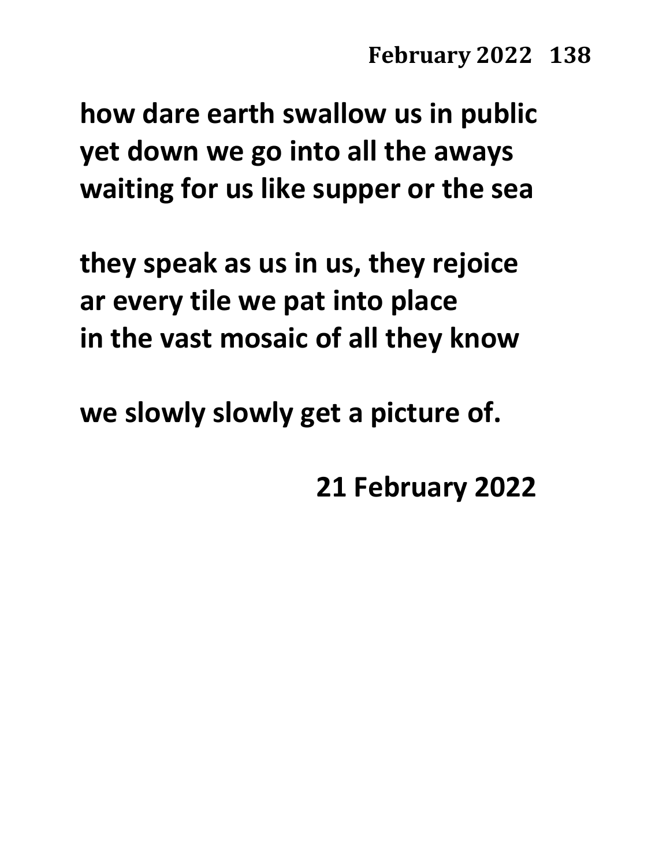**how dare earth swallow us in public yet down we go into all the aways waiting for us like supper or the sea**

**they speak as us in us, they rejoice ar every tile we pat into place in the vast mosaic of all they know**

**we slowly slowly get a picture of.**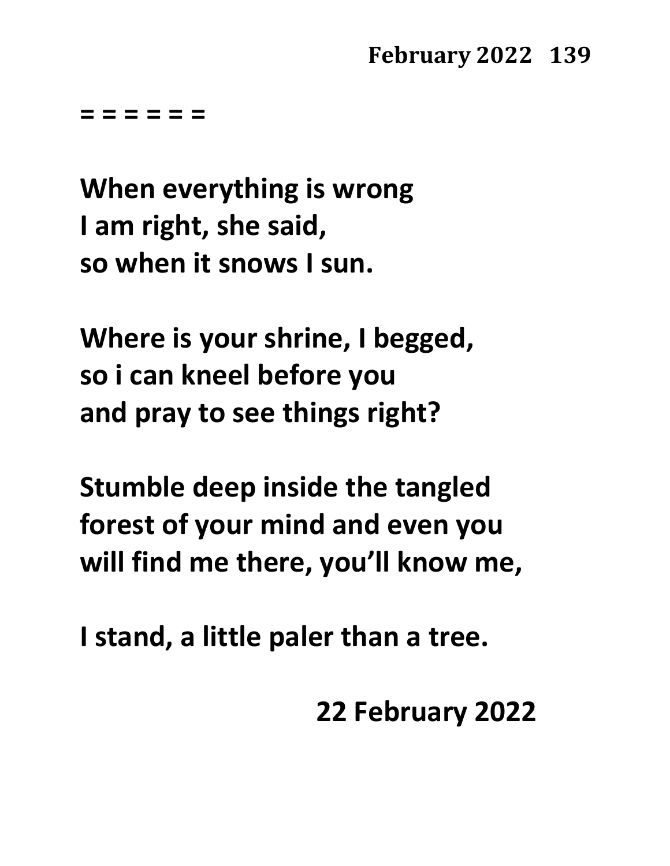**= = = = = =**

**When everything is wrong I am right, she said, so when it snows I sun.**

**Where is your shrine, I begged, so i can kneel before you and pray to see things right?**

**Stumble deep inside the tangled forest of your mind and even you will find me there, you'll know me,**

**I stand, a little paler than a tree.**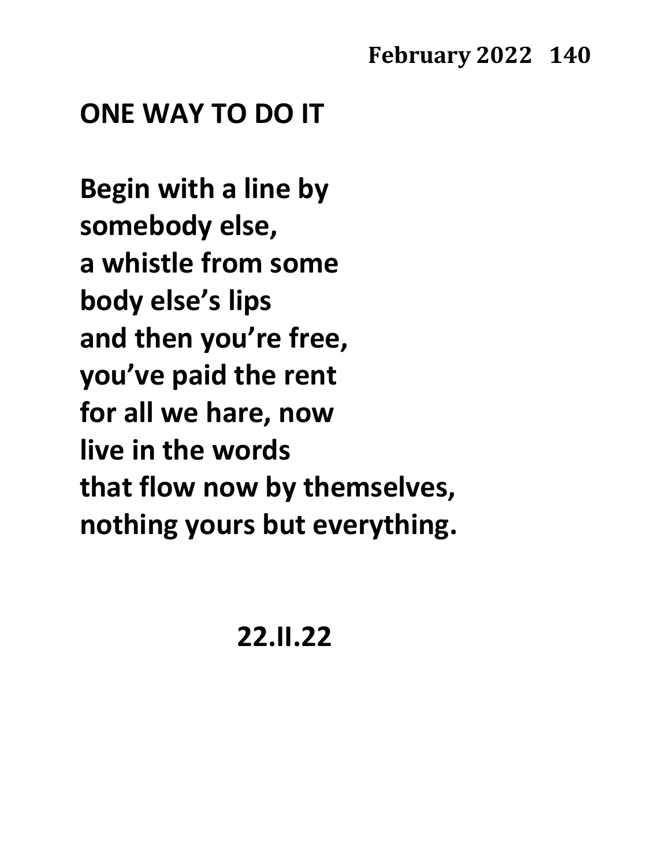# **ONE WAY TO DO IT**

**Begin with a line by somebody else, a whistle from some body else's lips and then you're free, you've paid the rent for all we hare, now live in the words that flow now by themselves, nothing yours but everything.**

**22.II.22**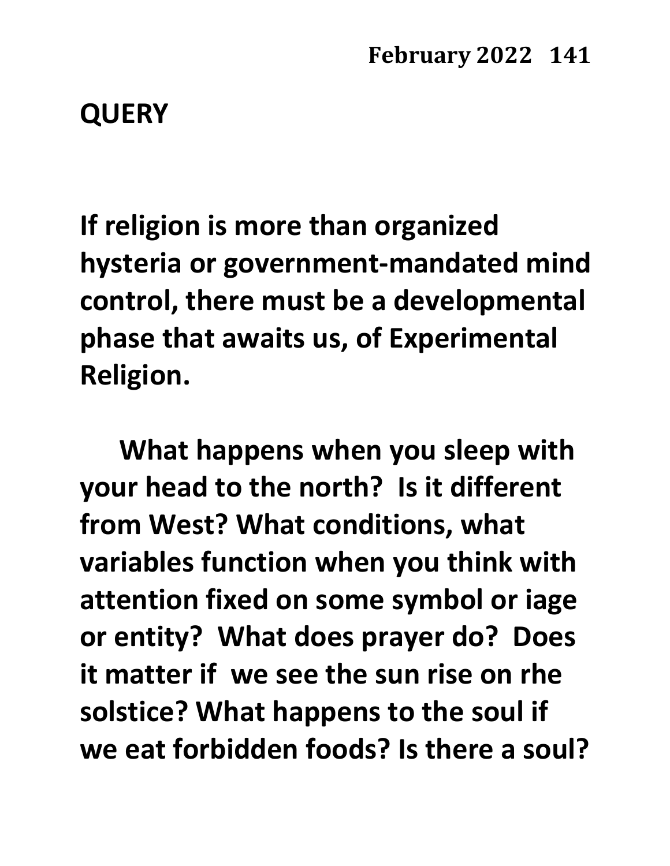# **QUERY**

**If religion is more than organized hysteria or government-mandated mind control, there must be a developmental phase that awaits us, of Experimental Religion.** 

**What happens when you sleep with your head to the north? Is it different from West? What conditions, what variables function when you think with attention fixed on some symbol or iage or entity? What does prayer do? Does it matter if we see the sun rise on rhe solstice? What happens to the soul if we eat forbidden foods? Is there a soul?**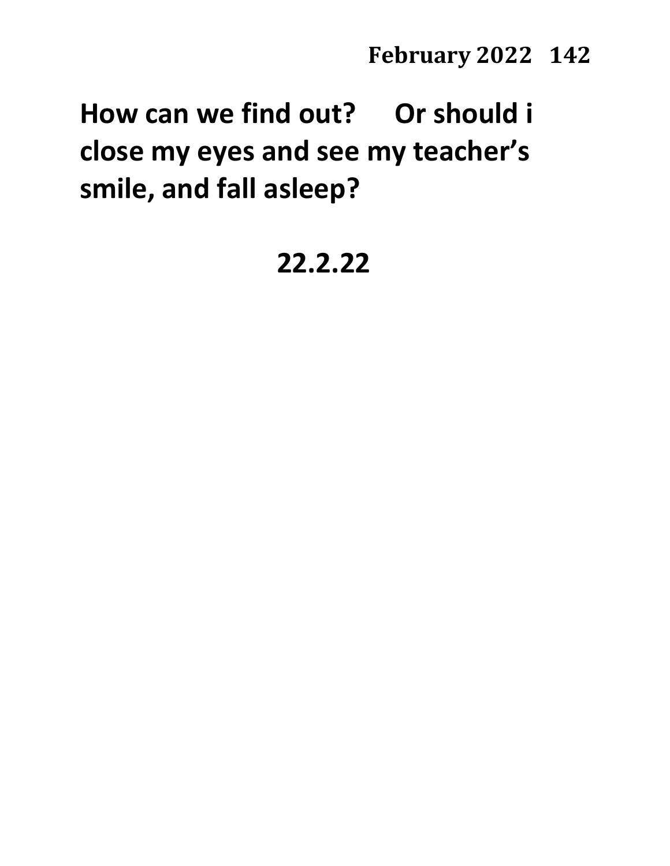**How can we find out? Or should i close my eyes and see my teacher's smile, and fall asleep?**

# **22.2.22**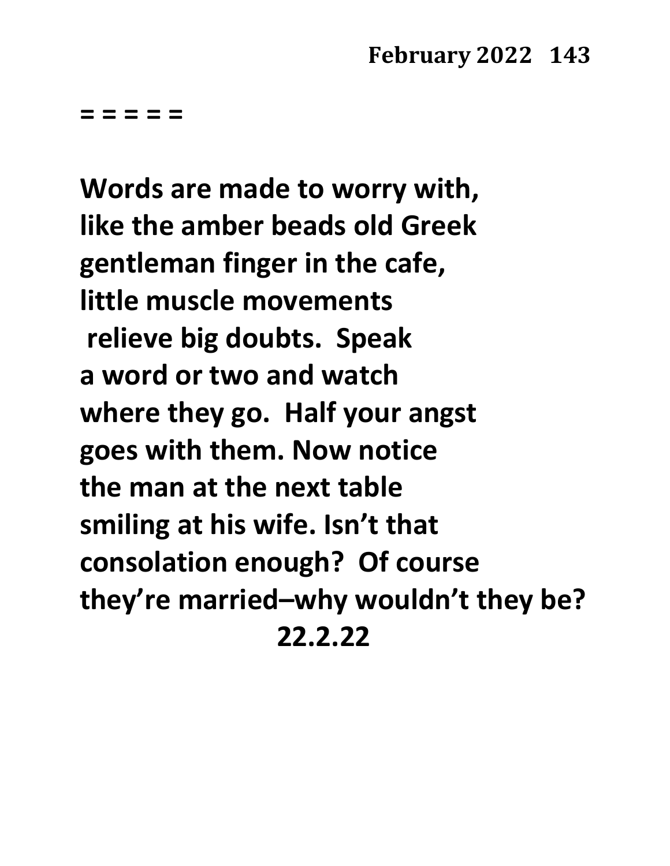**= = = = =**

**Words are made to worry with, like the amber beads old Greek gentleman finger in the cafe, little muscle movements relieve big doubts. Speak a word or two and watch where they go. Half your angst goes with them. Now notice the man at the next table smiling at his wife. Isn't that consolation enough? Of course they're married–why wouldn't they be? 22.2.22**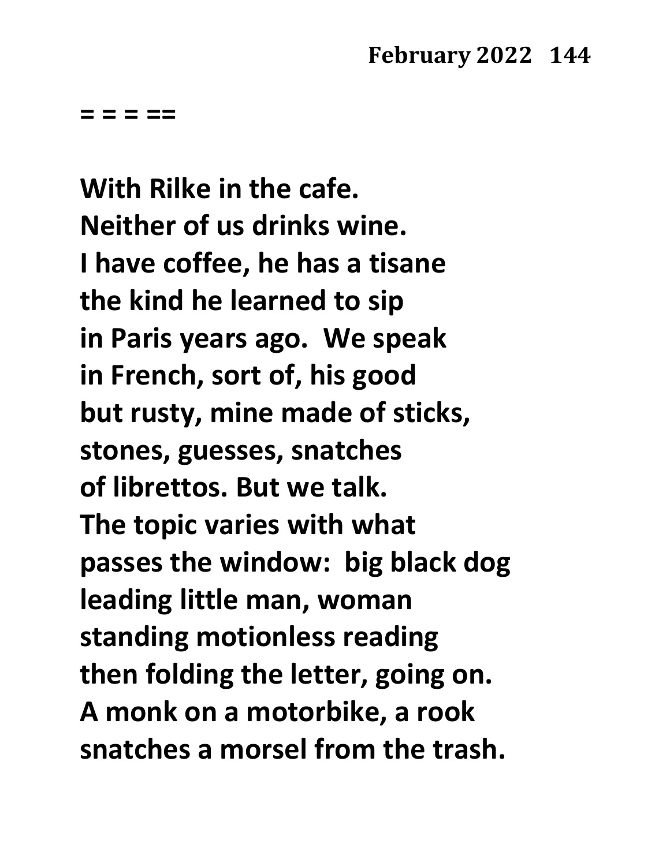**= = = ==** 

**With Rilke in the cafe. Neither of us drinks wine. I have coffee, he has a tisane the kind he learned to sip in Paris years ago. We speak in French, sort of, his good but rusty, mine made of sticks, stones, guesses, snatches of librettos. But we talk. The topic varies with what passes the window: big black dog leading little man, woman standing motionless reading then folding the letter, going on. A monk on a motorbike, a rook snatches a morsel from the trash.**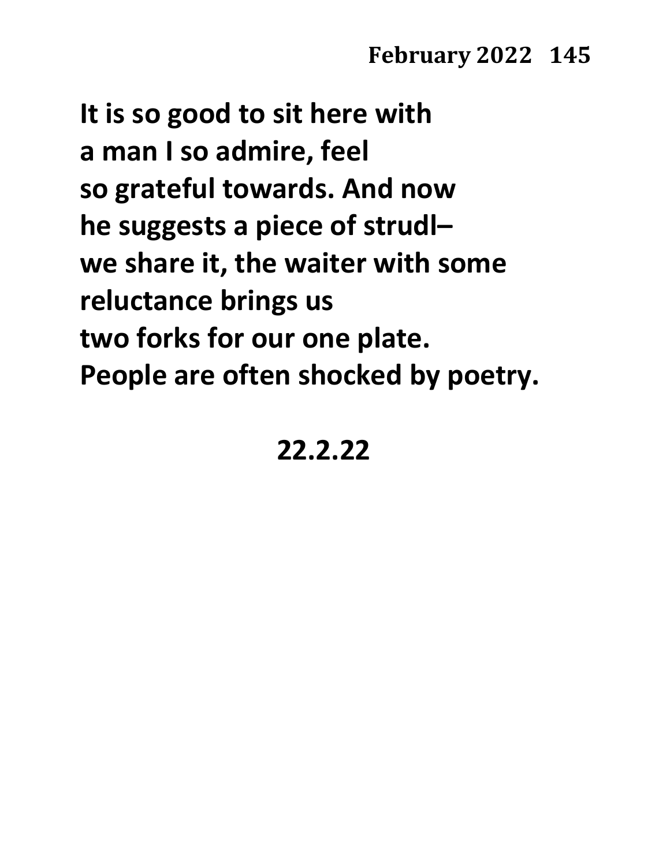**It is so good to sit here with a man I so admire, feel so grateful towards. And now he suggests a piece of strudl– we share it, the waiter with some reluctance brings us two forks for our one plate. People are often shocked by poetry.**

## **22.2.22**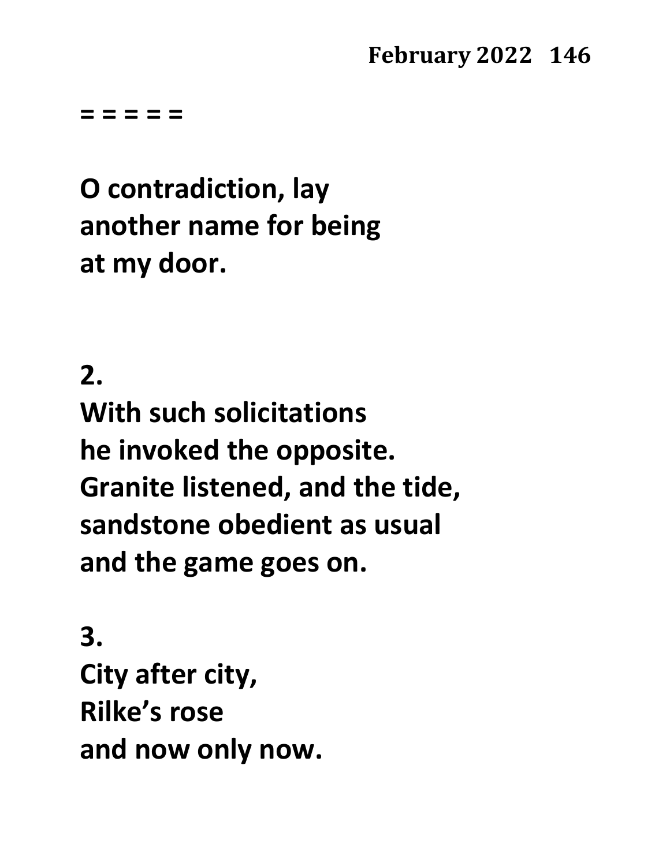**= = = = =**

# **O contradiction, lay another name for being at my door.**

## **2.**

**With such solicitations he invoked the opposite. Granite listened, and the tide, sandstone obedient as usual and the game goes on.**

**3. City after city, Rilke's rose and now only now.**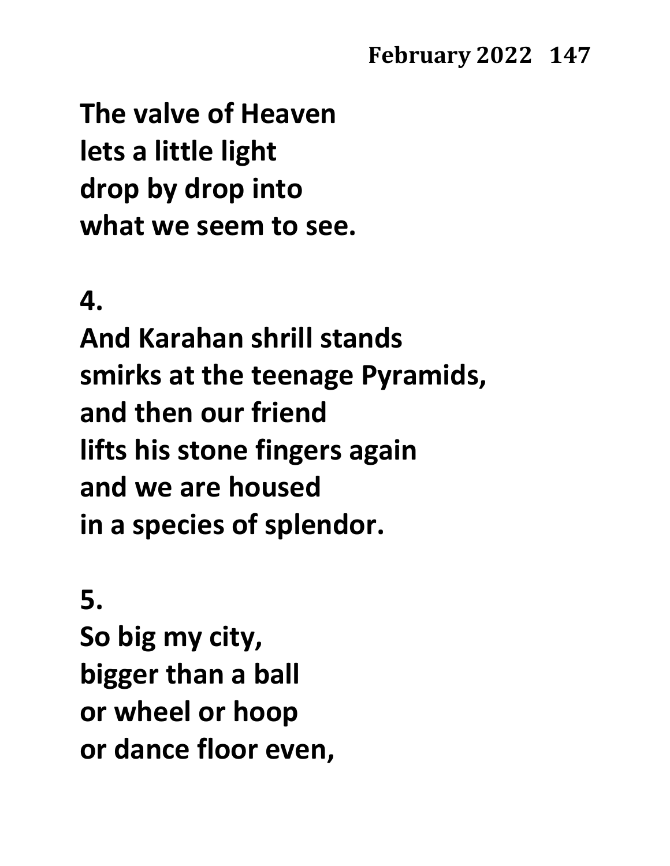**The valve of Heaven lets a little light drop by drop into what we seem to see.**

#### **4.**

**And Karahan shrill stands smirks at the teenage Pyramids, and then our friend lifts his stone fingers again and we are housed in a species of splendor.**

**5. So big my city, bigger than a ball or wheel or hoop or dance floor even,**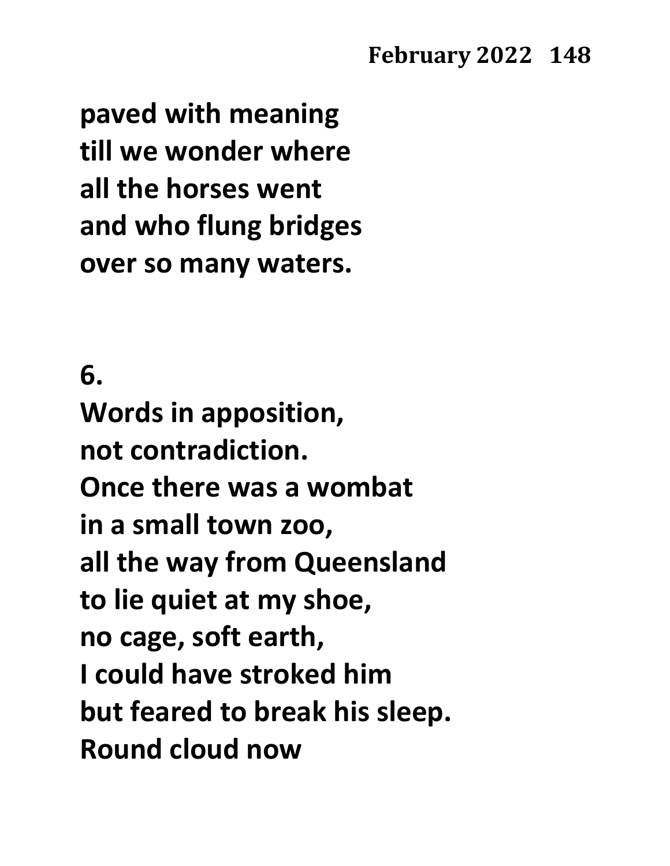**paved with meaning till we wonder where all the horses went and who flung bridges over so many waters.**

**6. Words in apposition, not contradiction. Once there was a wombat in a small town zoo, all the way from Queensland to lie quiet at my shoe, no cage, soft earth, I could have stroked him but feared to break his sleep. Round cloud now**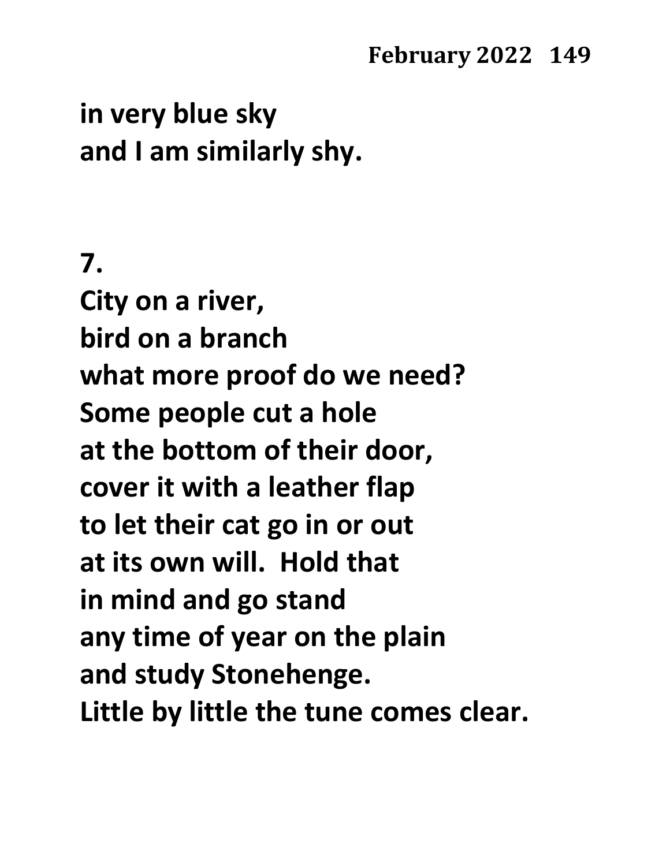## **in very blue sky and I am similarly shy.**

## **7.**

**City on a river, bird on a branch what more proof do we need? Some people cut a hole at the bottom of their door, cover it with a leather flap to let their cat go in or out at its own will. Hold that in mind and go stand any time of year on the plain and study Stonehenge. Little by little the tune comes clear.**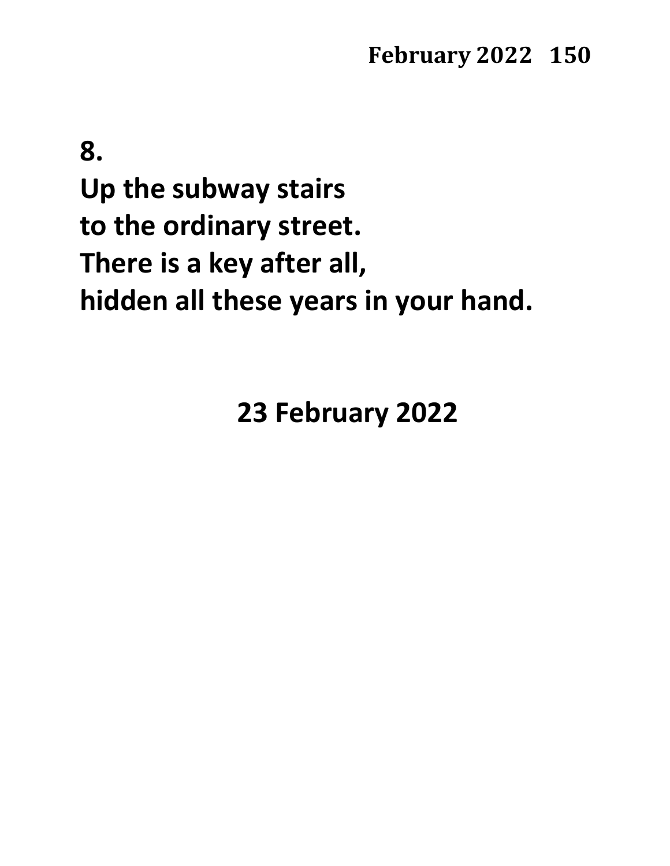**8. Up the subway stairs to the ordinary street. There is a key after all, hidden all these years in your hand.**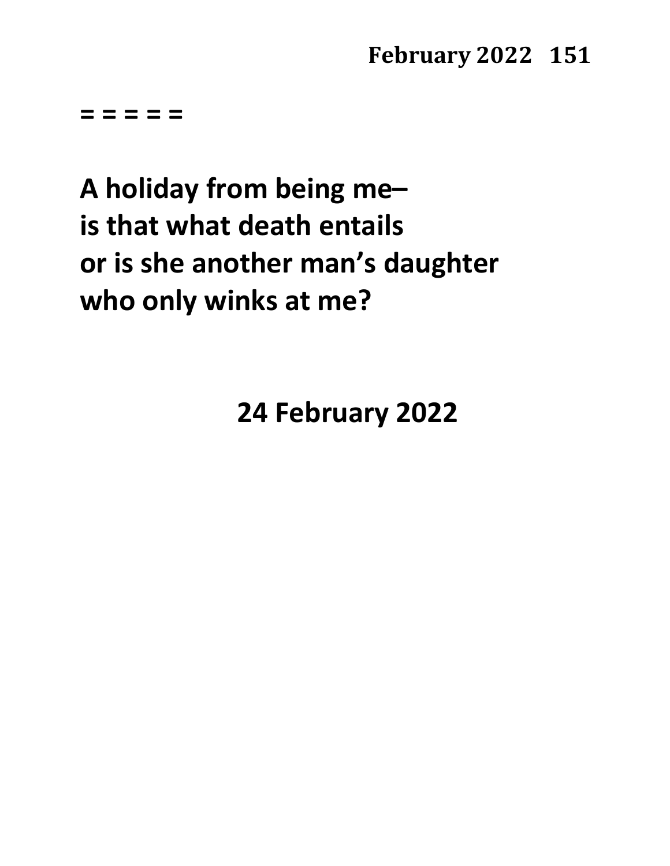**= = = = =**

# **A holiday from being me– is that what death entails or is she another man's daughter who only winks at me?**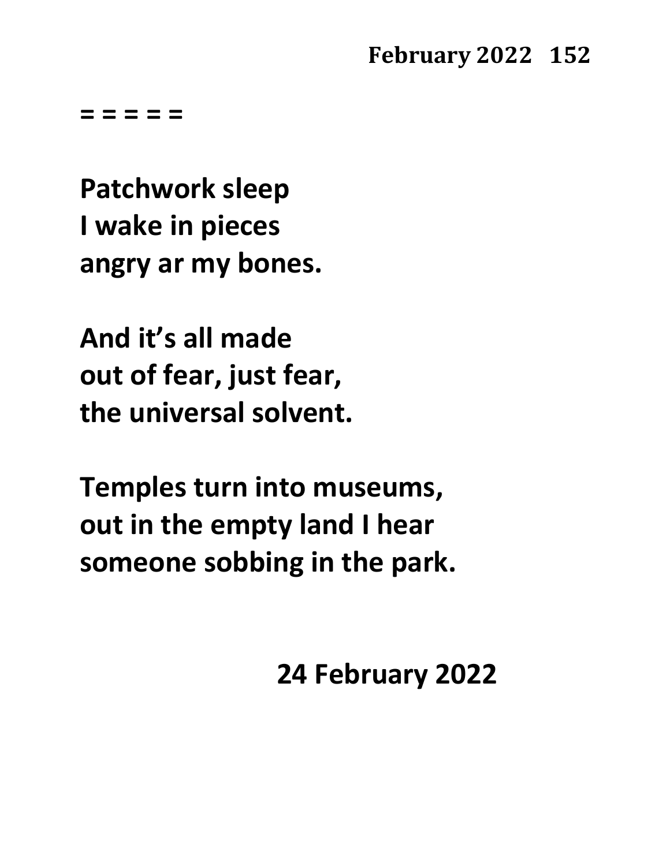**= = = = =**

**Patchwork sleep I wake in pieces angry ar my bones.**

**And it's all made out of fear, just fear, the universal solvent.**

**Temples turn into museums, out in the empty land I hear someone sobbing in the park.**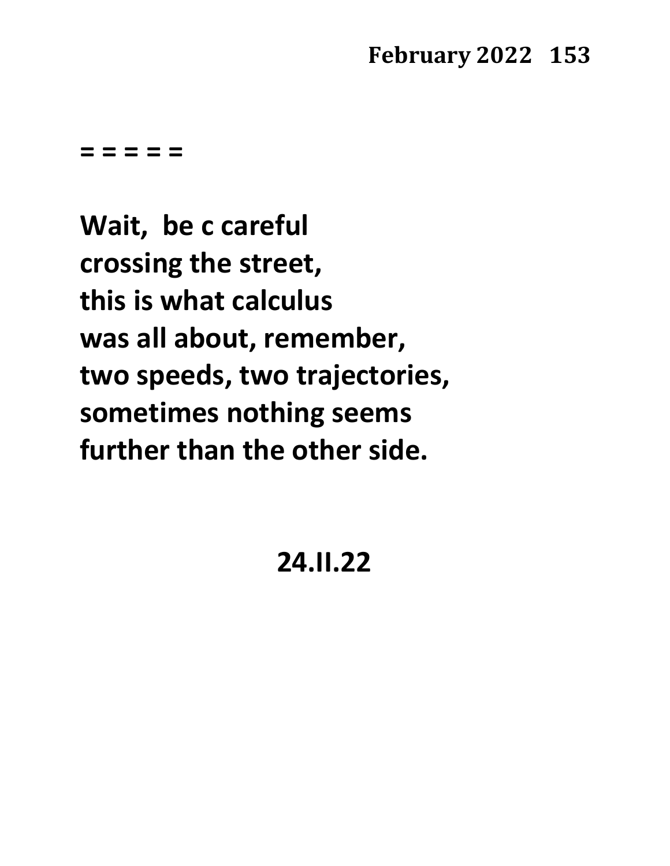**= = = = =**

**Wait, be c careful crossing the street, this is what calculus was all about, remember, two speeds, two trajectories, sometimes nothing seems further than the other side.**

## **24.II.22**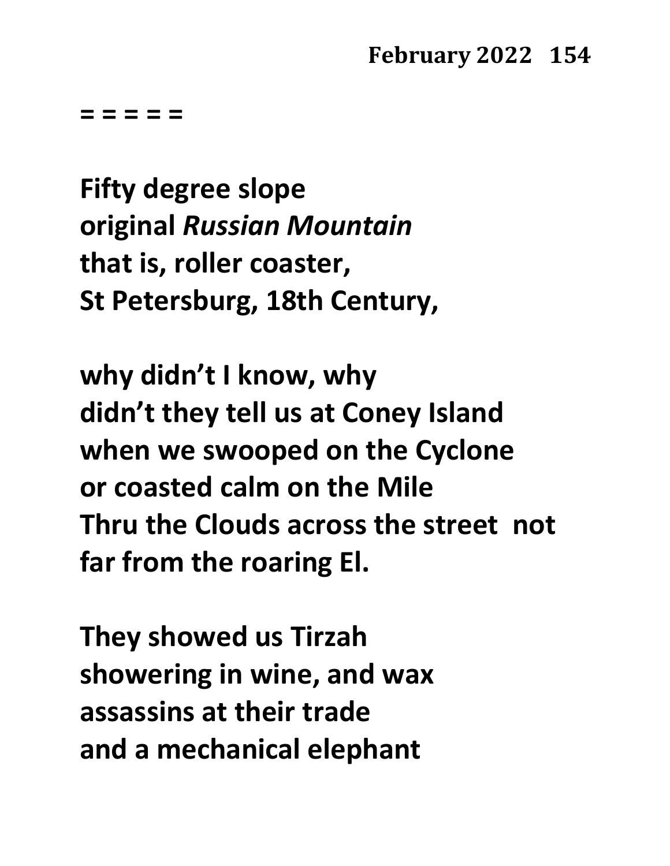**= = = = =**

**Fifty degree slope original** *Russian Mountain* **that is, roller coaster, St Petersburg, 18th Century,**

**why didn't I know, why didn't they tell us at Coney Island when we swooped on the Cyclone or coasted calm on the Mile Thru the Clouds across the street not far from the roaring El.**

**They showed us Tirzah showering in wine, and wax assassins at their trade and a mechanical elephant**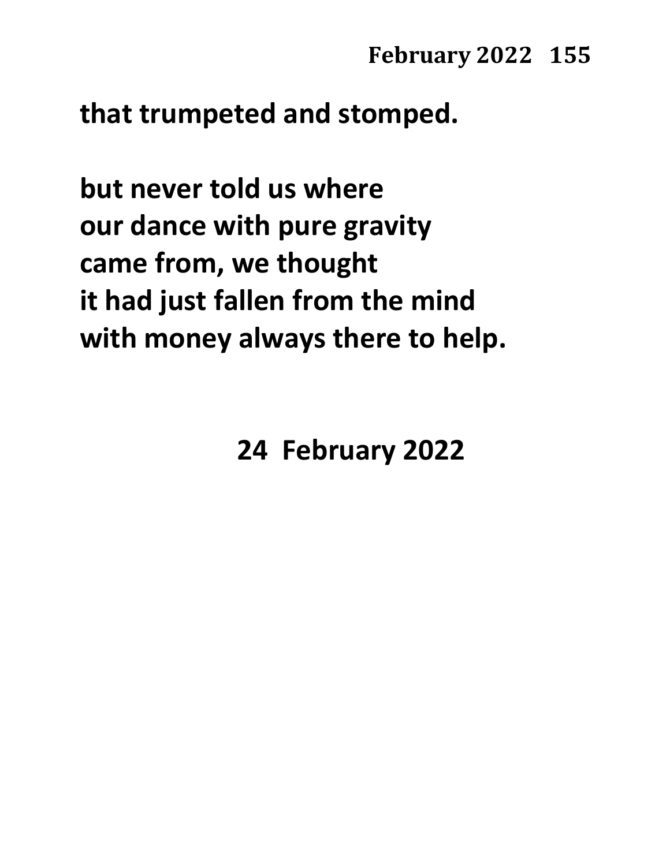### **that trumpeted and stomped.**

**but never told us where our dance with pure gravity came from, we thought it had just fallen from the mind with money always there to help.**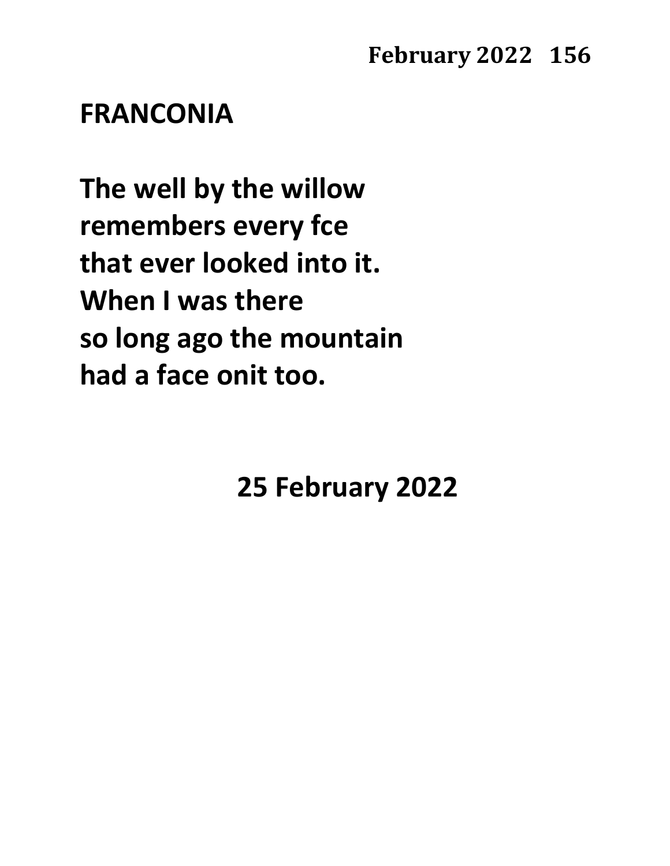### **FRANCONIA**

**The well by the willow remembers every fce that ever looked into it. When I was there so long ago the mountain had a face onit too.**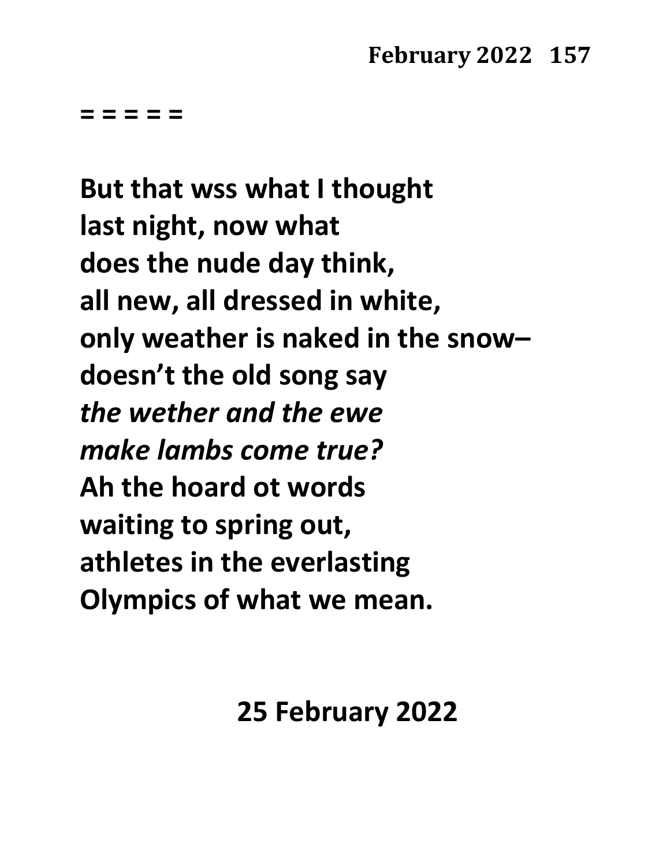**= = = = =**

**But that wss what I thought last night, now what does the nude day think, all new, all dressed in white, only weather is naked in the snow– doesn't the old song say** *the wether and the ewe make lambs come true?* **Ah the hoard ot words waiting to spring out, athletes in the everlasting Olympics of what we mean.**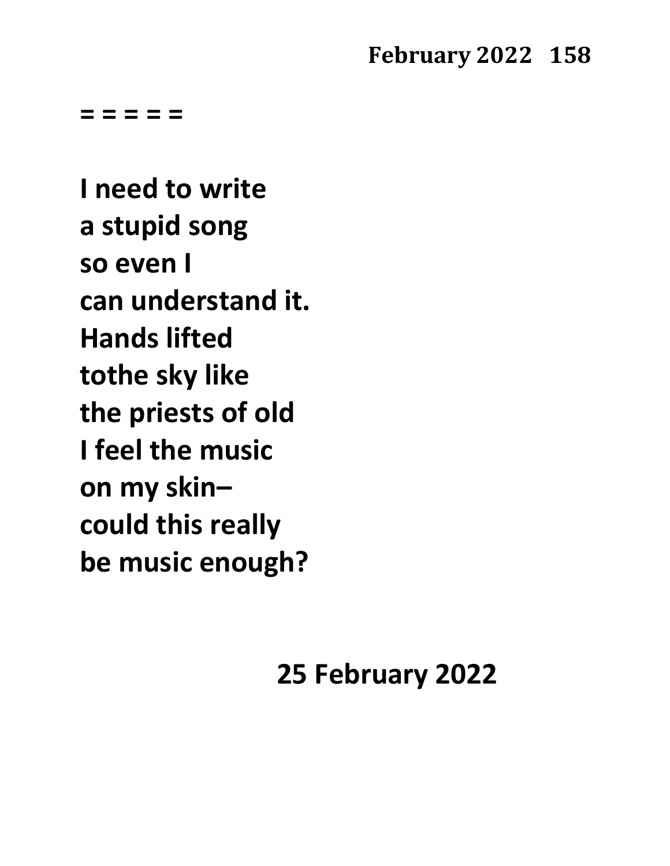**= = = = =**

**I need to write a stupid song so even I can understand it. Hands lifted tothe sky like the priests of old I feel the music on my skin– could this really be music enough?**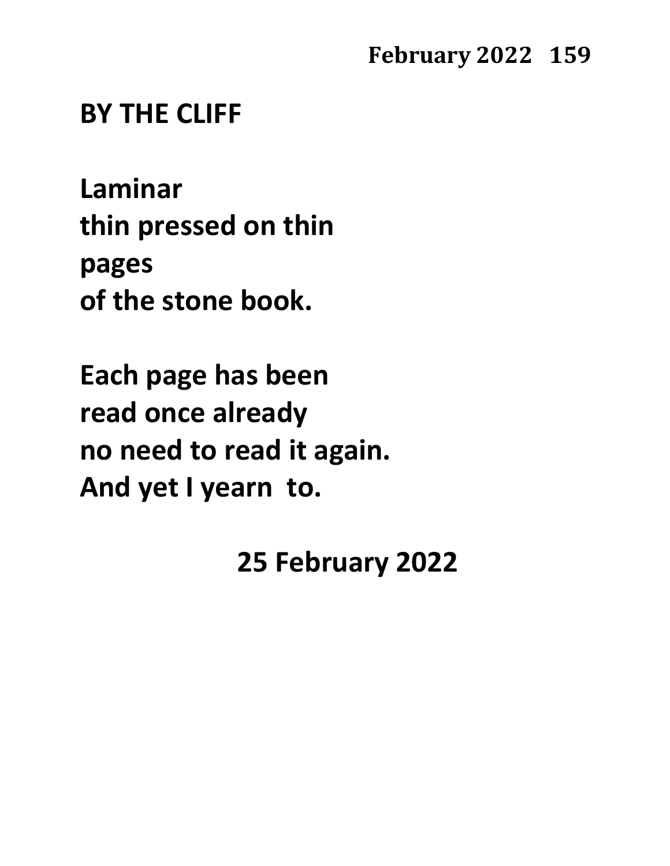### **BY THE CLIFF**

**Laminar thin pressed on thin pages of the stone book.**

**Each page has been read once already no need to read it again. And yet I yearn to.**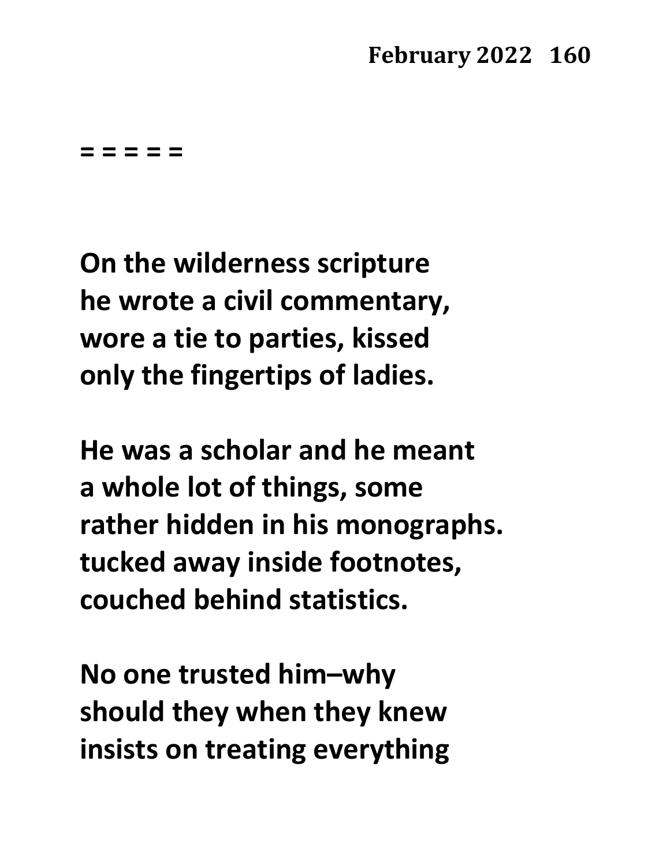**= = = = =**

**On the wilderness scripture he wrote a civil commentary, wore a tie to parties, kissed only the fingertips of ladies.**

**He was a scholar and he meant a whole lot of things, some rather hidden in his monographs. tucked away inside footnotes, couched behind statistics.**

**No one trusted him–why should they when they knew insists on treating everything**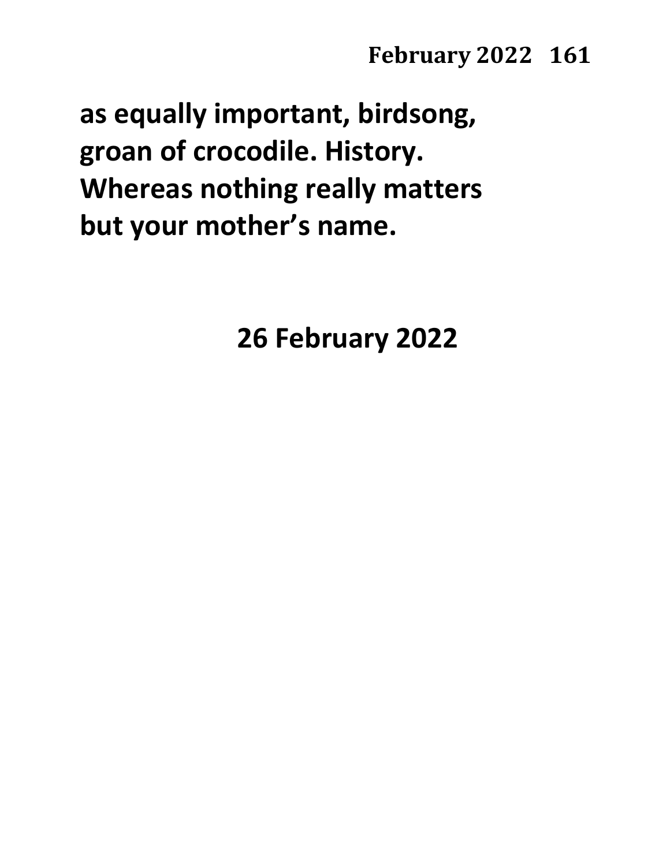**as equally important, birdsong, groan of crocodile. History. Whereas nothing really matters but your mother's name.**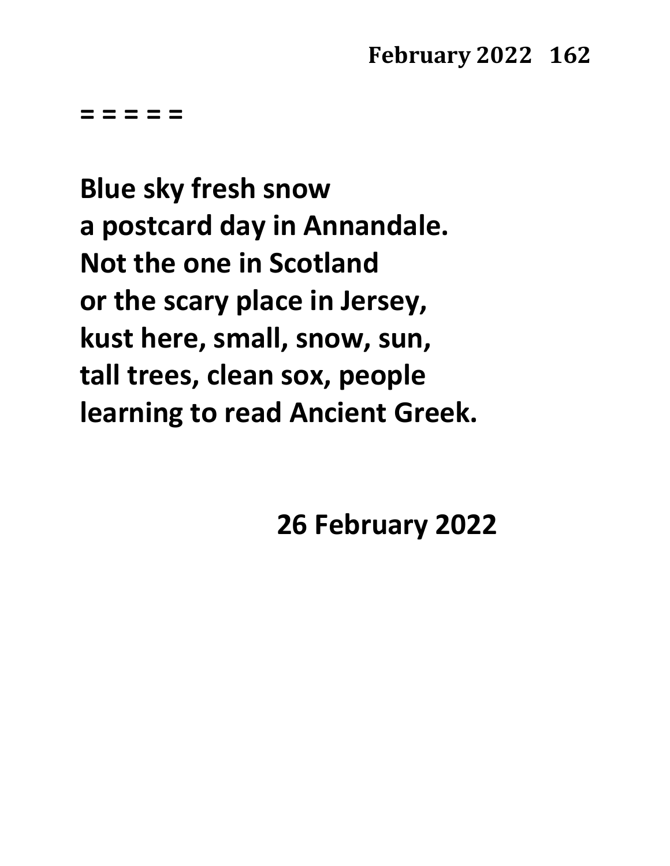**= = = = =**

**Blue sky fresh snow a postcard day in Annandale. Not the one in Scotland or the scary place in Jersey, kust here, small, snow, sun, tall trees, clean sox, people learning to read Ancient Greek.**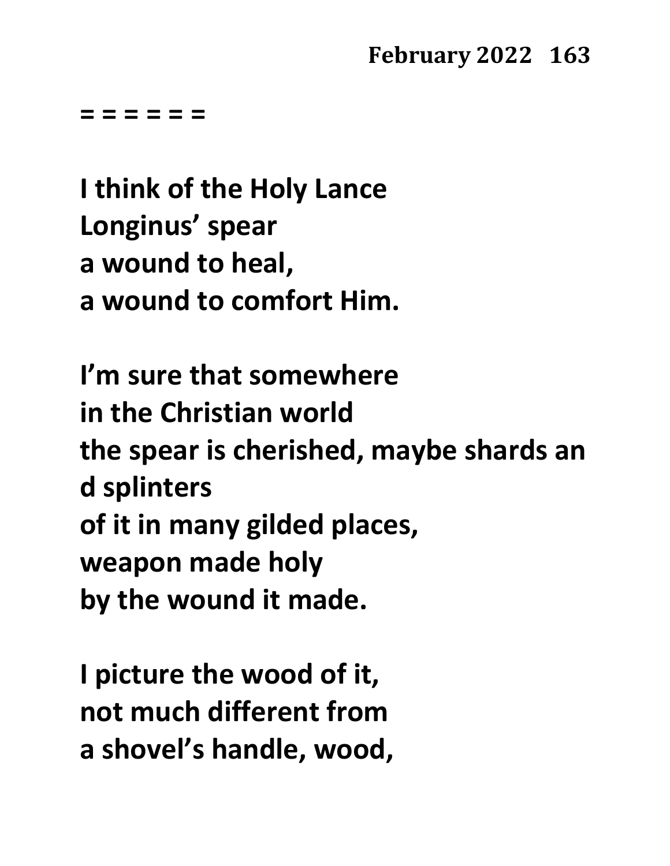**= = = = = =**

**I think of the Holy Lance Longinus' spear a wound to heal, a wound to comfort Him.**

**I'm sure that somewhere in the Christian world the spear is cherished, maybe shards an d splinters of it in many gilded places, weapon made holy by the wound it made.**

**I picture the wood of it, not much different from a shovel's handle, wood,**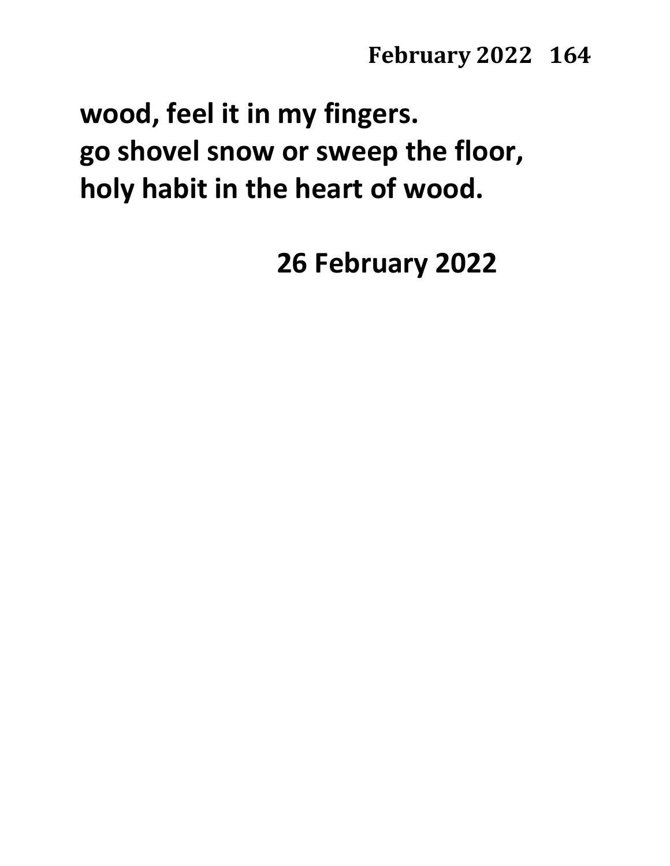**wood, feel it in my fingers. go shovel snow or sweep the floor, holy habit in the heart of wood.**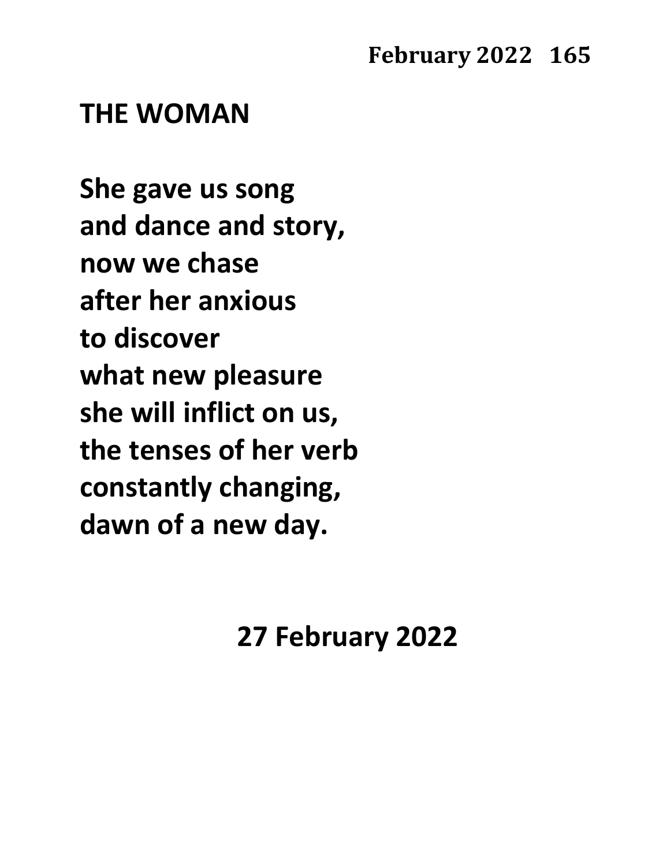### **THE WOMAN**

**She gave us song and dance and story, now we chase after her anxious to discover what new pleasure she will inflict on us, the tenses of her verb constantly changing, dawn of a new day.**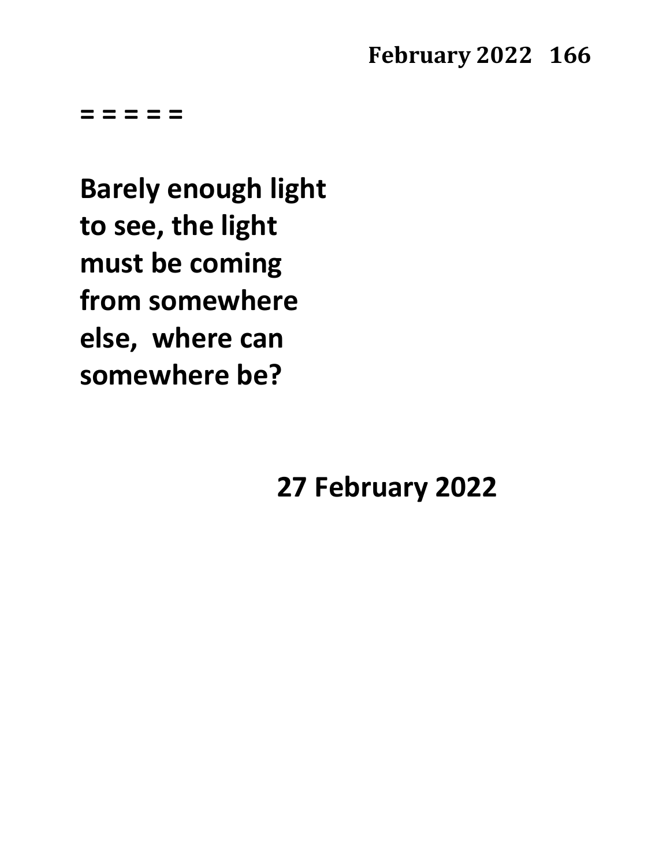**= = = = =**

**Barely enough light to see, the light must be coming from somewhere else, where can somewhere be?**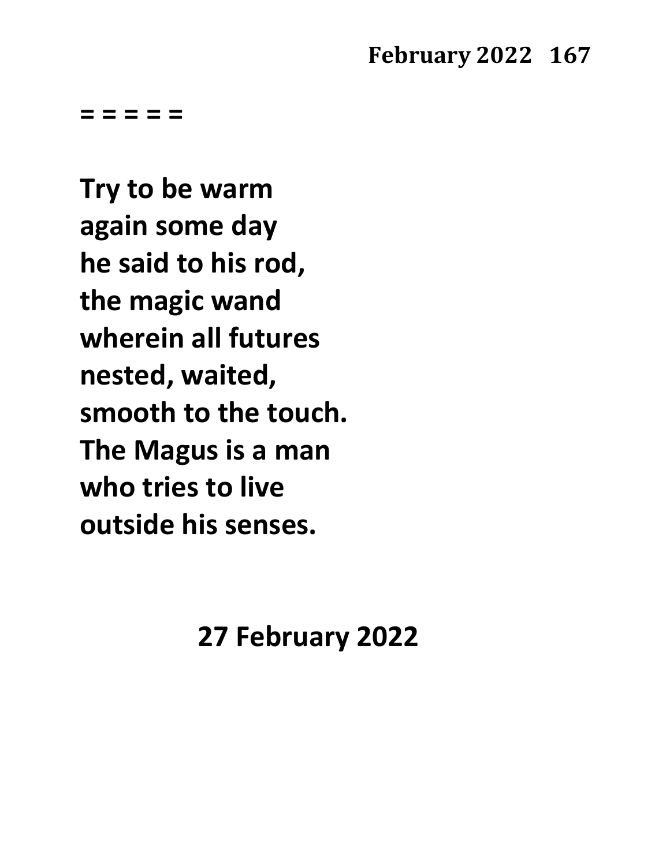**= = = = =** 

**Try to be warm again some day he said to his rod, the magic wand wherein all futures nested, waited, smooth to the touch. The Magus is a man who tries to live outside his senses.**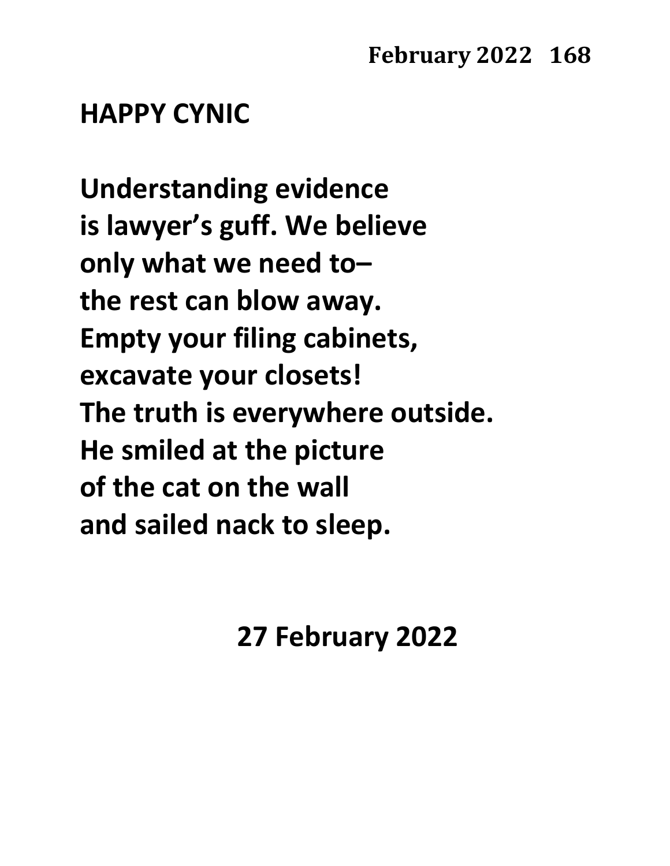## **HAPPY CYNIC**

**Understanding evidence is lawyer's guff. We believe only what we need to– the rest can blow away. Empty your filing cabinets, excavate your closets! The truth is everywhere outside. He smiled at the picture of the cat on the wall and sailed nack to sleep.**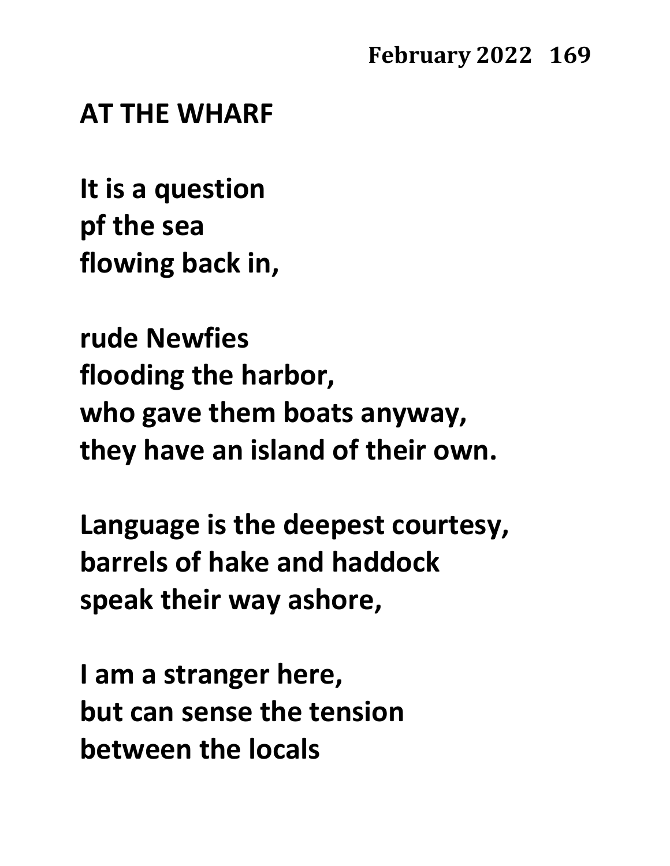#### **AT THE WHARF**

**It is a question pf the sea flowing back in,**

**rude Newfies flooding the harbor, who gave them boats anyway, they have an island of their own.**

**Language is the deepest courtesy, barrels of hake and haddock speak their way ashore,**

**I am a stranger here, but can sense the tension between the locals**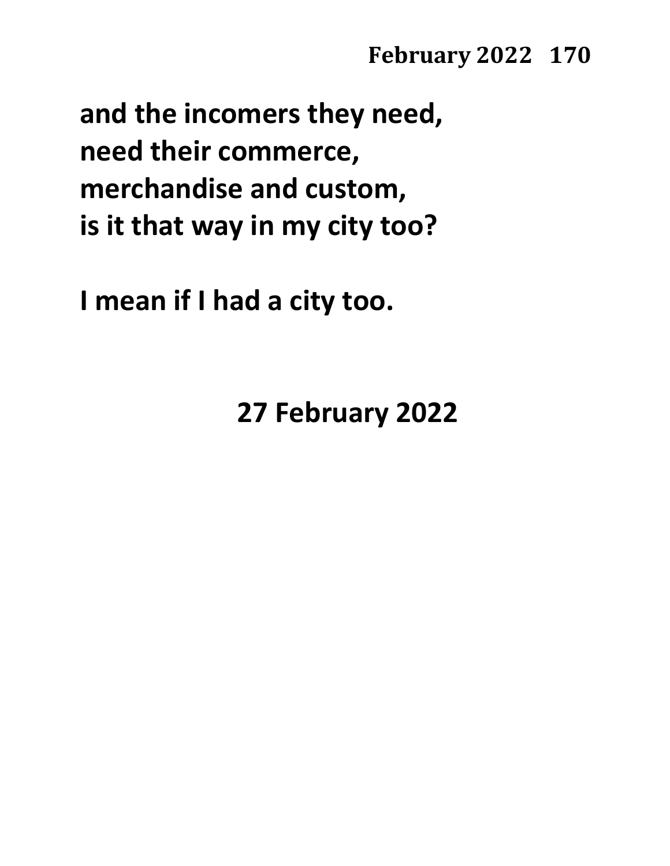**and the incomers they need, need their commerce, merchandise and custom, is it that way in my city too?**

**I mean if I had a city too.**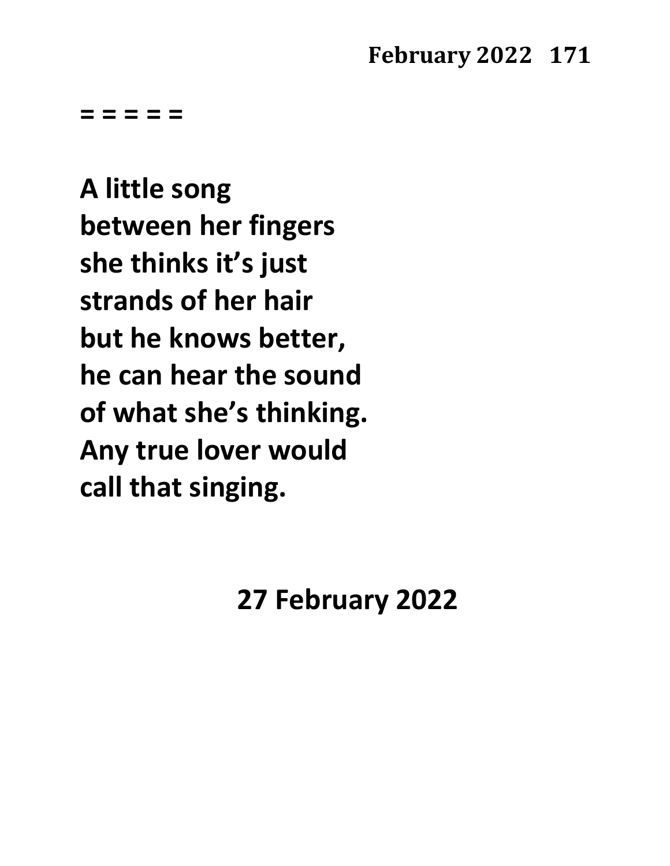**= = = = =**

**A little song between her fingers she thinks it's just strands of her hair but he knows better, he can hear the sound of what she's thinking. Any true lover would call that singing.**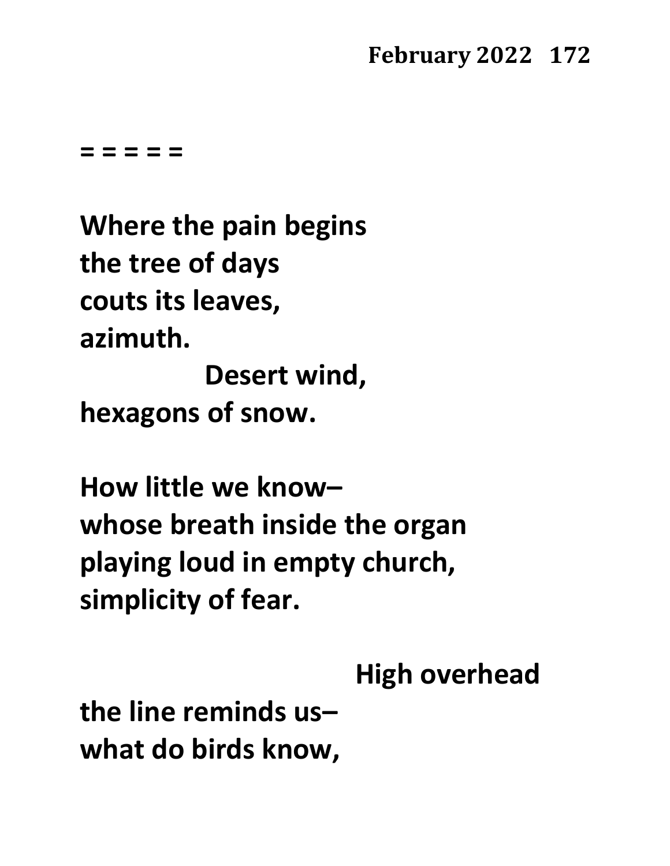**= = = = =**

**Where the pain begins the tree of days couts its leaves, azimuth. Desert wind, hexagons of snow.**

**How little we know– whose breath inside the organ playing loud in empty church, simplicity of fear.**

**High overhead**

**the line reminds us– what do birds know,**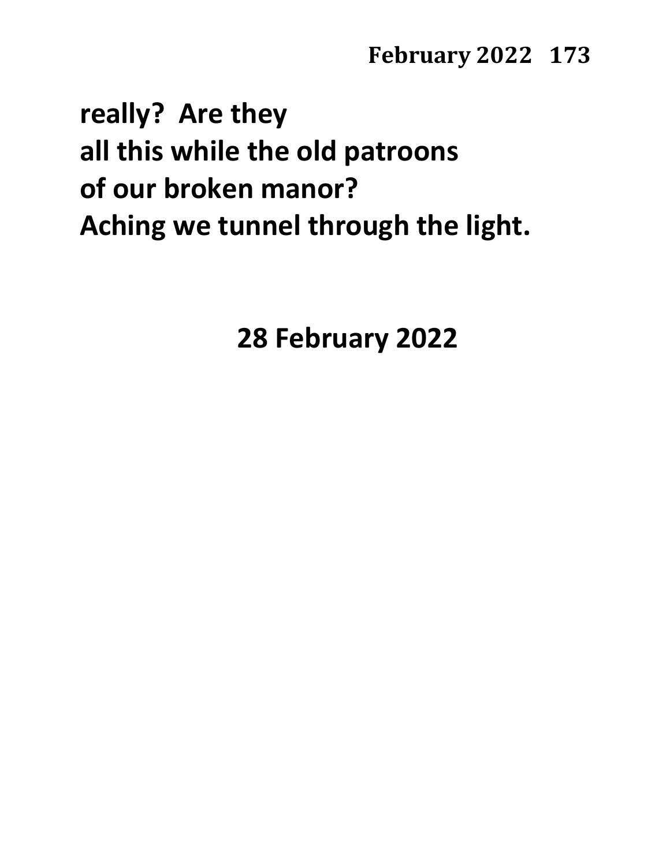# **really? Are they all this while the old patroons of our broken manor? Aching we tunnel through the light.**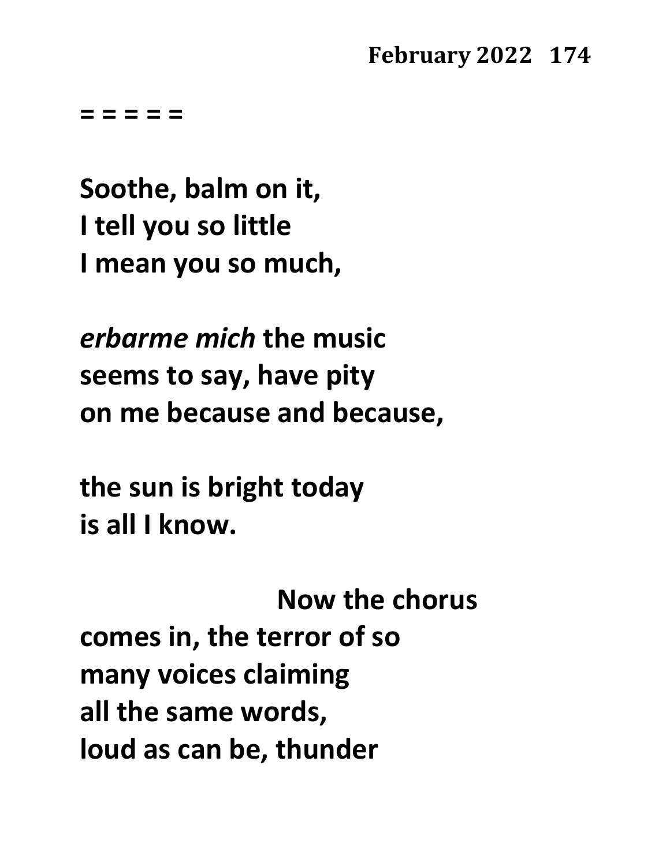**= = = = =**

**Soothe, balm on it, I tell you so little I mean you so much,**

*erbarme mich* **the music seems to say, have pity on me because and because,**

**the sun is bright today is all I know.** 

**Now the chorus comes in, the terror of so many voices claiming all the same words, loud as can be, thunder**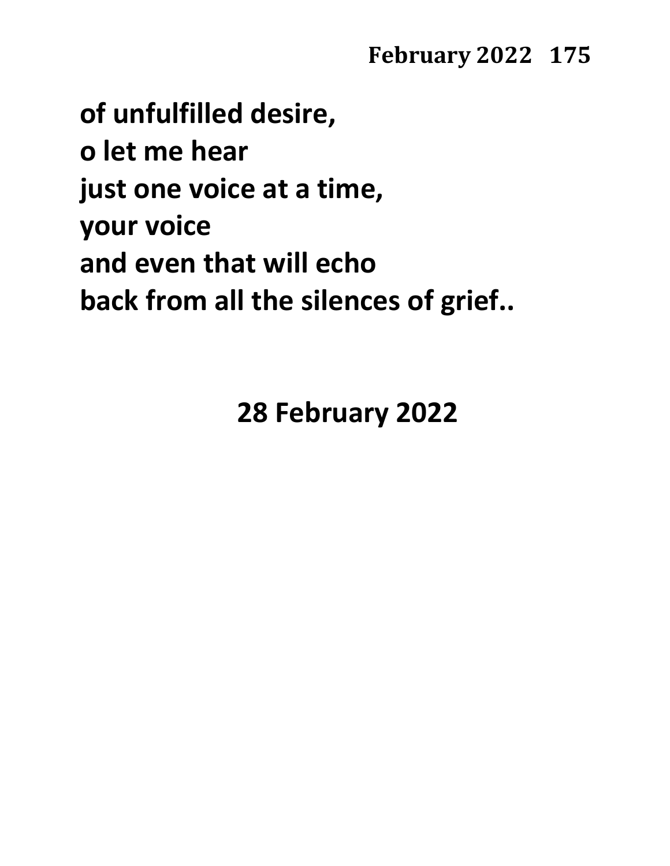**of unfulfilled desire, o let me hear just one voice at a time, your voice and even that will echo back from all the silences of grief..**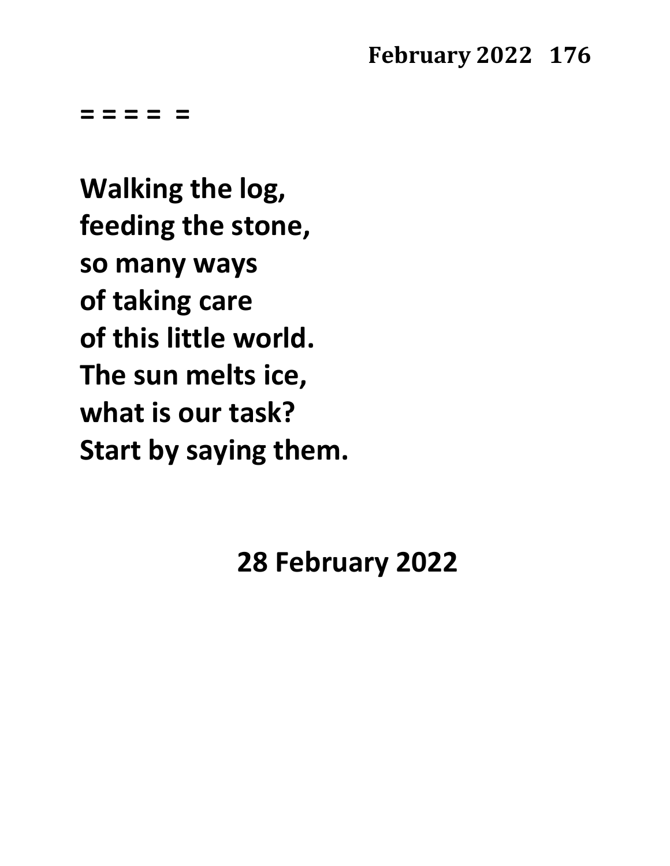**= = = = =**

**Walking the log, feeding the stone, so many ways of taking care of this little world. The sun melts ice, what is our task? Start by saying them.**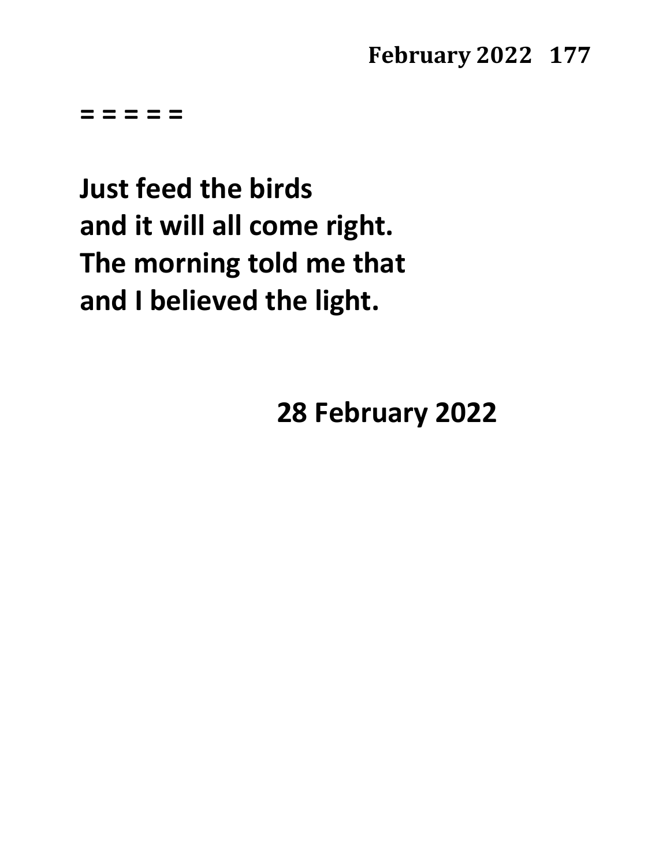**= = = = =**

**Just feed the birds and it will all come right. The morning told me that and I believed the light.**